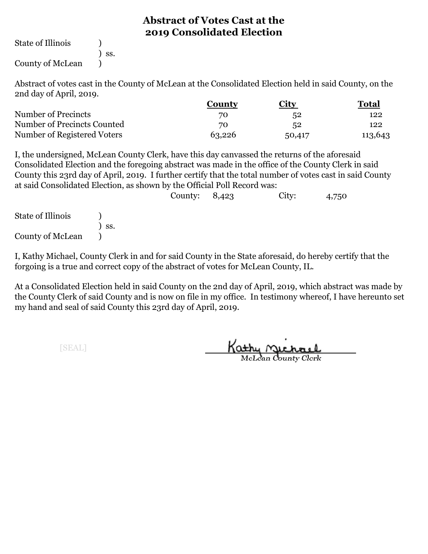State of Illinois (1)

) ss.

County of McLean )

Abstract of votes cast in the County of McLean at the Consolidated Election held in said County, on the 2nd day of April, 2019.

|                             | Countv | City   | <b>Total</b> |  |
|-----------------------------|--------|--------|--------------|--|
| Number of Precincts         | 70     | 52     | 122          |  |
| Number of Precincts Counted | 70     | 52     | 122          |  |
| Number of Registered Voters | 63,226 | 50,417 | 113,643      |  |

I, the undersigned, McLean County Clerk, have this day canvassed the returns of the aforesaid Consolidated Election and the foregoing abstract was made in the office of the County Clerk in said County this 23rd day of April, 2019. I further certify that the total number of votes cast in said County at said Consolidated Election, as shown by the Official Poll Record was:

|                   |     | County: $8,423$ | City: | 4,750 |
|-------------------|-----|-----------------|-------|-------|
| State of Illinois |     |                 |       |       |
|                   | SS. |                 |       |       |
| County of McLean  |     |                 |       |       |

I, Kathy Michael, County Clerk in and for said County in the State aforesaid, do hereby certify that the forgoing is a true and correct copy of the abstract of votes for McLean County, IL.

At a Consolidated Election held in said County on the 2nd day of April, 2019, which abstract was made by the County Clerk of said County and is now on file in my office. In testimony whereof, I have hereunto set my hand and seal of said County this 23rd day of April, 2019.

Kathy Michael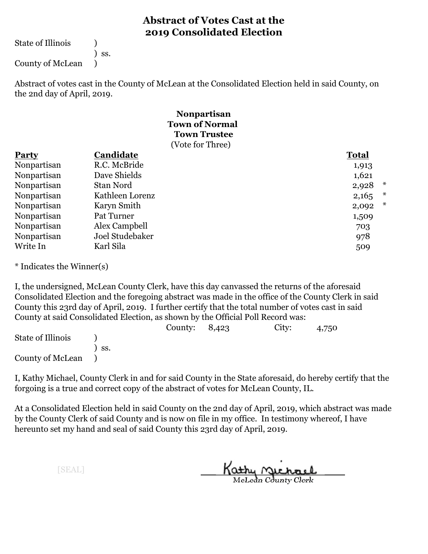State of Illinois (1)

) ss.

County of McLean )

Abstract of votes cast in the County of McLean at the Consolidated Election held in said County, on the 2nd day of April, 2019.

#### **Town Trustee Town of Normal Nonpartisan** (Vote for Three)

| <b>Party</b> | Candidate        | <b>Total</b> |        |
|--------------|------------------|--------------|--------|
| Nonpartisan  | R.C. McBride     | 1,913        |        |
| Nonpartisan  | Dave Shields     | 1,621        |        |
| Nonpartisan  | <b>Stan Nord</b> | 2,928        | ∗      |
| Nonpartisan  | Kathleen Lorenz  | 2,165        | ∗      |
| Nonpartisan  | Karyn Smith      | 2,092        | $\ast$ |
| Nonpartisan  | Pat Turner       | 1,509        |        |
| Nonpartisan  | Alex Campbell    | 703          |        |
| Nonpartisan  | Joel Studebaker  | 978          |        |
| Write In     | Karl Sila        | 509          |        |

\* Indicates the Winner(s)

I, the undersigned, McLean County Clerk, have this day canvassed the returns of the aforesaid Consolidated Election and the foregoing abstract was made in the office of the County Clerk in said County this 23rd day of April, 2019. I further certify that the total number of votes cast in said County at said Consolidated Election, as shown by the Official Poll Record was:

|                   |     | County: $8,423$ | City: | 4,750 |
|-------------------|-----|-----------------|-------|-------|
| State of Illinois |     |                 |       |       |
|                   | SS. |                 |       |       |
| County of McLean  |     |                 |       |       |

I, Kathy Michael, County Clerk in and for said County in the State aforesaid, do hereby certify that the forgoing is a true and correct copy of the abstract of votes for McLean County, IL.

At a Consolidated Election held in said County on the 2nd day of April, 2019, which abstract was made by the County Clerk of said County and is now on file in my office. In testimony whereof, I have hereunto set my hand and seal of said County this 23rd day of April, 2019.

Kathy Michael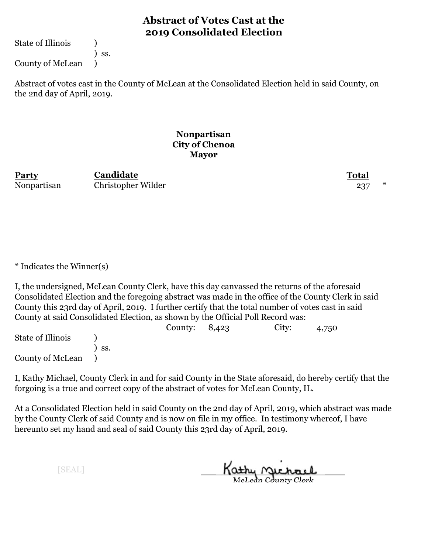State of Illinois (1)

) ss.

County of McLean )

Abstract of votes cast in the County of McLean at the Consolidated Election held in said County, on the 2nd day of April, 2019.

#### **Nonpartisan City of Chenoa Mayor**

**Party Total Candidate** Nonpartisan Christopher Wilder 237 \*

\* Indicates the Winner(s)

I, the undersigned, McLean County Clerk, have this day canvassed the returns of the aforesaid Consolidated Election and the foregoing abstract was made in the office of the County Clerk in said County this 23rd day of April, 2019. I further certify that the total number of votes cast in said County at said Consolidated Election, as shown by the Official Poll Record was:

County: 8,423 City: 4,750 State of Illinois (a) ) ss. County of McLean )

I, Kathy Michael, County Clerk in and for said County in the State aforesaid, do hereby certify that the forgoing is a true and correct copy of the abstract of votes for McLean County, IL.

At a Consolidated Election held in said County on the 2nd day of April, 2019, which abstract was made by the County Clerk of said County and is now on file in my office. In testimony whereof, I have hereunto set my hand and seal of said County this 23rd day of April, 2019.

Kathy Michael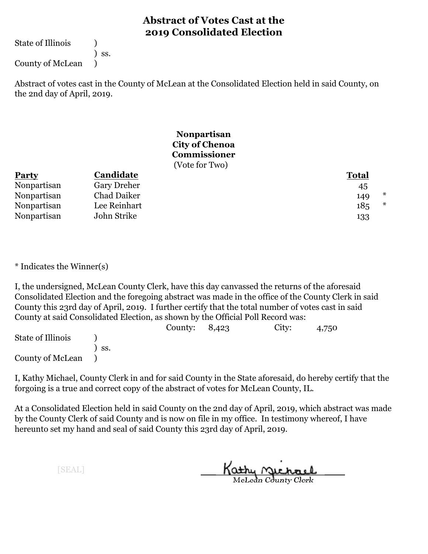State of Illinois (1)

) ss.

County of McLean )

Abstract of votes cast in the County of McLean at the Consolidated Election held in said County, on the 2nd day of April, 2019.

#### **Nonpartisan City of Chenoa Commissioner** (Vote for Two)

| <b>Party</b> | Candidate    | <b>Total</b>         |
|--------------|--------------|----------------------|
| Nonpartisan  | Gary Dreher  | 45                   |
| Nonpartisan  | Chad Daiker  | *<br>149             |
| Nonpartisan  | Lee Reinhart | ∗<br>18 <sub>5</sub> |
| Nonpartisan  | John Strike  | 133                  |

\* Indicates the Winner(s)

I, the undersigned, McLean County Clerk, have this day canvassed the returns of the aforesaid Consolidated Election and the foregoing abstract was made in the office of the County Clerk in said County this 23rd day of April, 2019. I further certify that the total number of votes cast in said County at said Consolidated Election, as shown by the Official Poll Record was:

|                   |     | County: $8,423$ | City: | 4,750 |
|-------------------|-----|-----------------|-------|-------|
| State of Illinois |     |                 |       |       |
|                   | SS. |                 |       |       |
| County of McLean  |     |                 |       |       |

I, Kathy Michael, County Clerk in and for said County in the State aforesaid, do hereby certify that the forgoing is a true and correct copy of the abstract of votes for McLean County, IL.

At a Consolidated Election held in said County on the 2nd day of April, 2019, which abstract was made by the County Clerk of said County and is now on file in my office. In testimony whereof, I have hereunto set my hand and seal of said County this 23rd day of April, 2019.

Kathy <u>Michael</u>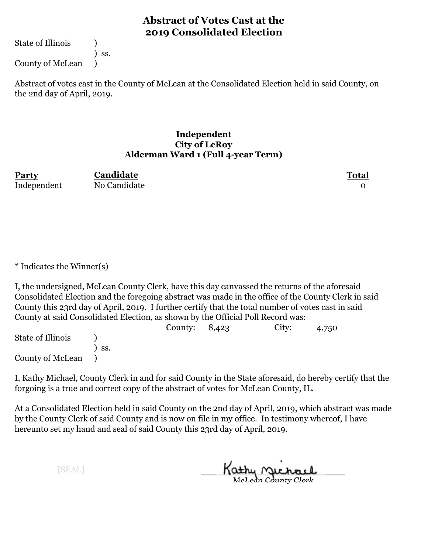State of Illinois (1)

) ss.

County of McLean )

Abstract of votes cast in the County of McLean at the Consolidated Election held in said County, on the 2nd day of April, 2019.

#### **Independent City of LeRoy Alderman Ward 1 (Full 4-year Term)**

**Party Total** Independent No Candidate 0 **Candidate**

\* Indicates the Winner(s)

I, the undersigned, McLean County Clerk, have this day canvassed the returns of the aforesaid Consolidated Election and the foregoing abstract was made in the office of the County Clerk in said County this 23rd day of April, 2019. I further certify that the total number of votes cast in said County at said Consolidated Election, as shown by the Official Poll Record was:

|                   |                  | County: $8,423$ | City: | 4,750 |  |
|-------------------|------------------|-----------------|-------|-------|--|
| State of Illinois |                  |                 |       |       |  |
|                   | $\mathsf{S}$ SS. |                 |       |       |  |
| County of McLean  |                  |                 |       |       |  |

I, Kathy Michael, County Clerk in and for said County in the State aforesaid, do hereby certify that the forgoing is a true and correct copy of the abstract of votes for McLean County, IL.

At a Consolidated Election held in said County on the 2nd day of April, 2019, which abstract was made by the County Clerk of said County and is now on file in my office. In testimony whereof, I have hereunto set my hand and seal of said County this 23rd day of April, 2019.

Kathy Michael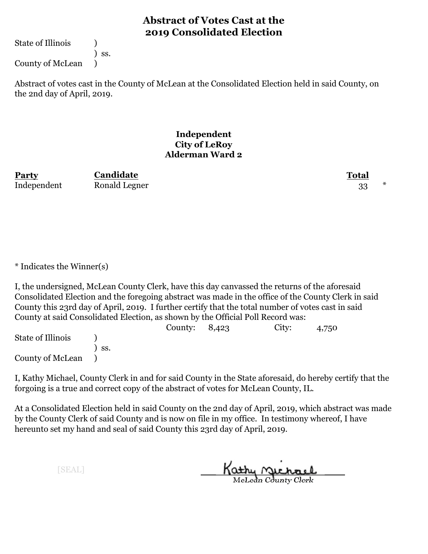State of Illinois (1)

) ss.

County of McLean )

Abstract of votes cast in the County of McLean at the Consolidated Election held in said County, on the 2nd day of April, 2019.

#### **Independent City of LeRoy Alderman Ward 2**

| Party       | Candidate     | <b>Total</b> |  |
|-------------|---------------|--------------|--|
| Independent | Ronald Legner |              |  |

\* Indicates the Winner(s)

I, the undersigned, McLean County Clerk, have this day canvassed the returns of the aforesaid Consolidated Election and the foregoing abstract was made in the office of the County Clerk in said County this 23rd day of April, 2019. I further certify that the total number of votes cast in said County at said Consolidated Election, as shown by the Official Poll Record was:

|                   |              | County: $8,423$ | City: | 4,750 |  |
|-------------------|--------------|-----------------|-------|-------|--|
| State of Illinois |              |                 |       |       |  |
|                   | $\prime$ ss. |                 |       |       |  |
| County of McLean  |              |                 |       |       |  |

I, Kathy Michael, County Clerk in and for said County in the State aforesaid, do hereby certify that the forgoing is a true and correct copy of the abstract of votes for McLean County, IL.

At a Consolidated Election held in said County on the 2nd day of April, 2019, which abstract was made by the County Clerk of said County and is now on file in my office. In testimony whereof, I have hereunto set my hand and seal of said County this 23rd day of April, 2019.

Kathy Michael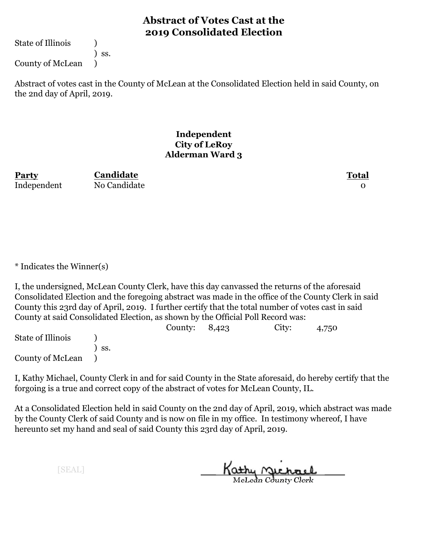State of Illinois (1)

) ss.

County of McLean )

Abstract of votes cast in the County of McLean at the Consolidated Election held in said County, on the 2nd day of April, 2019.

#### **Independent City of LeRoy Alderman Ward 3**

**Party Total Candidate** Independent No Candidate 0

\* Indicates the Winner(s)

I, the undersigned, McLean County Clerk, have this day canvassed the returns of the aforesaid Consolidated Election and the foregoing abstract was made in the office of the County Clerk in said County this 23rd day of April, 2019. I further certify that the total number of votes cast in said County at said Consolidated Election, as shown by the Official Poll Record was:

|                   |                  | County: $8,423$ | City: | 4,750 |  |
|-------------------|------------------|-----------------|-------|-------|--|
| State of Illinois |                  |                 |       |       |  |
|                   | $\mathsf{S}$ SS. |                 |       |       |  |
| County of McLean  |                  |                 |       |       |  |

I, Kathy Michael, County Clerk in and for said County in the State aforesaid, do hereby certify that the forgoing is a true and correct copy of the abstract of votes for McLean County, IL.

At a Consolidated Election held in said County on the 2nd day of April, 2019, which abstract was made by the County Clerk of said County and is now on file in my office. In testimony whereof, I have hereunto set my hand and seal of said County this 23rd day of April, 2019.

Kathy Michael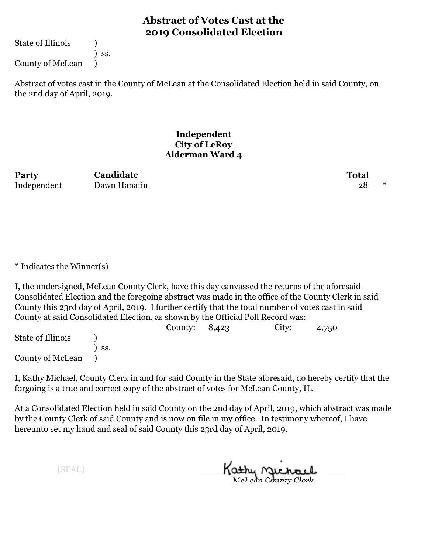State of Illinois (1)

) ss.

County of McLean )

Abstract of votes cast in the County of McLean at the Consolidated Election held in said County, on the 2nd day of April, 2019.

#### **Independent City of LeRoy Alderman Ward 4**

| Party       | Candidate    | Total |  |
|-------------|--------------|-------|--|
| Independent | Dawn Hanafin |       |  |

\* Indicates the Winner(s)

I, the undersigned, McLean County Clerk, have this day canvassed the returns of the aforesaid Consolidated Election and the foregoing abstract was made in the office of the County Clerk in said County this 23rd day of April, 2019. I further certify that the total number of votes cast in said County at said Consolidated Election, as shown by the Official Poll Record was:

|                   |              | County: $8,423$ | City: | 4,750 |  |
|-------------------|--------------|-----------------|-------|-------|--|
| State of Illinois |              |                 |       |       |  |
|                   | $\prime$ ss. |                 |       |       |  |
| County of McLean  |              |                 |       |       |  |

I, Kathy Michael, County Clerk in and for said County in the State aforesaid, do hereby certify that the forgoing is a true and correct copy of the abstract of votes for McLean County, IL.

At a Consolidated Election held in said County on the 2nd day of April, 2019, which abstract was made by the County Clerk of said County and is now on file in my office. In testimony whereof, I have hereunto set my hand and seal of said County this 23rd day of April, 2019.

Kathy <u>Michael</u>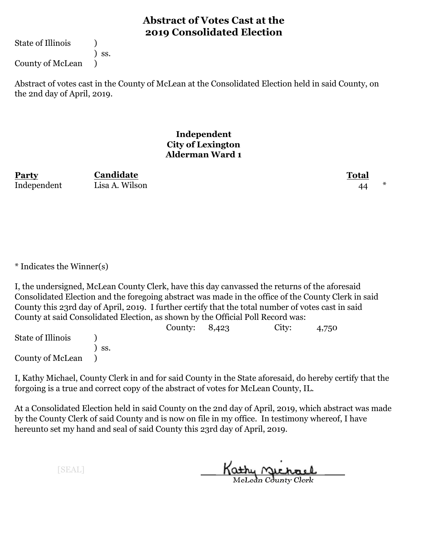State of Illinois (1)

) ss.

County of McLean )

Abstract of votes cast in the County of McLean at the Consolidated Election held in said County, on the 2nd day of April, 2019.

> **Independent City of Lexington Alderman Ward 1**

| Party       | Candidate      | Total |  |
|-------------|----------------|-------|--|
| Independent | Lisa A. Wilson | 44    |  |

\* Indicates the Winner(s)

I, the undersigned, McLean County Clerk, have this day canvassed the returns of the aforesaid Consolidated Election and the foregoing abstract was made in the office of the County Clerk in said County this 23rd day of April, 2019. I further certify that the total number of votes cast in said County at said Consolidated Election, as shown by the Official Poll Record was:

|                   |     | County: $8,423$ | City: | 4,750 |
|-------------------|-----|-----------------|-------|-------|
| State of Illinois |     |                 |       |       |
|                   | SS. |                 |       |       |
| County of McLean  |     |                 |       |       |

I, Kathy Michael, County Clerk in and for said County in the State aforesaid, do hereby certify that the forgoing is a true and correct copy of the abstract of votes for McLean County, IL.

At a Consolidated Election held in said County on the 2nd day of April, 2019, which abstract was made by the County Clerk of said County and is now on file in my office. In testimony whereof, I have hereunto set my hand and seal of said County this 23rd day of April, 2019.

Kathy Michael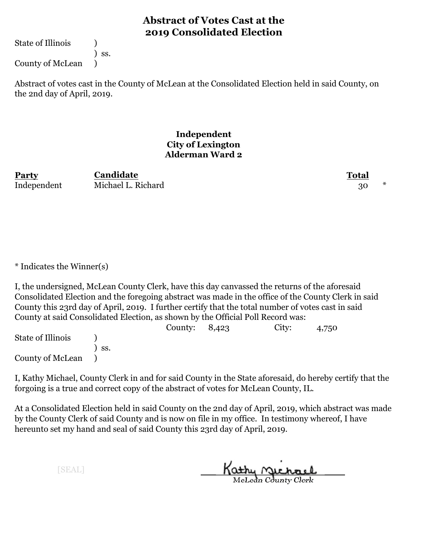State of Illinois (1)

) ss.

County of McLean )

Abstract of votes cast in the County of McLean at the Consolidated Election held in said County, on the 2nd day of April, 2019.

#### **Independent City of Lexington Alderman Ward 2**

| Party       | Candidate          | Total |
|-------------|--------------------|-------|
| Independent | Michael L. Richard |       |

\* Indicates the Winner(s)

I, the undersigned, McLean County Clerk, have this day canvassed the returns of the aforesaid Consolidated Election and the foregoing abstract was made in the office of the County Clerk in said County this 23rd day of April, 2019. I further certify that the total number of votes cast in said County at said Consolidated Election, as shown by the Official Poll Record was:

|                   |              | County: $8,423$ | City: | 4,750 |  |
|-------------------|--------------|-----------------|-------|-------|--|
| State of Illinois |              |                 |       |       |  |
|                   | $\prime$ ss. |                 |       |       |  |
| County of McLean  |              |                 |       |       |  |

I, Kathy Michael, County Clerk in and for said County in the State aforesaid, do hereby certify that the forgoing is a true and correct copy of the abstract of votes for McLean County, IL.

At a Consolidated Election held in said County on the 2nd day of April, 2019, which abstract was made by the County Clerk of said County and is now on file in my office. In testimony whereof, I have hereunto set my hand and seal of said County this 23rd day of April, 2019.

Kathy <u>Michael</u>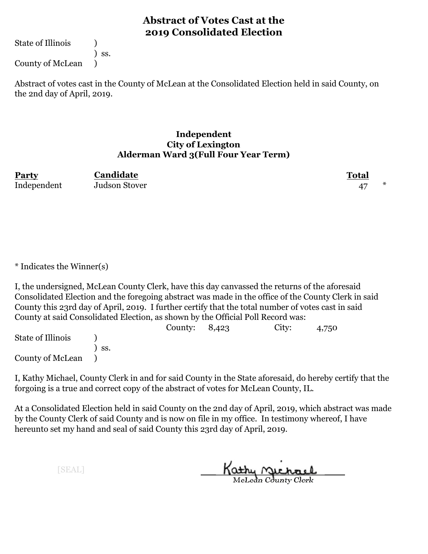State of Illinois (1)

) ss.

County of McLean )

Abstract of votes cast in the County of McLean at the Consolidated Election held in said County, on the 2nd day of April, 2019.

#### **Independent City of Lexington Alderman Ward 3(Full Four Year Term)**

| <b>Party</b> | Candidate     | <b>Total</b> |          |
|--------------|---------------|--------------|----------|
| Independent  | Judson Stover |              | $^\star$ |

\* Indicates the Winner(s)

I, the undersigned, McLean County Clerk, have this day canvassed the returns of the aforesaid Consolidated Election and the foregoing abstract was made in the office of the County Clerk in said County this 23rd day of April, 2019. I further certify that the total number of votes cast in said County at said Consolidated Election, as shown by the Official Poll Record was:

|                   |                  | County: $8,423$ | City: | 4,750 |  |
|-------------------|------------------|-----------------|-------|-------|--|
| State of Illinois |                  |                 |       |       |  |
|                   | $\mathsf{S}$ SS. |                 |       |       |  |
| County of McLean  |                  |                 |       |       |  |

I, Kathy Michael, County Clerk in and for said County in the State aforesaid, do hereby certify that the forgoing is a true and correct copy of the abstract of votes for McLean County, IL.

At a Consolidated Election held in said County on the 2nd day of April, 2019, which abstract was made by the County Clerk of said County and is now on file in my office. In testimony whereof, I have hereunto set my hand and seal of said County this 23rd day of April, 2019.

Kathy <u>Michael</u>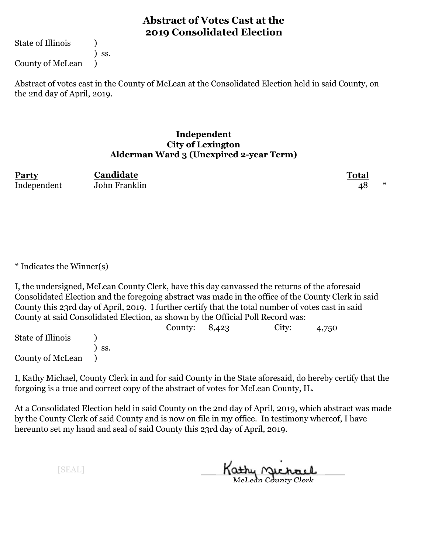State of Illinois (1)

) ss.

County of McLean )

Abstract of votes cast in the County of McLean at the Consolidated Election held in said County, on the 2nd day of April, 2019.

#### **Independent City of Lexington Alderman Ward 3 (Unexpired 2-year Term)**

| Party       | Candidate     | <b>Total</b> |  |
|-------------|---------------|--------------|--|
| Independent | John Franklin | 48           |  |

\* Indicates the Winner(s)

I, the undersigned, McLean County Clerk, have this day canvassed the returns of the aforesaid Consolidated Election and the foregoing abstract was made in the office of the County Clerk in said County this 23rd day of April, 2019. I further certify that the total number of votes cast in said County at said Consolidated Election, as shown by the Official Poll Record was:

|                   |                   | County: $8,423$ | City: | 4,750 |  |
|-------------------|-------------------|-----------------|-------|-------|--|
| State of Illinois |                   |                 |       |       |  |
|                   | $\mathcal{S}$ SS. |                 |       |       |  |
| County of McLean  |                   |                 |       |       |  |

I, Kathy Michael, County Clerk in and for said County in the State aforesaid, do hereby certify that the forgoing is a true and correct copy of the abstract of votes for McLean County, IL.

At a Consolidated Election held in said County on the 2nd day of April, 2019, which abstract was made by the County Clerk of said County and is now on file in my office. In testimony whereof, I have hereunto set my hand and seal of said County this 23rd day of April, 2019.

Kathy <u>Michael</u>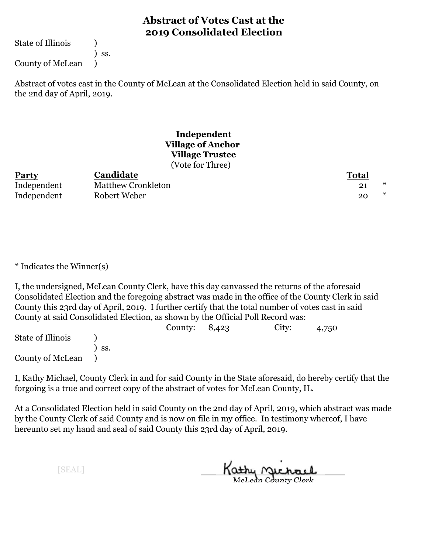State of Illinois (1)

) ss.

County of McLean )

Abstract of votes cast in the County of McLean at the Consolidated Election held in said County, on the 2nd day of April, 2019.

#### **Independent Village of Anchor Village Trustee** (Vote for Three)

| <b>Party</b> | <b>Candidate</b>   | <b>Total</b> |
|--------------|--------------------|--------------|
| Independent  | Matthew Cronkleton | $\ast$       |
| Independent  | Robert Weber       | *<br>20      |

\* Indicates the Winner(s)

I, the undersigned, McLean County Clerk, have this day canvassed the returns of the aforesaid Consolidated Election and the foregoing abstract was made in the office of the County Clerk in said County this 23rd day of April, 2019. I further certify that the total number of votes cast in said County at said Consolidated Election, as shown by the Official Poll Record was:

|                   |     | County: $8,423$ | City: | 4,750 |
|-------------------|-----|-----------------|-------|-------|
| State of Illinois |     |                 |       |       |
|                   | SS. |                 |       |       |
| County of McLean  |     |                 |       |       |

I, Kathy Michael, County Clerk in and for said County in the State aforesaid, do hereby certify that the forgoing is a true and correct copy of the abstract of votes for McLean County, IL.

At a Consolidated Election held in said County on the 2nd day of April, 2019, which abstract was made by the County Clerk of said County and is now on file in my office. In testimony whereof, I have hereunto set my hand and seal of said County this 23rd day of April, 2019.

Kathy <u>Michael</u>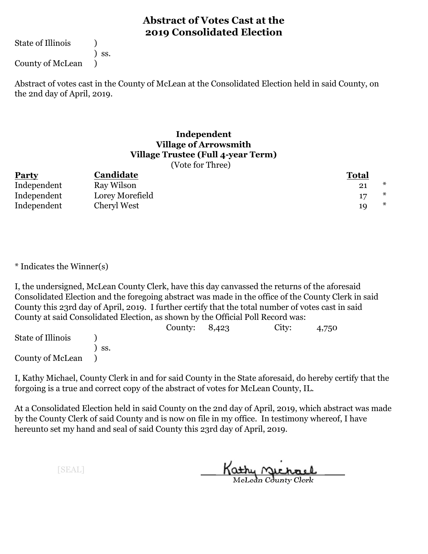State of Illinois (1)

) ss.

County of McLean )

Abstract of votes cast in the County of McLean at the Consolidated Election held in said County, on the 2nd day of April, 2019.

#### **Independent Village of Arrowsmith Village Trustee (Full 4-year Term)** (Vote for Three)

| Party       | Candidate       | <b>Total</b> |
|-------------|-----------------|--------------|
| Independent | Ray Wilson      | *            |
| Independent | Lorey Morefield | *            |
| Independent | Cheryl West     |              |

\* Indicates the Winner(s)

I, the undersigned, McLean County Clerk, have this day canvassed the returns of the aforesaid Consolidated Election and the foregoing abstract was made in the office of the County Clerk in said County this 23rd day of April, 2019. I further certify that the total number of votes cast in said County at said Consolidated Election, as shown by the Official Poll Record was:

|                   |                   | County: $8,423$ | City: | 4,750 |  |
|-------------------|-------------------|-----------------|-------|-------|--|
| State of Illinois |                   |                 |       |       |  |
|                   | $\mathcal{S}$ SS. |                 |       |       |  |
| County of McLean  |                   |                 |       |       |  |

I, Kathy Michael, County Clerk in and for said County in the State aforesaid, do hereby certify that the forgoing is a true and correct copy of the abstract of votes for McLean County, IL.

At a Consolidated Election held in said County on the 2nd day of April, 2019, which abstract was made by the County Clerk of said County and is now on file in my office. In testimony whereof, I have hereunto set my hand and seal of said County this 23rd day of April, 2019.

Kathy Michael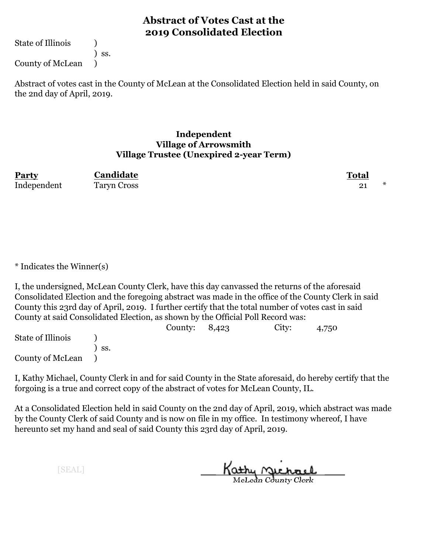State of Illinois (1)

) ss.

County of McLean )

Abstract of votes cast in the County of McLean at the Consolidated Election held in said County, on the 2nd day of April, 2019.

#### **Independent Village of Arrowsmith Village Trustee (Unexpired 2-year Term)**

| Party       | Candidate          | <b>Total</b> |  |
|-------------|--------------------|--------------|--|
| Independent | <b>Taryn Cross</b> |              |  |

\* Indicates the Winner(s)

I, the undersigned, McLean County Clerk, have this day canvassed the returns of the aforesaid Consolidated Election and the foregoing abstract was made in the office of the County Clerk in said County this 23rd day of April, 2019. I further certify that the total number of votes cast in said County at said Consolidated Election, as shown by the Official Poll Record was:

|                   |                   | County: $8,423$ | City: | 4,750 |  |
|-------------------|-------------------|-----------------|-------|-------|--|
| State of Illinois |                   |                 |       |       |  |
|                   | $\mathcal{S}$ SS. |                 |       |       |  |
| County of McLean  |                   |                 |       |       |  |

I, Kathy Michael, County Clerk in and for said County in the State aforesaid, do hereby certify that the forgoing is a true and correct copy of the abstract of votes for McLean County, IL.

At a Consolidated Election held in said County on the 2nd day of April, 2019, which abstract was made by the County Clerk of said County and is now on file in my office. In testimony whereof, I have hereunto set my hand and seal of said County this 23rd day of April, 2019.

Kathy Michael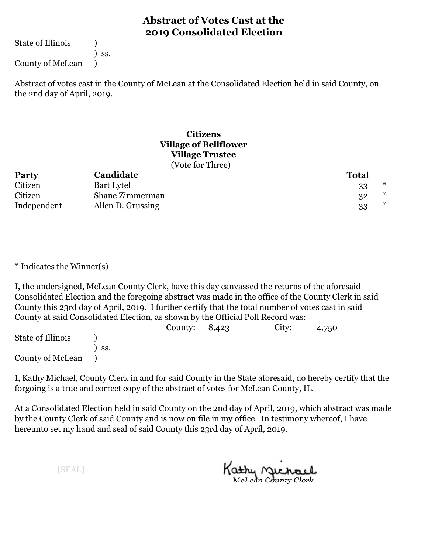State of Illinois (1)

) ss.

County of McLean )

Abstract of votes cast in the County of McLean at the Consolidated Election held in said County, on the 2nd day of April, 2019.

#### **Citizens Village of Bellflower Village Trustee** (Vote for Three)

| Party       | Candidate         | <b>Total</b> |
|-------------|-------------------|--------------|
| Citizen     | Bart Lytel        | ∗            |
| Citizen     | Shane Zimmerman   | *<br>32      |
| Independent | Allen D. Grussing | *<br>33      |

\* Indicates the Winner(s)

I, the undersigned, McLean County Clerk, have this day canvassed the returns of the aforesaid Consolidated Election and the foregoing abstract was made in the office of the County Clerk in said County this 23rd day of April, 2019. I further certify that the total number of votes cast in said County at said Consolidated Election, as shown by the Official Poll Record was:

|                   |                   | County: $8,423$ | City: | 4,750 |  |
|-------------------|-------------------|-----------------|-------|-------|--|
| State of Illinois |                   |                 |       |       |  |
|                   | $\mathcal{S}$ SS. |                 |       |       |  |
| County of McLean  |                   |                 |       |       |  |

I, Kathy Michael, County Clerk in and for said County in the State aforesaid, do hereby certify that the forgoing is a true and correct copy of the abstract of votes for McLean County, IL.

At a Consolidated Election held in said County on the 2nd day of April, 2019, which abstract was made by the County Clerk of said County and is now on file in my office. In testimony whereof, I have hereunto set my hand and seal of said County this 23rd day of April, 2019.

Kathy <u>Michael</u>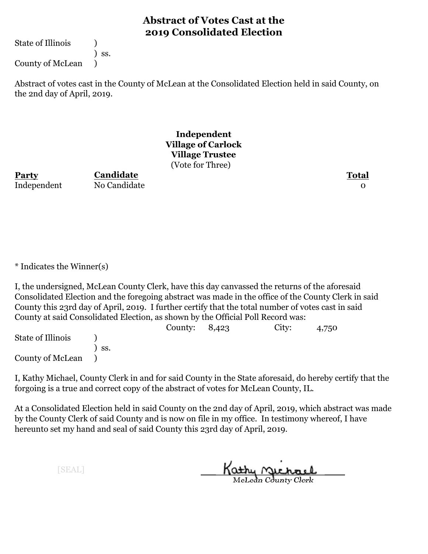State of Illinois (1)

) ss.

County of McLean )

Abstract of votes cast in the County of McLean at the Consolidated Election held in said County, on the 2nd day of April, 2019.

> **Independent Village of Carlock Village Trustee** (Vote for Three)

**Party Total** Independent No Candidate 0

**Candidate**

\* Indicates the Winner(s)

I, the undersigned, McLean County Clerk, have this day canvassed the returns of the aforesaid Consolidated Election and the foregoing abstract was made in the office of the County Clerk in said County this 23rd day of April, 2019. I further certify that the total number of votes cast in said County at said Consolidated Election, as shown by the Official Poll Record was:

County: 8,423 City: 4,750 State of Illinois (a) ) ss. County of McLean )

I, Kathy Michael, County Clerk in and for said County in the State aforesaid, do hereby certify that the forgoing is a true and correct copy of the abstract of votes for McLean County, IL.

At a Consolidated Election held in said County on the 2nd day of April, 2019, which abstract was made by the County Clerk of said County and is now on file in my office. In testimony whereof, I have hereunto set my hand and seal of said County this 23rd day of April, 2019.

Kathy Michael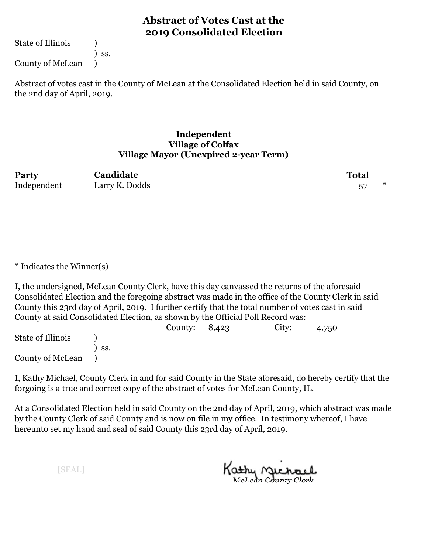State of Illinois (1)

) ss.

County of McLean )

Abstract of votes cast in the County of McLean at the Consolidated Election held in said County, on the 2nd day of April, 2019.

#### **Independent Village of Colfax Village Mayor (Unexpired 2-year Term)**

| Party       | Candidate      | <b>Total</b> |  |
|-------------|----------------|--------------|--|
| Independent | Larry K. Dodds |              |  |

\* Indicates the Winner(s)

I, the undersigned, McLean County Clerk, have this day canvassed the returns of the aforesaid Consolidated Election and the foregoing abstract was made in the office of the County Clerk in said County this 23rd day of April, 2019. I further certify that the total number of votes cast in said County at said Consolidated Election, as shown by the Official Poll Record was:

|                   |                   | County: $8,423$ | City: | 4,750 |  |
|-------------------|-------------------|-----------------|-------|-------|--|
| State of Illinois |                   |                 |       |       |  |
|                   | $\mathcal{S}$ SS. |                 |       |       |  |
| County of McLean  |                   |                 |       |       |  |

I, Kathy Michael, County Clerk in and for said County in the State aforesaid, do hereby certify that the forgoing is a true and correct copy of the abstract of votes for McLean County, IL.

At a Consolidated Election held in said County on the 2nd day of April, 2019, which abstract was made by the County Clerk of said County and is now on file in my office. In testimony whereof, I have hereunto set my hand and seal of said County this 23rd day of April, 2019.

Kathy Michael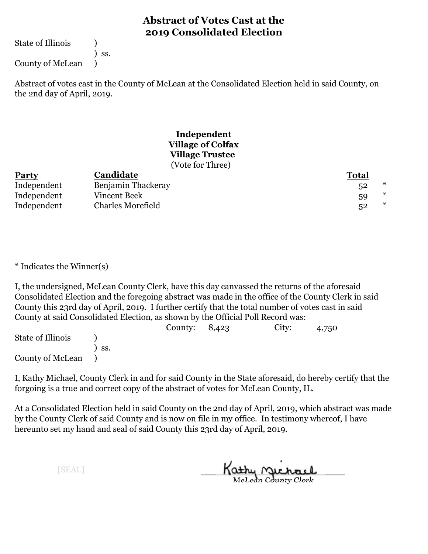State of Illinois (1)

) ss.

County of McLean )

Abstract of votes cast in the County of McLean at the Consolidated Election held in said County, on the 2nd day of April, 2019.

#### **Independent Village of Colfax Village Trustee** (Vote for Three)

| <b>Party</b> | Candidate                | <b>Total</b> |
|--------------|--------------------------|--------------|
| Independent  | Benjamin Thackeray       | *            |
| Independent  | Vincent Beck             | ∗<br>59      |
| Independent  | <b>Charles Morefield</b> | ∗<br>52      |

\* Indicates the Winner(s)

I, the undersigned, McLean County Clerk, have this day canvassed the returns of the aforesaid Consolidated Election and the foregoing abstract was made in the office of the County Clerk in said County this 23rd day of April, 2019. I further certify that the total number of votes cast in said County at said Consolidated Election, as shown by the Official Poll Record was:

|                   |     | County: $8,423$ | City: | 4,750 |  |
|-------------------|-----|-----------------|-------|-------|--|
| State of Illinois |     |                 |       |       |  |
|                   | SS. |                 |       |       |  |
| County of McLean  |     |                 |       |       |  |

I, Kathy Michael, County Clerk in and for said County in the State aforesaid, do hereby certify that the forgoing is a true and correct copy of the abstract of votes for McLean County, IL.

At a Consolidated Election held in said County on the 2nd day of April, 2019, which abstract was made by the County Clerk of said County and is now on file in my office. In testimony whereof, I have hereunto set my hand and seal of said County this 23rd day of April, 2019.

Kathy <u>Michael</u>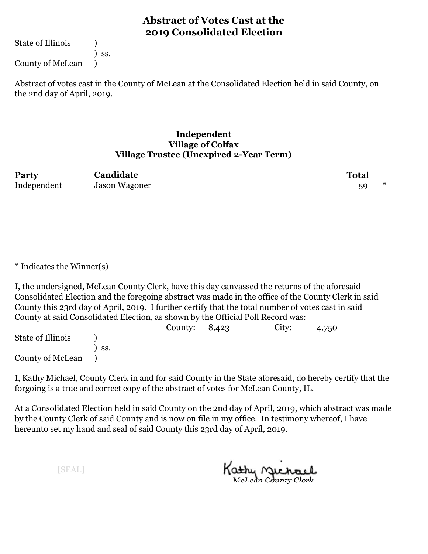State of Illinois (1)

) ss.

County of McLean )

Abstract of votes cast in the County of McLean at the Consolidated Election held in said County, on the 2nd day of April, 2019.

#### **Independent Village of Colfax Village Trustee (Unexpired 2-Year Term)**

| Party       | Candidate     | Total |  |
|-------------|---------------|-------|--|
| Independent | Jason Wagoner |       |  |

\* Indicates the Winner(s)

I, the undersigned, McLean County Clerk, have this day canvassed the returns of the aforesaid Consolidated Election and the foregoing abstract was made in the office of the County Clerk in said County this 23rd day of April, 2019. I further certify that the total number of votes cast in said County at said Consolidated Election, as shown by the Official Poll Record was:

|                   |                   | County: $8,423$ | City: | 4,750 |  |
|-------------------|-------------------|-----------------|-------|-------|--|
| State of Illinois |                   |                 |       |       |  |
|                   | $\mathcal{S}$ SS. |                 |       |       |  |
| County of McLean  |                   |                 |       |       |  |

I, Kathy Michael, County Clerk in and for said County in the State aforesaid, do hereby certify that the forgoing is a true and correct copy of the abstract of votes for McLean County, IL.

At a Consolidated Election held in said County on the 2nd day of April, 2019, which abstract was made by the County Clerk of said County and is now on file in my office. In testimony whereof, I have hereunto set my hand and seal of said County this 23rd day of April, 2019.

Kathy <u>Michael</u>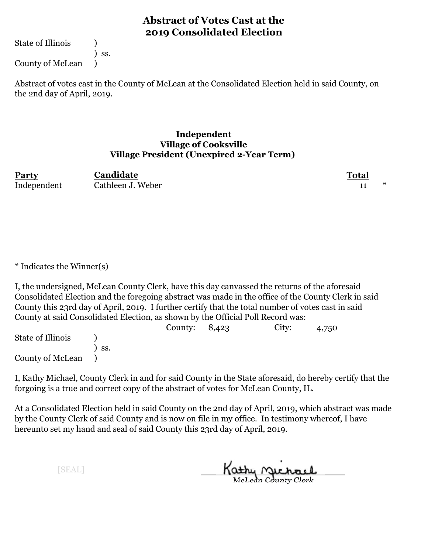State of Illinois (1)

) ss.

County of McLean )

Abstract of votes cast in the County of McLean at the Consolidated Election held in said County, on the 2nd day of April, 2019.

#### **Independent Village of Cooksville Village President (Unexpired 2-Year Term)**

| Party       | Candidate         | <b>Total</b> |  |
|-------------|-------------------|--------------|--|
| Independent | Cathleen J. Weber |              |  |

\* Indicates the Winner(s)

I, the undersigned, McLean County Clerk, have this day canvassed the returns of the aforesaid Consolidated Election and the foregoing abstract was made in the office of the County Clerk in said County this 23rd day of April, 2019. I further certify that the total number of votes cast in said County at said Consolidated Election, as shown by the Official Poll Record was:

|                   |                   | County: $8,423$ | City: | 4,750 |  |
|-------------------|-------------------|-----------------|-------|-------|--|
| State of Illinois |                   |                 |       |       |  |
|                   | $\mathcal{S}$ SS. |                 |       |       |  |
| County of McLean  |                   |                 |       |       |  |

I, Kathy Michael, County Clerk in and for said County in the State aforesaid, do hereby certify that the forgoing is a true and correct copy of the abstract of votes for McLean County, IL.

At a Consolidated Election held in said County on the 2nd day of April, 2019, which abstract was made by the County Clerk of said County and is now on file in my office. In testimony whereof, I have hereunto set my hand and seal of said County this 23rd day of April, 2019.

Kathy <u>Michael</u>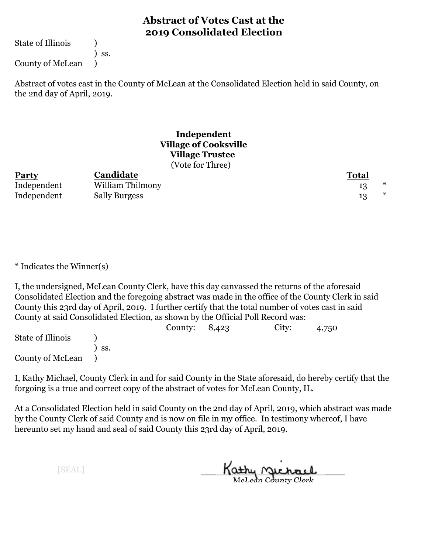State of Illinois (1)

) ss.

County of McLean )

Abstract of votes cast in the County of McLean at the Consolidated Election held in said County, on the 2nd day of April, 2019.

#### **Independent Village of Cooksville Village Trustee** (Vote for Three)

| <b>Party</b> | Candidate            | <b>Total</b> |
|--------------|----------------------|--------------|
| Independent  | William Thilmony     |              |
| Independent  | <b>Sally Burgess</b> | *            |

\* Indicates the Winner(s)

I, the undersigned, McLean County Clerk, have this day canvassed the returns of the aforesaid Consolidated Election and the foregoing abstract was made in the office of the County Clerk in said County this 23rd day of April, 2019. I further certify that the total number of votes cast in said County at said Consolidated Election, as shown by the Official Poll Record was:

|                   |       | County: $8,423$ | City: | 4,750 |  |
|-------------------|-------|-----------------|-------|-------|--|
| State of Illinois |       |                 |       |       |  |
|                   | ` SS. |                 |       |       |  |
| County of McLean  |       |                 |       |       |  |

I, Kathy Michael, County Clerk in and for said County in the State aforesaid, do hereby certify that the forgoing is a true and correct copy of the abstract of votes for McLean County, IL.

At a Consolidated Election held in said County on the 2nd day of April, 2019, which abstract was made by the County Clerk of said County and is now on file in my office. In testimony whereof, I have hereunto set my hand and seal of said County this 23rd day of April, 2019.

Kathy Michael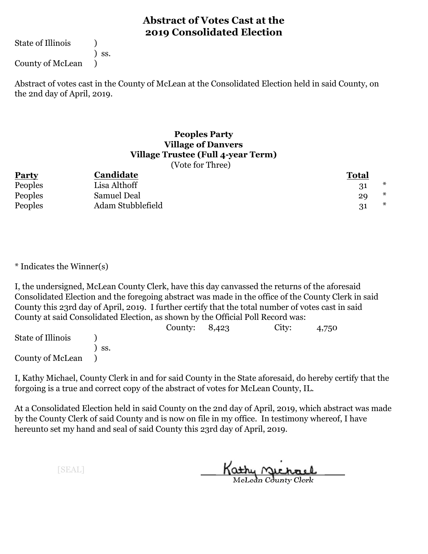State of Illinois (1)

) ss.

County of McLean )

Abstract of votes cast in the County of McLean at the Consolidated Election held in said County, on the 2nd day of April, 2019.

#### **Peoples Party Village of Danvers Village Trustee (Full 4-year Term)** (Vote for Three)

| <b>Party</b> | Candidate         | <b>Total</b> |
|--------------|-------------------|--------------|
|              |                   | ∗            |
| Peoples      | Lisa Althoff      |              |
| Peoples      | Samuel Deal       | ∗<br>29      |
| Peoples      | Adam Stubblefield | $\ast$       |

\* Indicates the Winner(s)

I, the undersigned, McLean County Clerk, have this day canvassed the returns of the aforesaid Consolidated Election and the foregoing abstract was made in the office of the County Clerk in said County this 23rd day of April, 2019. I further certify that the total number of votes cast in said County at said Consolidated Election, as shown by the Official Poll Record was:

|                   |                   | County: $8,423$ | City: | 4,750 |  |
|-------------------|-------------------|-----------------|-------|-------|--|
| State of Illinois |                   |                 |       |       |  |
|                   | $\mathcal{S}$ SS. |                 |       |       |  |
| County of McLean  |                   |                 |       |       |  |

I, Kathy Michael, County Clerk in and for said County in the State aforesaid, do hereby certify that the forgoing is a true and correct copy of the abstract of votes for McLean County, IL.

At a Consolidated Election held in said County on the 2nd day of April, 2019, which abstract was made by the County Clerk of said County and is now on file in my office. In testimony whereof, I have hereunto set my hand and seal of said County this 23rd day of April, 2019.

Kathy Michael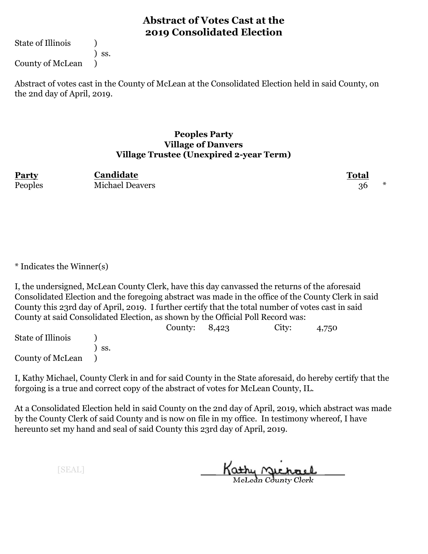State of Illinois (1)

) ss.

County of McLean )

Abstract of votes cast in the County of McLean at the Consolidated Election held in said County, on the 2nd day of April, 2019.

#### **Peoples Party Village of Danvers Village Trustee (Unexpired 2-year Term)**

| Party   | Candidate              | <b>Total</b> |  |
|---------|------------------------|--------------|--|
| Peoples | <b>Michael Deavers</b> |              |  |

\* Indicates the Winner(s)

I, the undersigned, McLean County Clerk, have this day canvassed the returns of the aforesaid Consolidated Election and the foregoing abstract was made in the office of the County Clerk in said County this 23rd day of April, 2019. I further certify that the total number of votes cast in said County at said Consolidated Election, as shown by the Official Poll Record was:

|                   |                   | County: $8,423$ | City: | 4,750 |  |
|-------------------|-------------------|-----------------|-------|-------|--|
| State of Illinois |                   |                 |       |       |  |
|                   | $\mathcal{S}$ SS. |                 |       |       |  |
| County of McLean  |                   |                 |       |       |  |

I, Kathy Michael, County Clerk in and for said County in the State aforesaid, do hereby certify that the forgoing is a true and correct copy of the abstract of votes for McLean County, IL.

At a Consolidated Election held in said County on the 2nd day of April, 2019, which abstract was made by the County Clerk of said County and is now on file in my office. In testimony whereof, I have hereunto set my hand and seal of said County this 23rd day of April, 2019.

Kathy <u>Michael</u>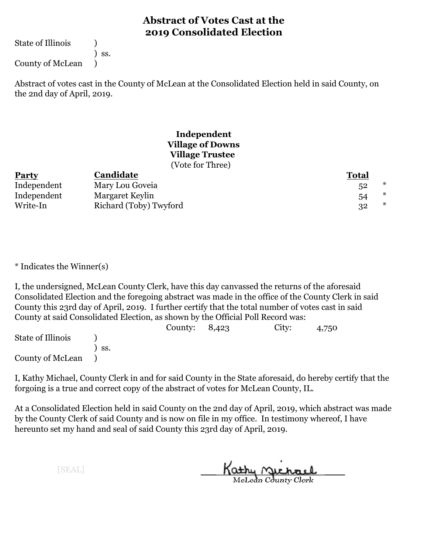State of Illinois (1)

) ss.

County of McLean )

Abstract of votes cast in the County of McLean at the Consolidated Election held in said County, on the 2nd day of April, 2019.

#### **Independent Village of Downs Village Trustee** (Vote for Three)

| <b>Party</b> | Candidate              | <u>Total</u> |
|--------------|------------------------|--------------|
| Independent  | Mary Lou Goveia        | ∗<br>52      |
| Independent  | Margaret Keylin        | ∗<br>54      |
| Write-In     | Richard (Toby) Twyford | 32           |

\* Indicates the Winner(s)

I, the undersigned, McLean County Clerk, have this day canvassed the returns of the aforesaid Consolidated Election and the foregoing abstract was made in the office of the County Clerk in said County this 23rd day of April, 2019. I further certify that the total number of votes cast in said County at said Consolidated Election, as shown by the Official Poll Record was:

|                   |     | County: $8,423$ | City: | 4,750 |  |
|-------------------|-----|-----------------|-------|-------|--|
| State of Illinois |     |                 |       |       |  |
|                   | SS. |                 |       |       |  |
| County of McLean  |     |                 |       |       |  |

I, Kathy Michael, County Clerk in and for said County in the State aforesaid, do hereby certify that the forgoing is a true and correct copy of the abstract of votes for McLean County, IL.

At a Consolidated Election held in said County on the 2nd day of April, 2019, which abstract was made by the County Clerk of said County and is now on file in my office. In testimony whereof, I have hereunto set my hand and seal of said County this 23rd day of April, 2019.

Kathy <u>Michael</u>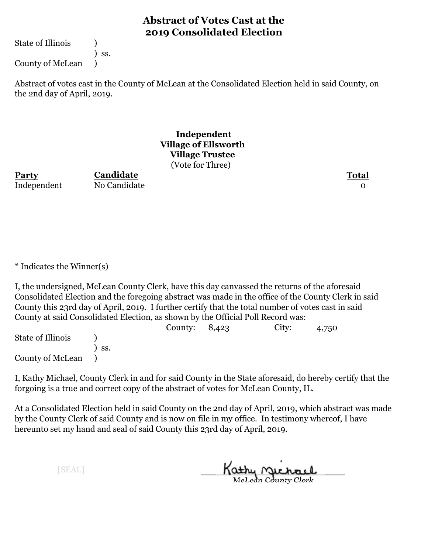State of Illinois (1)

) ss.

County of McLean )

Abstract of votes cast in the County of McLean at the Consolidated Election held in said County, on the 2nd day of April, 2019.

#### **Independent Village of Ellsworth Village Trustee** (Vote for Three)

**Party Total Candidate**

Independent No Candidate 0

\* Indicates the Winner(s)

I, the undersigned, McLean County Clerk, have this day canvassed the returns of the aforesaid Consolidated Election and the foregoing abstract was made in the office of the County Clerk in said County this 23rd day of April, 2019. I further certify that the total number of votes cast in said County at said Consolidated Election, as shown by the Official Poll Record was:

|                   |              | County: $8,423$ | City: | 4,750 |  |
|-------------------|--------------|-----------------|-------|-------|--|
| State of Illinois |              |                 |       |       |  |
|                   | $\prime$ ss. |                 |       |       |  |
| County of McLean  |              |                 |       |       |  |

I, Kathy Michael, County Clerk in and for said County in the State aforesaid, do hereby certify that the forgoing is a true and correct copy of the abstract of votes for McLean County, IL.

At a Consolidated Election held in said County on the 2nd day of April, 2019, which abstract was made by the County Clerk of said County and is now on file in my office. In testimony whereof, I have hereunto set my hand and seal of said County this 23rd day of April, 2019.

Kathy Michael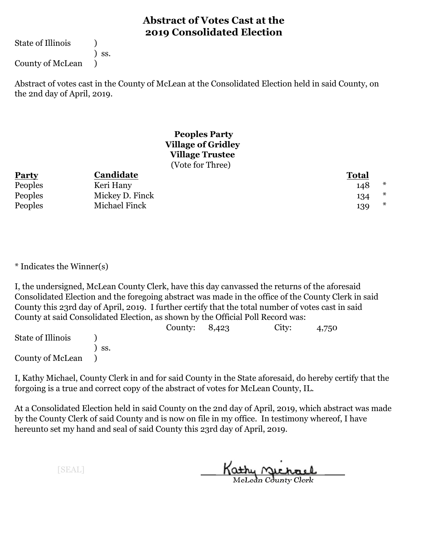State of Illinois (1)

) ss.

County of McLean )

Abstract of votes cast in the County of McLean at the Consolidated Election held in said County, on the 2nd day of April, 2019.

#### **Peoples Party Village of Gridley Village Trustee** (Vote for Three)

| <b>Party</b> | Candidate       | <b>Total</b> |        |
|--------------|-----------------|--------------|--------|
| Peoples      | Keri Hany       | 148          | $\ast$ |
| Peoples      | Mickey D. Finck | 134          | $\ast$ |
| Peoples      | Michael Finck   | 139          | $\ast$ |

\* Indicates the Winner(s)

I, the undersigned, McLean County Clerk, have this day canvassed the returns of the aforesaid Consolidated Election and the foregoing abstract was made in the office of the County Clerk in said County this 23rd day of April, 2019. I further certify that the total number of votes cast in said County at said Consolidated Election, as shown by the Official Poll Record was:

|                   |                   | County: $8,423$ | City: | 4,750 |  |
|-------------------|-------------------|-----------------|-------|-------|--|
| State of Illinois |                   |                 |       |       |  |
|                   | $\mathcal{S}$ SS. |                 |       |       |  |
| County of McLean  |                   |                 |       |       |  |

I, Kathy Michael, County Clerk in and for said County in the State aforesaid, do hereby certify that the forgoing is a true and correct copy of the abstract of votes for McLean County, IL.

At a Consolidated Election held in said County on the 2nd day of April, 2019, which abstract was made by the County Clerk of said County and is now on file in my office. In testimony whereof, I have hereunto set my hand and seal of said County this 23rd day of April, 2019.

Kathy <u>Michael</u>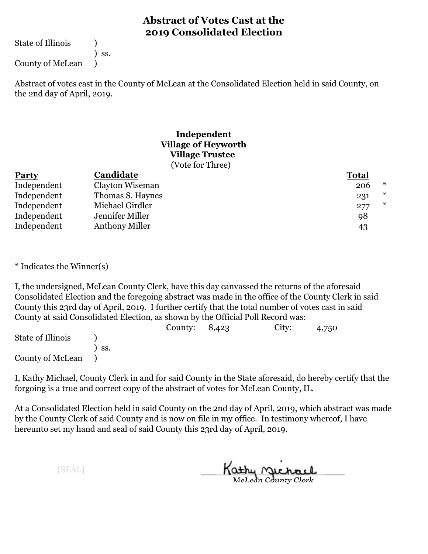State of Illinois (1)

) ss.

County of McLean )

Abstract of votes cast in the County of McLean at the Consolidated Election held in said County, on the 2nd day of April, 2019.

#### **Independent Village of Heyworth Village Trustee** (Vote for Three)

| <b>Party</b> | Candidate             | <b>Total</b> |        |
|--------------|-----------------------|--------------|--------|
| Independent  | Clayton Wiseman       | 206          | $\ast$ |
| Independent  | Thomas S. Haynes      | 231          | $\ast$ |
| Independent  | Michael Girdler       | 277          | ∗      |
| Independent  | Jennifer Miller       | 98           |        |
| Independent  | <b>Anthony Miller</b> | 43           |        |

\* Indicates the Winner(s)

I, the undersigned, McLean County Clerk, have this day canvassed the returns of the aforesaid Consolidated Election and the foregoing abstract was made in the office of the County Clerk in said County this 23rd day of April, 2019. I further certify that the total number of votes cast in said County at said Consolidated Election, as shown by the Official Poll Record was:

|                   |     | County: $8,423$ | City: | 4,750 |
|-------------------|-----|-----------------|-------|-------|
| State of Illinois |     |                 |       |       |
|                   | SS. |                 |       |       |
| County of McLean  |     |                 |       |       |

I, Kathy Michael, County Clerk in and for said County in the State aforesaid, do hereby certify that the forgoing is a true and correct copy of the abstract of votes for McLean County, IL.

At a Consolidated Election held in said County on the 2nd day of April, 2019, which abstract was made by the County Clerk of said County and is now on file in my office. In testimony whereof, I have hereunto set my hand and seal of said County this 23rd day of April, 2019.

Kathy <u>Michael</u>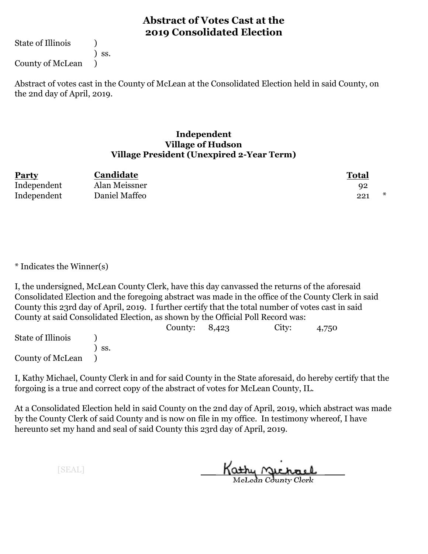State of Illinois (1)

) ss.

County of McLean )

Abstract of votes cast in the County of McLean at the Consolidated Election held in said County, on the 2nd day of April, 2019.

#### **Independent Village of Hudson Village President (Unexpired 2-Year Term)**

| <b>Party</b> | Candidate     | Total    |
|--------------|---------------|----------|
| Independent  | Alan Meissner | 92       |
| Independent  | Daniel Maffeo | *<br>221 |

\* Indicates the Winner(s)

I, the undersigned, McLean County Clerk, have this day canvassed the returns of the aforesaid Consolidated Election and the foregoing abstract was made in the office of the County Clerk in said County this 23rd day of April, 2019. I further certify that the total number of votes cast in said County at said Consolidated Election, as shown by the Official Poll Record was:

|                   |     | County: $8,423$ | City: | 4,750 |  |
|-------------------|-----|-----------------|-------|-------|--|
| State of Illinois |     |                 |       |       |  |
|                   | SS. |                 |       |       |  |
| County of McLean  |     |                 |       |       |  |

I, Kathy Michael, County Clerk in and for said County in the State aforesaid, do hereby certify that the forgoing is a true and correct copy of the abstract of votes for McLean County, IL.

At a Consolidated Election held in said County on the 2nd day of April, 2019, which abstract was made by the County Clerk of said County and is now on file in my office. In testimony whereof, I have hereunto set my hand and seal of said County this 23rd day of April, 2019.

Kathy <u>Michael</u>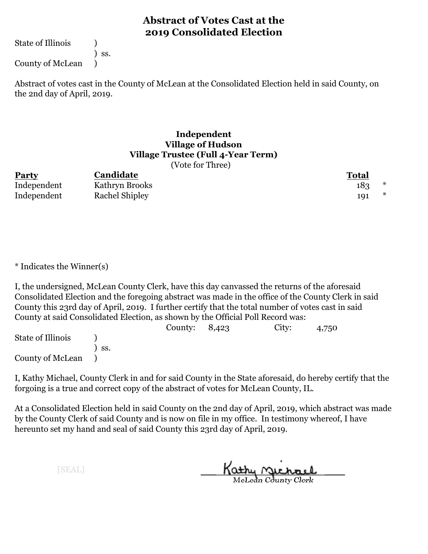State of Illinois (1)

) ss.

County of McLean )

Abstract of votes cast in the County of McLean at the Consolidated Election held in said County, on the 2nd day of April, 2019.

#### **Independent Village of Hudson Village Trustee (Full 4-Year Term)**  $(Nota for Thraa)$

|             | $\sqrt{2}$            |              |
|-------------|-----------------------|--------------|
| Party       | Candidate             | <b>Total</b> |
| Independent | Kathryn Brooks        | *<br>183     |
| Independent | <b>Rachel Shipley</b> | ∗<br>191     |

\* Indicates the Winner(s)

I, the undersigned, McLean County Clerk, have this day canvassed the returns of the aforesaid Consolidated Election and the foregoing abstract was made in the office of the County Clerk in said County this 23rd day of April, 2019. I further certify that the total number of votes cast in said County at said Consolidated Election, as shown by the Official Poll Record was:

|                   |       | County: $8,423$ | City: | 4,750 |  |
|-------------------|-------|-----------------|-------|-------|--|
| State of Illinois |       |                 |       |       |  |
|                   | ` SS. |                 |       |       |  |
| County of McLean  |       |                 |       |       |  |

I, Kathy Michael, County Clerk in and for said County in the State aforesaid, do hereby certify that the forgoing is a true and correct copy of the abstract of votes for McLean County, IL.

At a Consolidated Election held in said County on the 2nd day of April, 2019, which abstract was made by the County Clerk of said County and is now on file in my office. In testimony whereof, I have hereunto set my hand and seal of said County this 23rd day of April, 2019.

Kathy Michael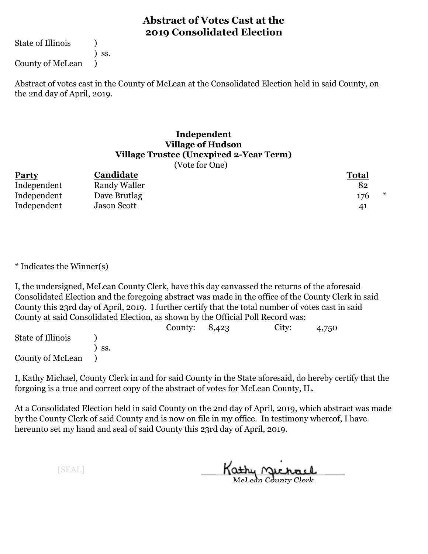State of Illinois (1)

) ss.

County of McLean )

Abstract of votes cast in the County of McLean at the Consolidated Election held in said County, on the 2nd day of April, 2019.

#### **Independent Village of Hudson Village Trustee (Unexpired 2-Year Term)**

(Vote for One)

| <b>Party</b> | Candidate          | <b>Total</b> |
|--------------|--------------------|--------------|
| Independent  | Randy Waller       | 82           |
| Independent  | Dave Brutlag       | 176          |
| Independent  | <b>Jason Scott</b> | 41           |

\* Indicates the Winner(s)

I, the undersigned, McLean County Clerk, have this day canvassed the returns of the aforesaid Consolidated Election and the foregoing abstract was made in the office of the County Clerk in said County this 23rd day of April, 2019. I further certify that the total number of votes cast in said County at said Consolidated Election, as shown by the Official Poll Record was:

|                   |     | County: $8,423$ | City: | 4,750 |  |
|-------------------|-----|-----------------|-------|-------|--|
| State of Illinois |     |                 |       |       |  |
|                   | SS. |                 |       |       |  |
| County of McLean  |     |                 |       |       |  |

I, Kathy Michael, County Clerk in and for said County in the State aforesaid, do hereby certify that the forgoing is a true and correct copy of the abstract of votes for McLean County, IL.

At a Consolidated Election held in said County on the 2nd day of April, 2019, which abstract was made by the County Clerk of said County and is now on file in my office. In testimony whereof, I have hereunto set my hand and seal of said County this 23rd day of April, 2019.

Kathy <u>Michael</u>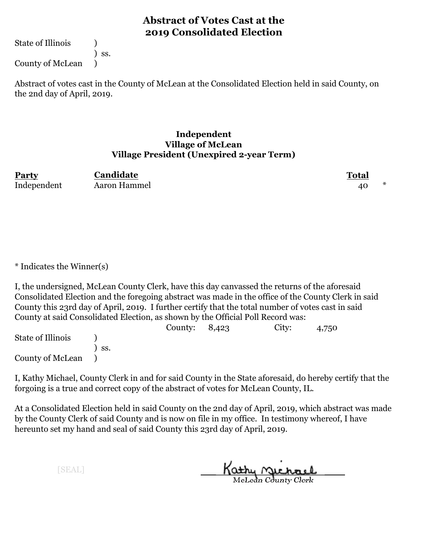State of Illinois (1)

) ss.

County of McLean )

Abstract of votes cast in the County of McLean at the Consolidated Election held in said County, on the 2nd day of April, 2019.

#### **Independent Village of McLean Village President (Unexpired 2-year Term)**

| Party       | Candidate    | Total |  |
|-------------|--------------|-------|--|
| Independent | Aaron Hammel | 40    |  |

\* Indicates the Winner(s)

I, the undersigned, McLean County Clerk, have this day canvassed the returns of the aforesaid Consolidated Election and the foregoing abstract was made in the office of the County Clerk in said County this 23rd day of April, 2019. I further certify that the total number of votes cast in said County at said Consolidated Election, as shown by the Official Poll Record was:

|                   |                   | County: $8,423$ | City: | 4,750 |  |
|-------------------|-------------------|-----------------|-------|-------|--|
| State of Illinois |                   |                 |       |       |  |
|                   | $\mathcal{S}$ SS. |                 |       |       |  |
| County of McLean  |                   |                 |       |       |  |

I, Kathy Michael, County Clerk in and for said County in the State aforesaid, do hereby certify that the forgoing is a true and correct copy of the abstract of votes for McLean County, IL.

At a Consolidated Election held in said County on the 2nd day of April, 2019, which abstract was made by the County Clerk of said County and is now on file in my office. In testimony whereof, I have hereunto set my hand and seal of said County this 23rd day of April, 2019.

Kathy <u>Michael</u>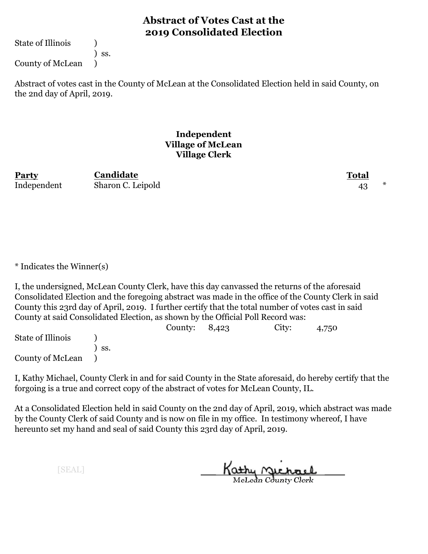State of Illinois (1)

) ss.

County of McLean )

Abstract of votes cast in the County of McLean at the Consolidated Election held in said County, on the 2nd day of April, 2019.

#### **Independent Village of McLean Village Clerk**

**Party Total Candidate** Independent Sharon C. Leipold 43  $*$ 

\* Indicates the Winner(s)

I, the undersigned, McLean County Clerk, have this day canvassed the returns of the aforesaid Consolidated Election and the foregoing abstract was made in the office of the County Clerk in said County this 23rd day of April, 2019. I further certify that the total number of votes cast in said County at said Consolidated Election, as shown by the Official Poll Record was:

|                   |                   | County: $8,423$ | City: | 4,750 |  |
|-------------------|-------------------|-----------------|-------|-------|--|
| State of Illinois |                   |                 |       |       |  |
|                   | $\mathcal{S}$ SS. |                 |       |       |  |
| County of McLean  |                   |                 |       |       |  |

I, Kathy Michael, County Clerk in and for said County in the State aforesaid, do hereby certify that the forgoing is a true and correct copy of the abstract of votes for McLean County, IL.

At a Consolidated Election held in said County on the 2nd day of April, 2019, which abstract was made by the County Clerk of said County and is now on file in my office. In testimony whereof, I have hereunto set my hand and seal of said County this 23rd day of April, 2019.

Kathy Michael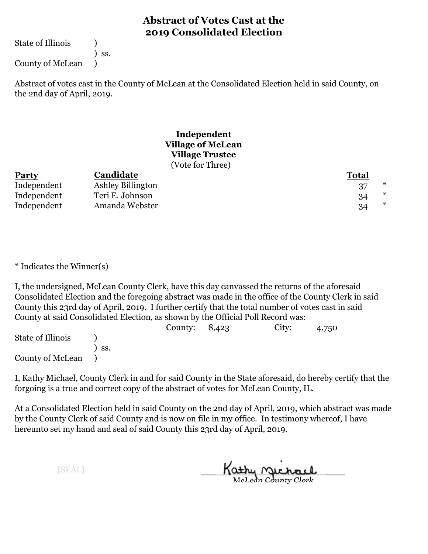State of Illinois (1)

) ss.

County of McLean )

Abstract of votes cast in the County of McLean at the Consolidated Election held in said County, on the 2nd day of April, 2019.

#### **Independent Village of McLean Village Trustee** (Vote for Three)

| <b>Party</b> | Candidate                | <b>Total</b> |
|--------------|--------------------------|--------------|
| Independent  | <b>Ashley Billington</b> | *            |
| Independent  | Teri E. Johnson          | *<br>34      |
| Independent  | Amanda Webster           | 34           |

\* Indicates the Winner(s)

I, the undersigned, McLean County Clerk, have this day canvassed the returns of the aforesaid Consolidated Election and the foregoing abstract was made in the office of the County Clerk in said County this 23rd day of April, 2019. I further certify that the total number of votes cast in said County at said Consolidated Election, as shown by the Official Poll Record was:

|                   |                   | County: $8,423$ | City: | 4,750 |  |
|-------------------|-------------------|-----------------|-------|-------|--|
| State of Illinois |                   |                 |       |       |  |
|                   | $\mathcal{S}$ SS. |                 |       |       |  |
| County of McLean  |                   |                 |       |       |  |

I, Kathy Michael, County Clerk in and for said County in the State aforesaid, do hereby certify that the forgoing is a true and correct copy of the abstract of votes for McLean County, IL.

At a Consolidated Election held in said County on the 2nd day of April, 2019, which abstract was made by the County Clerk of said County and is now on file in my office. In testimony whereof, I have hereunto set my hand and seal of said County this 23rd day of April, 2019.

Kathy <u>Michael</u>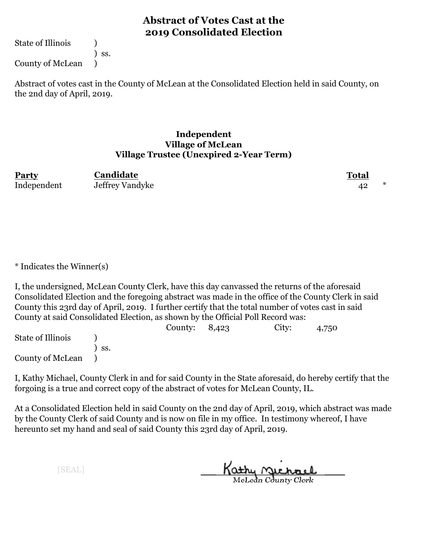State of Illinois (1)

) ss.

County of McLean )

Abstract of votes cast in the County of McLean at the Consolidated Election held in said County, on the 2nd day of April, 2019.

#### **Independent Village of McLean Village Trustee (Unexpired 2-Year Term)**

| Party       | Candidate       | <b>Total</b> |  |
|-------------|-----------------|--------------|--|
| Independent | Jeffrey Vandyke |              |  |

\* Indicates the Winner(s)

I, the undersigned, McLean County Clerk, have this day canvassed the returns of the aforesaid Consolidated Election and the foregoing abstract was made in the office of the County Clerk in said County this 23rd day of April, 2019. I further certify that the total number of votes cast in said County at said Consolidated Election, as shown by the Official Poll Record was:

|                   |                   | County: $8,423$ | City: | 4,750 |  |
|-------------------|-------------------|-----------------|-------|-------|--|
| State of Illinois |                   |                 |       |       |  |
|                   | $\mathcal{S}$ SS. |                 |       |       |  |
| County of McLean  |                   |                 |       |       |  |

I, Kathy Michael, County Clerk in and for said County in the State aforesaid, do hereby certify that the forgoing is a true and correct copy of the abstract of votes for McLean County, IL.

At a Consolidated Election held in said County on the 2nd day of April, 2019, which abstract was made by the County Clerk of said County and is now on file in my office. In testimony whereof, I have hereunto set my hand and seal of said County this 23rd day of April, 2019.

Kathy <u>Michael</u>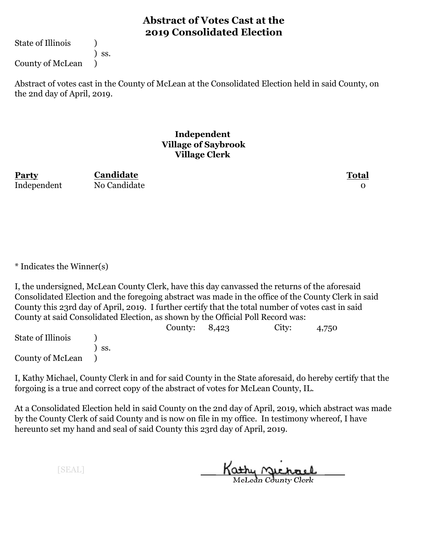State of Illinois (1)

) ss.

County of McLean )

Abstract of votes cast in the County of McLean at the Consolidated Election held in said County, on the 2nd day of April, 2019.

#### **Independent Village of Saybrook Village Clerk**

**Party Total Candidate** Independent No Candidate 0

\* Indicates the Winner(s)

I, the undersigned, McLean County Clerk, have this day canvassed the returns of the aforesaid Consolidated Election and the foregoing abstract was made in the office of the County Clerk in said County this 23rd day of April, 2019. I further certify that the total number of votes cast in said County at said Consolidated Election, as shown by the Official Poll Record was:

|                   |              | County: $8,423$ | City: | 4,750 |  |
|-------------------|--------------|-----------------|-------|-------|--|
| State of Illinois |              |                 |       |       |  |
|                   | $\prime$ ss. |                 |       |       |  |
| County of McLean  |              |                 |       |       |  |

I, Kathy Michael, County Clerk in and for said County in the State aforesaid, do hereby certify that the forgoing is a true and correct copy of the abstract of votes for McLean County, IL.

At a Consolidated Election held in said County on the 2nd day of April, 2019, which abstract was made by the County Clerk of said County and is now on file in my office. In testimony whereof, I have hereunto set my hand and seal of said County this 23rd day of April, 2019.

Kathy Michael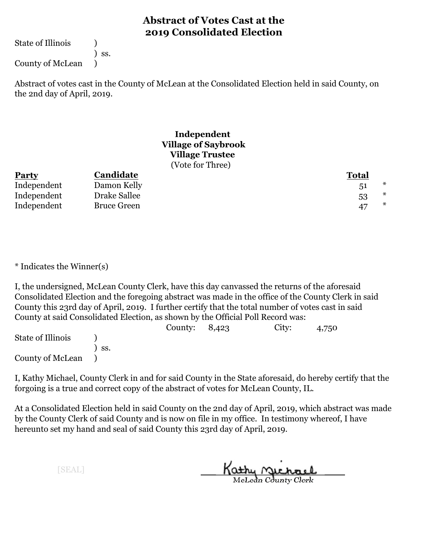State of Illinois (1)

) ss.

County of McLean )

Abstract of votes cast in the County of McLean at the Consolidated Election held in said County, on the 2nd day of April, 2019.

## **Independent Village of Saybrook Village Trustee** (Vote for Three)

| <b>Party</b> | Candidate          | <b>Total</b> |   |
|--------------|--------------------|--------------|---|
| Independent  | Damon Kelly        | 51           | * |
| Independent  | Drake Sallee       | 53           | * |
| Independent  | <b>Bruce Green</b> | 47           | * |

\* Indicates the Winner(s)

I, the undersigned, McLean County Clerk, have this day canvassed the returns of the aforesaid Consolidated Election and the foregoing abstract was made in the office of the County Clerk in said County this 23rd day of April, 2019. I further certify that the total number of votes cast in said County at said Consolidated Election, as shown by the Official Poll Record was:

|                   |                  | County: $8,423$ | City: | 4,750 |  |
|-------------------|------------------|-----------------|-------|-------|--|
| State of Illinois |                  |                 |       |       |  |
|                   | $\mathsf{S}$ SS. |                 |       |       |  |
| County of McLean  |                  |                 |       |       |  |

I, Kathy Michael, County Clerk in and for said County in the State aforesaid, do hereby certify that the forgoing is a true and correct copy of the abstract of votes for McLean County, IL.

At a Consolidated Election held in said County on the 2nd day of April, 2019, which abstract was made by the County Clerk of said County and is now on file in my office. In testimony whereof, I have hereunto set my hand and seal of said County this 23rd day of April, 2019.

Kathy <u>Michael</u>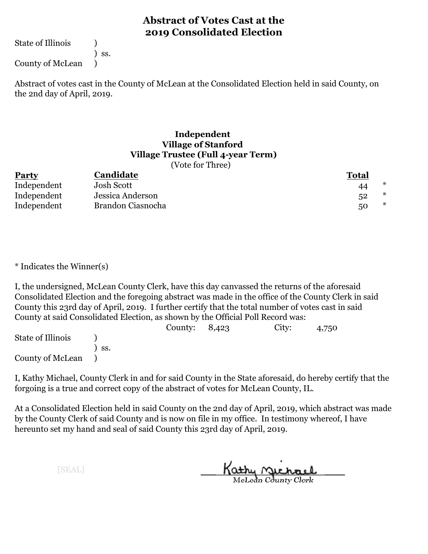State of Illinois (1)

) ss.

County of McLean )

Abstract of votes cast in the County of McLean at the Consolidated Election held in said County, on the 2nd day of April, 2019.

# **Independent Village of Stanford Village Trustee (Full 4-year Term)**

(Vote for Three)

| <b>Party</b> | Candidate         | <b>Total</b> |   |
|--------------|-------------------|--------------|---|
| Independent  | Josh Scott        | 44           |   |
| Independent  | Jessica Anderson  | 52           | ∗ |
| Independent  | Brandon Ciasnocha | 50           | * |

\* Indicates the Winner(s)

I, the undersigned, McLean County Clerk, have this day canvassed the returns of the aforesaid Consolidated Election and the foregoing abstract was made in the office of the County Clerk in said County this 23rd day of April, 2019. I further certify that the total number of votes cast in said County at said Consolidated Election, as shown by the Official Poll Record was:

|                   |                  | County: $8,423$ | City: | 4,750 |  |
|-------------------|------------------|-----------------|-------|-------|--|
| State of Illinois |                  |                 |       |       |  |
|                   | $\mathsf{S}$ SS. |                 |       |       |  |
| County of McLean  |                  |                 |       |       |  |

I, Kathy Michael, County Clerk in and for said County in the State aforesaid, do hereby certify that the forgoing is a true and correct copy of the abstract of votes for McLean County, IL.

At a Consolidated Election held in said County on the 2nd day of April, 2019, which abstract was made by the County Clerk of said County and is now on file in my office. In testimony whereof, I have hereunto set my hand and seal of said County this 23rd day of April, 2019.

Kathy Michael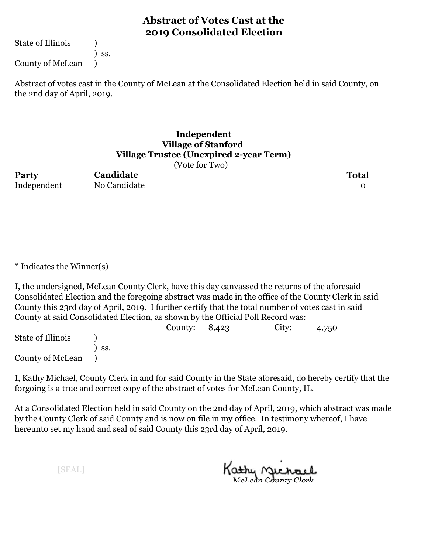State of Illinois (1)

) ss.

County of McLean )

Abstract of votes cast in the County of McLean at the Consolidated Election held in said County, on the 2nd day of April, 2019.

## **Independent Village of Stanford Village Trustee (Unexpired 2-year Term)**

(Vote for Two)

**Party Total** Independent No Candidate 0

**Candidate**

\* Indicates the Winner(s)

I, the undersigned, McLean County Clerk, have this day canvassed the returns of the aforesaid Consolidated Election and the foregoing abstract was made in the office of the County Clerk in said County this 23rd day of April, 2019. I further certify that the total number of votes cast in said County at said Consolidated Election, as shown by the Official Poll Record was:

County: 8,423 City: 4,750 State of Illinois (a) ) ss. County of McLean )

I, Kathy Michael, County Clerk in and for said County in the State aforesaid, do hereby certify that the forgoing is a true and correct copy of the abstract of votes for McLean County, IL.

At a Consolidated Election held in said County on the 2nd day of April, 2019, which abstract was made by the County Clerk of said County and is now on file in my office. In testimony whereof, I have hereunto set my hand and seal of said County this 23rd day of April, 2019.

Kathy Michael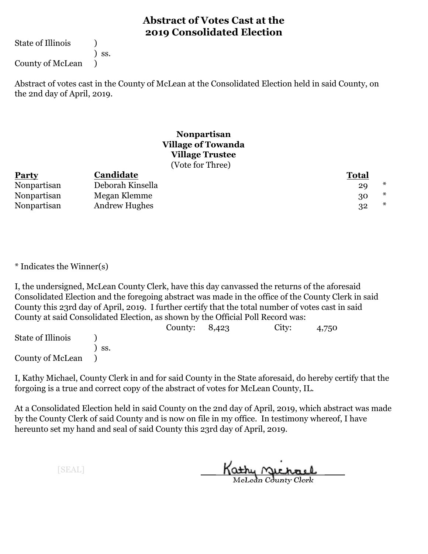State of Illinois (1)

) ss.

County of McLean )

Abstract of votes cast in the County of McLean at the Consolidated Election held in said County, on the 2nd day of April, 2019.

## **Nonpartisan Village of Towanda Village Trustee** (Vote for Three)

| <b>Party</b> | Candidate            | <b>Total</b> |   |
|--------------|----------------------|--------------|---|
| Nonpartisan  | Deborah Kinsella     | 29           | ∗ |
| Nonpartisan  | Megan Klemme         | 30           | * |
| Nonpartisan  | <b>Andrew Hughes</b> | 32           | * |

\* Indicates the Winner(s)

I, the undersigned, McLean County Clerk, have this day canvassed the returns of the aforesaid Consolidated Election and the foregoing abstract was made in the office of the County Clerk in said County this 23rd day of April, 2019. I further certify that the total number of votes cast in said County at said Consolidated Election, as shown by the Official Poll Record was:

|                   |                  | County: $8,423$ | City: | 4,750 |  |
|-------------------|------------------|-----------------|-------|-------|--|
| State of Illinois |                  |                 |       |       |  |
|                   | $\mathsf{S}$ SS. |                 |       |       |  |
| County of McLean  |                  |                 |       |       |  |

I, Kathy Michael, County Clerk in and for said County in the State aforesaid, do hereby certify that the forgoing is a true and correct copy of the abstract of votes for McLean County, IL.

At a Consolidated Election held in said County on the 2nd day of April, 2019, which abstract was made by the County Clerk of said County and is now on file in my office. In testimony whereof, I have hereunto set my hand and seal of said County this 23rd day of April, 2019.

Kathy <u>Michael</u>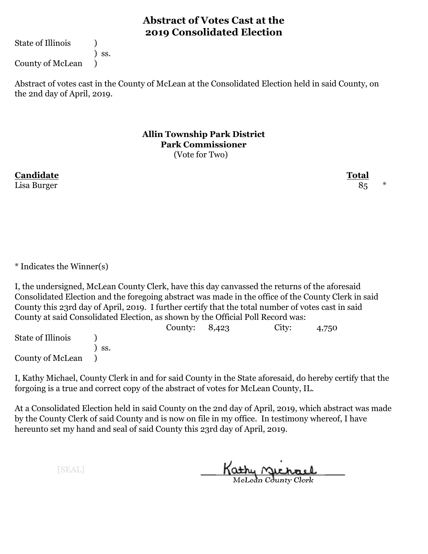State of Illinois (1)

) ss.

County of McLean )

Abstract of votes cast in the County of McLean at the Consolidated Election held in said County, on the 2nd day of April, 2019.

> **Allin Township Park District Park Commissioner** (Vote for Two)

**Candidate Total** Lisa Burger  $85$   $*$ 

\* Indicates the Winner(s)

I, the undersigned, McLean County Clerk, have this day canvassed the returns of the aforesaid Consolidated Election and the foregoing abstract was made in the office of the County Clerk in said County this 23rd day of April, 2019. I further certify that the total number of votes cast in said County at said Consolidated Election, as shown by the Official Poll Record was:

County: 8,423 City: 4,750 State of Illinois (a) ) ss. County of McLean )

I, Kathy Michael, County Clerk in and for said County in the State aforesaid, do hereby certify that the forgoing is a true and correct copy of the abstract of votes for McLean County, IL.

At a Consolidated Election held in said County on the 2nd day of April, 2019, which abstract was made by the County Clerk of said County and is now on file in my office. In testimony whereof, I have hereunto set my hand and seal of said County this 23rd day of April, 2019.

Kathy Michael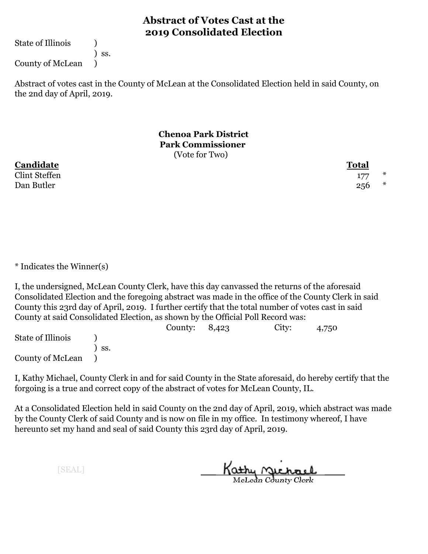State of Illinois (1)

) ss.

County of McLean )

Abstract of votes cast in the County of McLean at the Consolidated Election held in said County, on the 2nd day of April, 2019.

> **Chenoa Park District Park Commissioner** (Vote for Two)

**Candidate Total**

 $\frac{177}{ }$  \* Dan Butler  $256$  \*

\* Indicates the Winner(s)

I, the undersigned, McLean County Clerk, have this day canvassed the returns of the aforesaid Consolidated Election and the foregoing abstract was made in the office of the County Clerk in said County this 23rd day of April, 2019. I further certify that the total number of votes cast in said County at said Consolidated Election, as shown by the Official Poll Record was:

County: 8,423 City: 4,750 State of Illinois (a) ) ss. County of McLean )

I, Kathy Michael, County Clerk in and for said County in the State aforesaid, do hereby certify that the forgoing is a true and correct copy of the abstract of votes for McLean County, IL.

At a Consolidated Election held in said County on the 2nd day of April, 2019, which abstract was made by the County Clerk of said County and is now on file in my office. In testimony whereof, I have hereunto set my hand and seal of said County this 23rd day of April, 2019.

Kathy Michael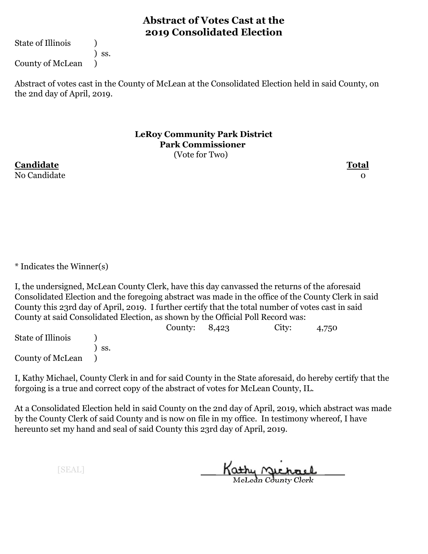State of Illinois (1)

) ss.

County of McLean )

Abstract of votes cast in the County of McLean at the Consolidated Election held in said County, on the 2nd day of April, 2019.

> **LeRoy Community Park District Park Commissioner** (Vote for Two)

**Candidate Total** No Candidate and the contract of the contract of the contract of the contract of the contract of the contract o

\* Indicates the Winner(s)

I, the undersigned, McLean County Clerk, have this day canvassed the returns of the aforesaid Consolidated Election and the foregoing abstract was made in the office of the County Clerk in said County this 23rd day of April, 2019. I further certify that the total number of votes cast in said County at said Consolidated Election, as shown by the Official Poll Record was:

County: 8,423 City: 4,750 State of Illinois (a) ) ss. County of McLean )

I, Kathy Michael, County Clerk in and for said County in the State aforesaid, do hereby certify that the forgoing is a true and correct copy of the abstract of votes for McLean County, IL.

At a Consolidated Election held in said County on the 2nd day of April, 2019, which abstract was made by the County Clerk of said County and is now on file in my office. In testimony whereof, I have hereunto set my hand and seal of said County this 23rd day of April, 2019.

Kathy Michael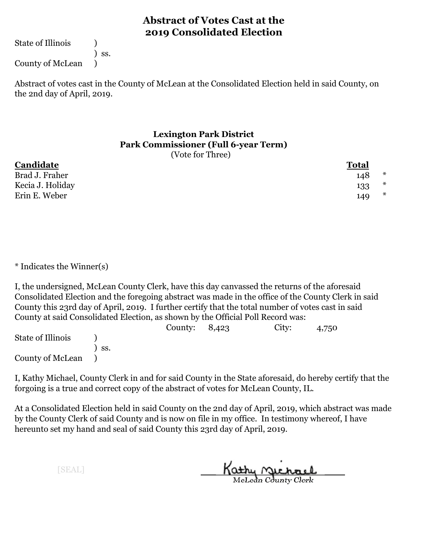State of Illinois (1)

) ss.

County of McLean )

Abstract of votes cast in the County of McLean at the Consolidated Election held in said County, on the 2nd day of April, 2019.

## **Lexington Park District Park Commissioner (Full 6-year Term)** (Vote for Three)

| Candidate        | <b>Total</b> |        |
|------------------|--------------|--------|
| Brad J. Fraher   | 148          | ∗      |
| Kecia J. Holiday | 133          | $\ast$ |
| Erin E. Weber    | 149          | ∗      |

\* Indicates the Winner(s)

I, the undersigned, McLean County Clerk, have this day canvassed the returns of the aforesaid Consolidated Election and the foregoing abstract was made in the office of the County Clerk in said County this 23rd day of April, 2019. I further certify that the total number of votes cast in said County at said Consolidated Election, as shown by the Official Poll Record was:

|                   |     | County: $8,423$ | City: | 4,750 |  |
|-------------------|-----|-----------------|-------|-------|--|
| State of Illinois |     |                 |       |       |  |
|                   | SS. |                 |       |       |  |
| County of McLean  |     |                 |       |       |  |

I, Kathy Michael, County Clerk in and for said County in the State aforesaid, do hereby certify that the forgoing is a true and correct copy of the abstract of votes for McLean County, IL.

At a Consolidated Election held in said County on the 2nd day of April, 2019, which abstract was made by the County Clerk of said County and is now on file in my office. In testimony whereof, I have hereunto set my hand and seal of said County this 23rd day of April, 2019.

Kathy <u>Michael</u>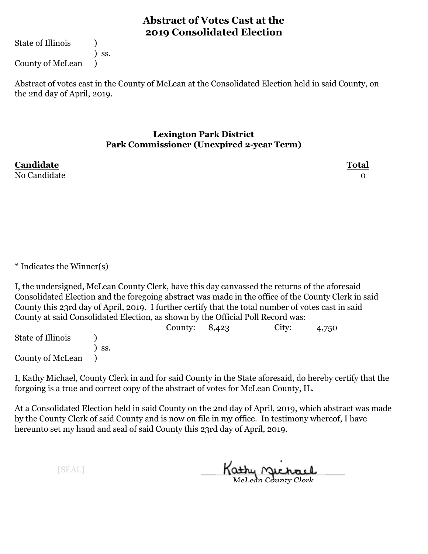State of Illinois (1)

) ss.

County of McLean )

Abstract of votes cast in the County of McLean at the Consolidated Election held in said County, on the 2nd day of April, 2019.

## **Lexington Park District Park Commissioner (Unexpired 2-year Term)**

No Candidate and the contract of the contract of the contract of the contract of the contract of the contract o

**Candidate Total**

\* Indicates the Winner(s)

I, the undersigned, McLean County Clerk, have this day canvassed the returns of the aforesaid Consolidated Election and the foregoing abstract was made in the office of the County Clerk in said County this 23rd day of April, 2019. I further certify that the total number of votes cast in said County at said Consolidated Election, as shown by the Official Poll Record was:

County: 8,423 City: 4,750 State of Illinois (a) ) ss. County of McLean )

I, Kathy Michael, County Clerk in and for said County in the State aforesaid, do hereby certify that the forgoing is a true and correct copy of the abstract of votes for McLean County, IL.

At a Consolidated Election held in said County on the 2nd day of April, 2019, which abstract was made by the County Clerk of said County and is now on file in my office. In testimony whereof, I have hereunto set my hand and seal of said County this 23rd day of April, 2019.

Kathy Michael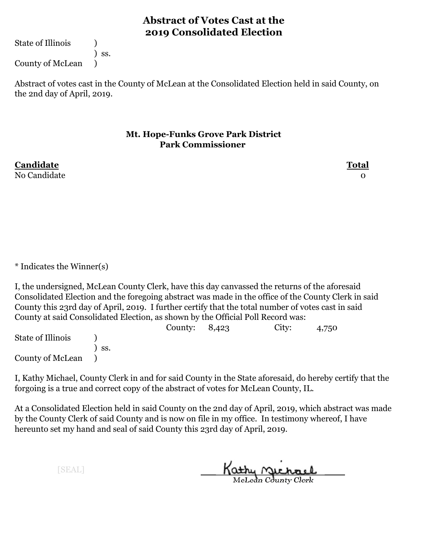State of Illinois (1)

) ss. County of McLean )

Abstract of votes cast in the County of McLean at the Consolidated Election held in said County, on the 2nd day of April, 2019.

## **Mt. Hope-Funks Grove Park District Park Commissioner**

No Candidate and the contract of the contract of the contract of the contract of the contract of the contract o

**Candidate Total**

\* Indicates the Winner(s)

I, the undersigned, McLean County Clerk, have this day canvassed the returns of the aforesaid Consolidated Election and the foregoing abstract was made in the office of the County Clerk in said County this 23rd day of April, 2019. I further certify that the total number of votes cast in said County at said Consolidated Election, as shown by the Official Poll Record was:

County: 8,423 City: 4,750 State of Illinois (a) ) ss. County of McLean )

I, Kathy Michael, County Clerk in and for said County in the State aforesaid, do hereby certify that the forgoing is a true and correct copy of the abstract of votes for McLean County, IL.

At a Consolidated Election held in said County on the 2nd day of April, 2019, which abstract was made by the County Clerk of said County and is now on file in my office. In testimony whereof, I have hereunto set my hand and seal of said County this 23rd day of April, 2019.

Kathy Michael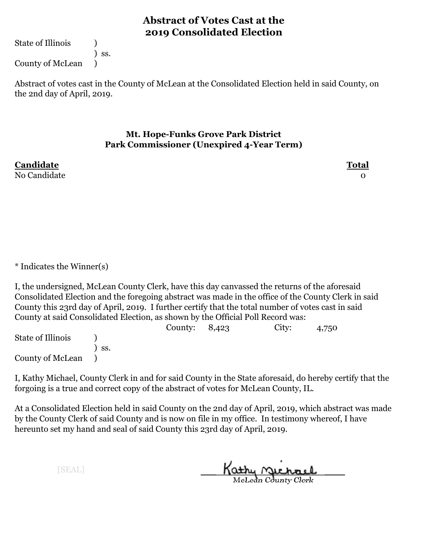State of Illinois (1)

County of McLean )

) ss.

Abstract of votes cast in the County of McLean at the Consolidated Election held in said County, on the 2nd day of April, 2019.

## **Mt. Hope-Funks Grove Park District Park Commissioner (Unexpired 4-Year Term)**

No Candidate and the contract of the contract of the contract of the contract of the contract of the contract o

**Candidate Total**

\* Indicates the Winner(s)

I, the undersigned, McLean County Clerk, have this day canvassed the returns of the aforesaid Consolidated Election and the foregoing abstract was made in the office of the County Clerk in said County this 23rd day of April, 2019. I further certify that the total number of votes cast in said County at said Consolidated Election, as shown by the Official Poll Record was:

County: 8,423 City: 4,750 State of Illinois (a) ) ss. County of McLean )

I, Kathy Michael, County Clerk in and for said County in the State aforesaid, do hereby certify that the forgoing is a true and correct copy of the abstract of votes for McLean County, IL.

At a Consolidated Election held in said County on the 2nd day of April, 2019, which abstract was made by the County Clerk of said County and is now on file in my office. In testimony whereof, I have hereunto set my hand and seal of said County this 23rd day of April, 2019.

Kathy Michael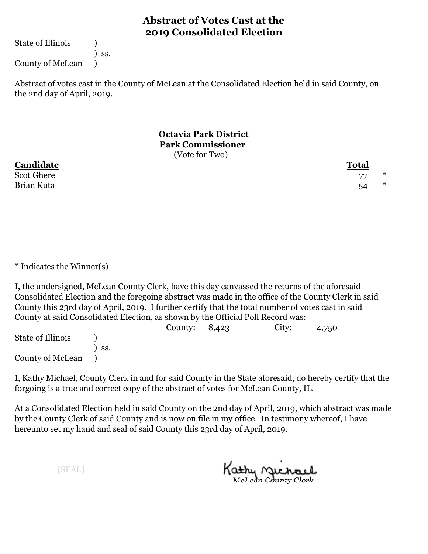State of Illinois (1)

) ss.

County of McLean )

Abstract of votes cast in the County of McLean at the Consolidated Election held in said County, on the 2nd day of April, 2019.

> **Octavia Park District Park Commissioner** (Vote for Two)

**Candidate Total**

Scot Ghere 27  $*$ Brian Kuta 54 \*

\* Indicates the Winner(s)

I, the undersigned, McLean County Clerk, have this day canvassed the returns of the aforesaid Consolidated Election and the foregoing abstract was made in the office of the County Clerk in said County this 23rd day of April, 2019. I further certify that the total number of votes cast in said County at said Consolidated Election, as shown by the Official Poll Record was:

County: 8,423 City: 4,750 State of Illinois (a) ) ss. County of McLean )

I, Kathy Michael, County Clerk in and for said County in the State aforesaid, do hereby certify that the forgoing is a true and correct copy of the abstract of votes for McLean County, IL.

At a Consolidated Election held in said County on the 2nd day of April, 2019, which abstract was made by the County Clerk of said County and is now on file in my office. In testimony whereof, I have hereunto set my hand and seal of said County this 23rd day of April, 2019.

Kathy <u>Michael</u>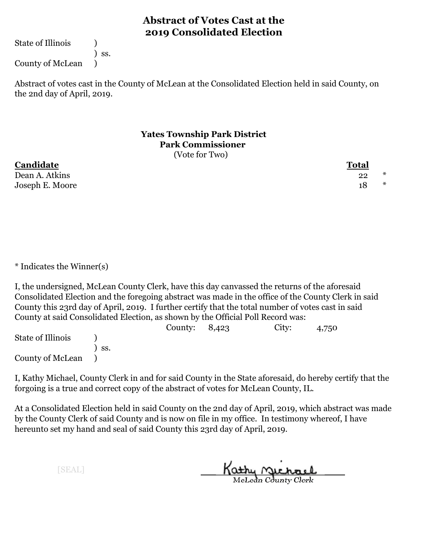State of Illinois (1)

) ss.

County of McLean )

Abstract of votes cast in the County of McLean at the Consolidated Election held in said County, on the 2nd day of April, 2019.

#### **Yates Township Park District Park Commissioner** (Vote for Two)

**Candidate Total**

Dean A. Atkins 22 \* Joseph E. Moore 18 and 18 and 18 and 18 and 18 and 18 and 18 and 18 and 18 and 18 and 18 and 18 and 18 and 18 and 18 and 18 and 18 and 18 and 18 and 18 and 18 and 18 and 18 and 18 and 18 and 18 and 18 and 18 and 18 and 18

\* Indicates the Winner(s)

I, the undersigned, McLean County Clerk, have this day canvassed the returns of the aforesaid Consolidated Election and the foregoing abstract was made in the office of the County Clerk in said County this 23rd day of April, 2019. I further certify that the total number of votes cast in said County at said Consolidated Election, as shown by the Official Poll Record was:

County: 8,423 City: 4,750 State of Illinois (a) ) ss. County of McLean )

I, Kathy Michael, County Clerk in and for said County in the State aforesaid, do hereby certify that the forgoing is a true and correct copy of the abstract of votes for McLean County, IL.

At a Consolidated Election held in said County on the 2nd day of April, 2019, which abstract was made by the County Clerk of said County and is now on file in my office. In testimony whereof, I have hereunto set my hand and seal of said County this 23rd day of April, 2019.

Kathy Michael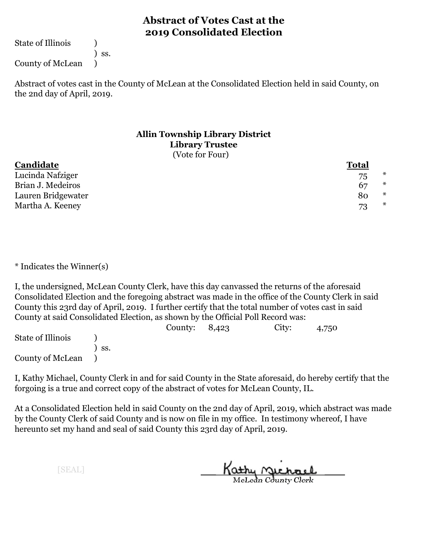State of Illinois (1)

) ss.

County of McLean )

Abstract of votes cast in the County of McLean at the Consolidated Election held in said County, on the 2nd day of April, 2019.

### **Allin Township Library District Library Trustee** (Vote for Four)

| Candidate          | Total |        |
|--------------------|-------|--------|
| Lucinda Nafziger   | 75    | $\ast$ |
| Brian J. Medeiros  | 67    | $\ast$ |
| Lauren Bridgewater | 80    | ∗      |
| Martha A. Keeney   | 73    | $\ast$ |

\* Indicates the Winner(s)

I, the undersigned, McLean County Clerk, have this day canvassed the returns of the aforesaid Consolidated Election and the foregoing abstract was made in the office of the County Clerk in said County this 23rd day of April, 2019. I further certify that the total number of votes cast in said County at said Consolidated Election, as shown by the Official Poll Record was:

|                   |     | County: $8,423$ | City: | 4,750 |  |
|-------------------|-----|-----------------|-------|-------|--|
| State of Illinois |     |                 |       |       |  |
|                   | SS. |                 |       |       |  |
| County of McLean  |     |                 |       |       |  |

I, Kathy Michael, County Clerk in and for said County in the State aforesaid, do hereby certify that the forgoing is a true and correct copy of the abstract of votes for McLean County, IL.

At a Consolidated Election held in said County on the 2nd day of April, 2019, which abstract was made by the County Clerk of said County and is now on file in my office. In testimony whereof, I have hereunto set my hand and seal of said County this 23rd day of April, 2019.

Kathy <u>Michael</u>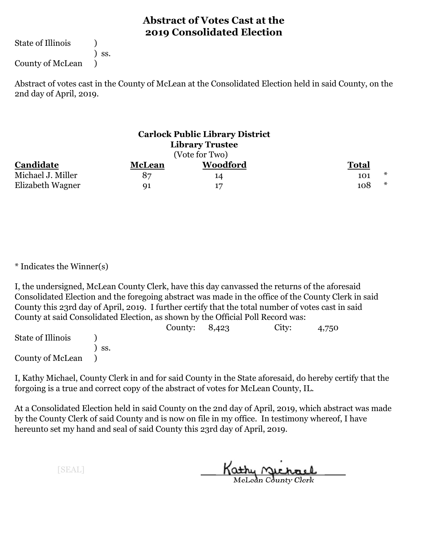State of Illinois (1)

) ss.

County of McLean )

Abstract of votes cast in the County of McLean at the Consolidated Election held in said County, on the 2nd day of April, 2019.

| <b>Carlock Public Library District</b><br><b>Library Trustee</b><br>(Vote for Two) |               |                 |               |  |
|------------------------------------------------------------------------------------|---------------|-----------------|---------------|--|
| Candidate                                                                          | <b>McLean</b> | <b>Woodford</b> | <b>Total</b>  |  |
| Michael J. Miller                                                                  | 87            | 14              | $\ast$<br>101 |  |
| Elizabeth Wagner                                                                   | <b>91</b>     | 17              | $\ast$<br>108 |  |

\* Indicates the Winner(s)

I, the undersigned, McLean County Clerk, have this day canvassed the returns of the aforesaid Consolidated Election and the foregoing abstract was made in the office of the County Clerk in said County this 23rd day of April, 2019. I further certify that the total number of votes cast in said County at said Consolidated Election, as shown by the Official Poll Record was:

|                   |     | County: $8,423$ | City: | 4,750 |
|-------------------|-----|-----------------|-------|-------|
| State of Illinois |     |                 |       |       |
|                   | SS. |                 |       |       |
| County of McLean  |     |                 |       |       |

I, Kathy Michael, County Clerk in and for said County in the State aforesaid, do hereby certify that the forgoing is a true and correct copy of the abstract of votes for McLean County, IL.

At a Consolidated Election held in said County on the 2nd day of April, 2019, which abstract was made by the County Clerk of said County and is now on file in my office. In testimony whereof, I have hereunto set my hand and seal of said County this 23rd day of April, 2019.

Kathy <u>Michael</u>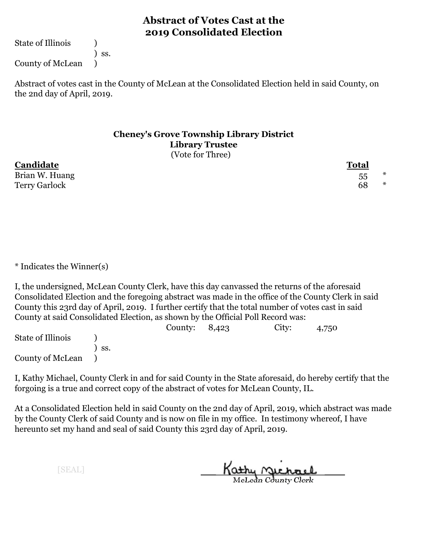State of Illinois (1)

) ss.

County of McLean )

Abstract of votes cast in the County of McLean at the Consolidated Election held in said County, on the 2nd day of April, 2019.

#### **Cheney's Grove Township Library District Library Trustee** (Vote for Three)

**Candidate Total** Brian W. Huang  $55$  \*

Terry Garlock 68  $*$ 

\* Indicates the Winner(s)

I, the undersigned, McLean County Clerk, have this day canvassed the returns of the aforesaid Consolidated Election and the foregoing abstract was made in the office of the County Clerk in said County this 23rd day of April, 2019. I further certify that the total number of votes cast in said County at said Consolidated Election, as shown by the Official Poll Record was:

|                   |     | County: $8,423$ | City: | 4,750 |  |
|-------------------|-----|-----------------|-------|-------|--|
| State of Illinois |     |                 |       |       |  |
|                   | SS. |                 |       |       |  |
| County of McLean  |     |                 |       |       |  |

I, Kathy Michael, County Clerk in and for said County in the State aforesaid, do hereby certify that the forgoing is a true and correct copy of the abstract of votes for McLean County, IL.

At a Consolidated Election held in said County on the 2nd day of April, 2019, which abstract was made by the County Clerk of said County and is now on file in my office. In testimony whereof, I have hereunto set my hand and seal of said County this 23rd day of April, 2019.

Kathy <u>Michael</u>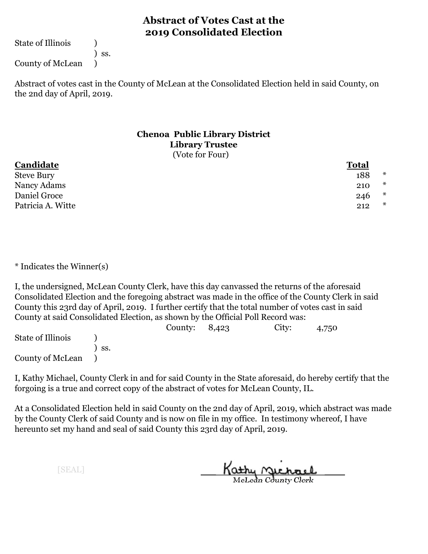State of Illinois (1)

) ss.

County of McLean )

Abstract of votes cast in the County of McLean at the Consolidated Election held in said County, on the 2nd day of April, 2019.

### **Chenoa Public Library District Library Trustee** (Vote for Four)

## **Candidate Total** Steve Bury the state of the state of the state of the state of the state of the state of the state of the state of the state of the state of the state of the state of the state of the state of the state of the state of the Nancy Adams 210  $*$ Daniel Groce 246  $*$ Patricia A. Witte 212  $*$

\* Indicates the Winner(s)

I, the undersigned, McLean County Clerk, have this day canvassed the returns of the aforesaid Consolidated Election and the foregoing abstract was made in the office of the County Clerk in said County this 23rd day of April, 2019. I further certify that the total number of votes cast in said County at said Consolidated Election, as shown by the Official Poll Record was:

|                   |     | County: $8,423$ | City: | 4,750 |
|-------------------|-----|-----------------|-------|-------|
| State of Illinois |     |                 |       |       |
|                   | SS. |                 |       |       |
| County of McLean  |     |                 |       |       |

I, Kathy Michael, County Clerk in and for said County in the State aforesaid, do hereby certify that the forgoing is a true and correct copy of the abstract of votes for McLean County, IL.

At a Consolidated Election held in said County on the 2nd day of April, 2019, which abstract was made by the County Clerk of said County and is now on file in my office. In testimony whereof, I have hereunto set my hand and seal of said County this 23rd day of April, 2019.

Kathy <u>Michael</u>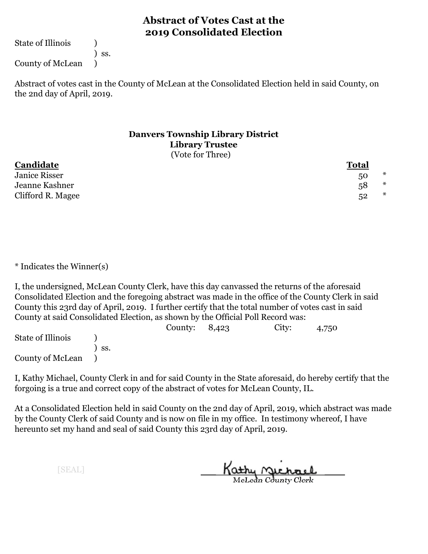State of Illinois (1)

) ss.

County of McLean )

Abstract of votes cast in the County of McLean at the Consolidated Election held in said County, on the 2nd day of April, 2019.

### **Danvers Township Library District Library Trustee** (Vote for Three)

| Candidate         | <b>Total</b> |        |
|-------------------|--------------|--------|
| Janice Risser     | 50           | $\ast$ |
| Jeanne Kashner    | 58           | $\ast$ |
| Clifford R. Magee | 52           | $\ast$ |

\* Indicates the Winner(s)

I, the undersigned, McLean County Clerk, have this day canvassed the returns of the aforesaid Consolidated Election and the foregoing abstract was made in the office of the County Clerk in said County this 23rd day of April, 2019. I further certify that the total number of votes cast in said County at said Consolidated Election, as shown by the Official Poll Record was:

|                   |     | County: $8,423$ | City: | 4,750 |  |
|-------------------|-----|-----------------|-------|-------|--|
| State of Illinois |     |                 |       |       |  |
|                   | SS. |                 |       |       |  |
| County of McLean  |     |                 |       |       |  |

I, Kathy Michael, County Clerk in and for said County in the State aforesaid, do hereby certify that the forgoing is a true and correct copy of the abstract of votes for McLean County, IL.

At a Consolidated Election held in said County on the 2nd day of April, 2019, which abstract was made by the County Clerk of said County and is now on file in my office. In testimony whereof, I have hereunto set my hand and seal of said County this 23rd day of April, 2019.

Kathy Michael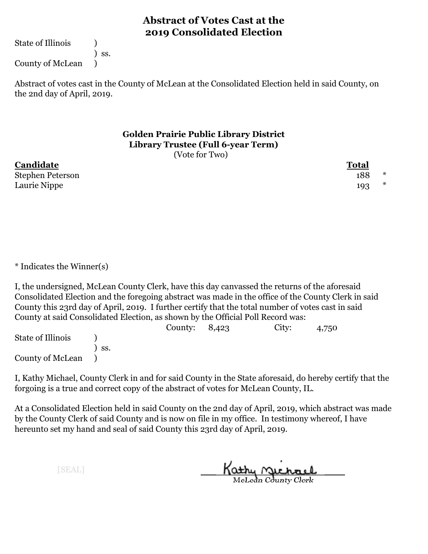State of Illinois (1)

) ss.

County of McLean )

Abstract of votes cast in the County of McLean at the Consolidated Election held in said County, on the 2nd day of April, 2019.

#### **Golden Prairie Public Library District Library Trustee (Full 6-year Term)** (Vote for Two)

**Candidate Total** Stephen Peterson and the set of the set of the set of the set of the set of the set of the set of the set of the set of the set of the set of the set of the set of the set of the set of the set of the set of the set of the Laurie Nippe 193  $*$ 

\* Indicates the Winner(s)

I, the undersigned, McLean County Clerk, have this day canvassed the returns of the aforesaid Consolidated Election and the foregoing abstract was made in the office of the County Clerk in said County this 23rd day of April, 2019. I further certify that the total number of votes cast in said County at said Consolidated Election, as shown by the Official Poll Record was:

|                   |     | County: $8,423$ | City: | 4,750 |  |
|-------------------|-----|-----------------|-------|-------|--|
| State of Illinois |     |                 |       |       |  |
|                   | SS. |                 |       |       |  |
| County of McLean  |     |                 |       |       |  |

I, Kathy Michael, County Clerk in and for said County in the State aforesaid, do hereby certify that the forgoing is a true and correct copy of the abstract of votes for McLean County, IL.

At a Consolidated Election held in said County on the 2nd day of April, 2019, which abstract was made by the County Clerk of said County and is now on file in my office. In testimony whereof, I have hereunto set my hand and seal of said County this 23rd day of April, 2019.

Kathy Michael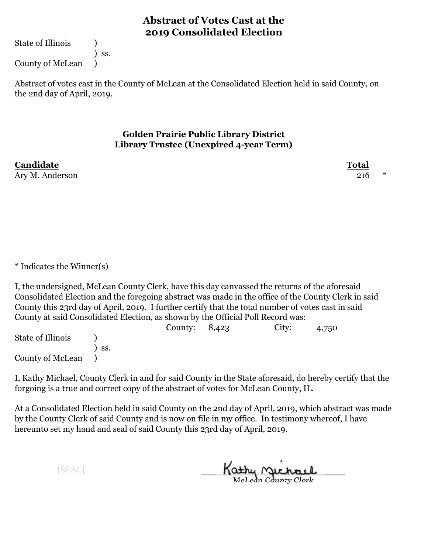State of Illinois (1)

County of McLean )

Abstract of votes cast in the County of McLean at the Consolidated Election held in said County, on the 2nd day of April, 2019.

## **Golden Prairie Public Library District Library Trustee (Unexpired 4-year Term)**

**Candidate Total** Ary M. Anderson 216  $*$ 

\* Indicates the Winner(s)

I, the undersigned, McLean County Clerk, have this day canvassed the returns of the aforesaid Consolidated Election and the foregoing abstract was made in the office of the County Clerk in said County this 23rd day of April, 2019. I further certify that the total number of votes cast in said County at said Consolidated Election, as shown by the Official Poll Record was:

County: 8,423 City: 4,750 State of Illinois (a) ) ss. County of McLean )

I, Kathy Michael, County Clerk in and for said County in the State aforesaid, do hereby certify that the forgoing is a true and correct copy of the abstract of votes for McLean County, IL.

At a Consolidated Election held in said County on the 2nd day of April, 2019, which abstract was made by the County Clerk of said County and is now on file in my office. In testimony whereof, I have hereunto set my hand and seal of said County this 23rd day of April, 2019.

[SEAL]

Kathy Michael

) ss.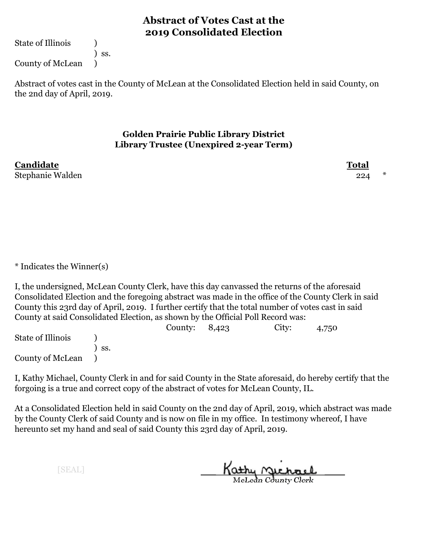State of Illinois (1)

County of McLean )

) ss.

Abstract of votes cast in the County of McLean at the Consolidated Election held in said County, on the 2nd day of April, 2019.

## **Golden Prairie Public Library District Library Trustee (Unexpired 2-year Term)**

**Candidate Total** Stephanie Walden 224 \*

\* Indicates the Winner(s)

I, the undersigned, McLean County Clerk, have this day canvassed the returns of the aforesaid Consolidated Election and the foregoing abstract was made in the office of the County Clerk in said County this 23rd day of April, 2019. I further certify that the total number of votes cast in said County at said Consolidated Election, as shown by the Official Poll Record was:

County: 8,423 City: 4,750 State of Illinois (a) ) ss. County of McLean )

I, Kathy Michael, County Clerk in and for said County in the State aforesaid, do hereby certify that the forgoing is a true and correct copy of the abstract of votes for McLean County, IL.

At a Consolidated Election held in said County on the 2nd day of April, 2019, which abstract was made by the County Clerk of said County and is now on file in my office. In testimony whereof, I have hereunto set my hand and seal of said County this 23rd day of April, 2019.

Kathy Michael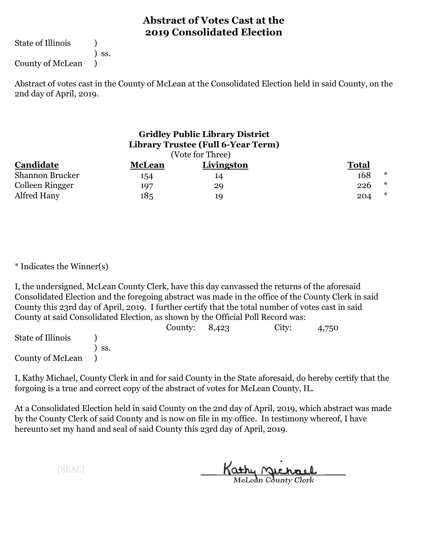State of Illinois (1)

) ss.

County of McLean )

Abstract of votes cast in the County of McLean at the Consolidated Election held in said County, on the 2nd day of April, 2019.

| <b>Gridley Public Library District</b><br>Library Trustee (Full 6-Year Term)<br>(Vote for Three) |               |            |              |        |  |  |  |
|--------------------------------------------------------------------------------------------------|---------------|------------|--------------|--------|--|--|--|
| Candidate                                                                                        | <b>McLean</b> | Livingston | <b>Total</b> |        |  |  |  |
| Shannon Brucker                                                                                  | 154           | 14         | 168          | $\ast$ |  |  |  |
| Colleen Ringger                                                                                  | 197           | 29         | 226          | $\ast$ |  |  |  |
| Alfred Hany                                                                                      | 185           | 19         | 204          | $\ast$ |  |  |  |

\* Indicates the Winner(s)

I, the undersigned, McLean County Clerk, have this day canvassed the returns of the aforesaid Consolidated Election and the foregoing abstract was made in the office of the County Clerk in said County this 23rd day of April, 2019. I further certify that the total number of votes cast in said County at said Consolidated Election, as shown by the Official Poll Record was:

|                   |     | County: $8,423$ | City: | 4,750 |
|-------------------|-----|-----------------|-------|-------|
| State of Illinois |     |                 |       |       |
|                   | SS. |                 |       |       |
| County of McLean  |     |                 |       |       |

I, Kathy Michael, County Clerk in and for said County in the State aforesaid, do hereby certify that the forgoing is a true and correct copy of the abstract of votes for McLean County, IL.

At a Consolidated Election held in said County on the 2nd day of April, 2019, which abstract was made by the County Clerk of said County and is now on file in my office. In testimony whereof, I have hereunto set my hand and seal of said County this 23rd day of April, 2019.

Kathy Michael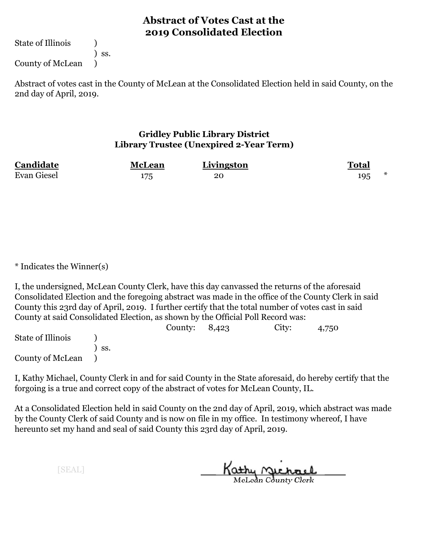State of Illinois (1)

) ss.

County of McLean )

Abstract of votes cast in the County of McLean at the Consolidated Election held in said County, on the 2nd day of April, 2019.

## **Gridley Public Library District Library Trustee (Unexpired 2-Year Term)**

| Candidate          | <b>McLean</b> | Livingston | <b>Total</b> |  |
|--------------------|---------------|------------|--------------|--|
| <b>Evan Giesel</b> |               | 20         | 195          |  |

\* Indicates the Winner(s)

I, the undersigned, McLean County Clerk, have this day canvassed the returns of the aforesaid Consolidated Election and the foregoing abstract was made in the office of the County Clerk in said County this 23rd day of April, 2019. I further certify that the total number of votes cast in said County at said Consolidated Election, as shown by the Official Poll Record was:

|                   |       | County: $8,423$ | City: | 4,750 |  |
|-------------------|-------|-----------------|-------|-------|--|
| State of Illinois |       |                 |       |       |  |
|                   | ` SS. |                 |       |       |  |
| County of McLean  |       |                 |       |       |  |

I, Kathy Michael, County Clerk in and for said County in the State aforesaid, do hereby certify that the forgoing is a true and correct copy of the abstract of votes for McLean County, IL.

At a Consolidated Election held in said County on the 2nd day of April, 2019, which abstract was made by the County Clerk of said County and is now on file in my office. In testimony whereof, I have hereunto set my hand and seal of said County this 23rd day of April, 2019.

Kathy <u>Michael</u>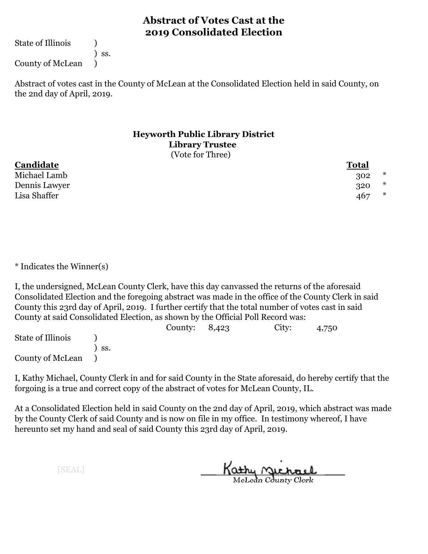State of Illinois (1)

) ss.

County of McLean )

Abstract of votes cast in the County of McLean at the Consolidated Election held in said County, on the 2nd day of April, 2019.

#### **Heyworth Public Library District Library Trustee** (Vote for Three)

**Candidate Total** Michael Lamb 302 \* Dennis Lawyer 320  $*$ Lisa Shaffer 467 \*

\* Indicates the Winner(s)

I, the undersigned, McLean County Clerk, have this day canvassed the returns of the aforesaid Consolidated Election and the foregoing abstract was made in the office of the County Clerk in said County this 23rd day of April, 2019. I further certify that the total number of votes cast in said County at said Consolidated Election, as shown by the Official Poll Record was:

|                   |     | County: $8,423$ | City: | 4,750 |  |
|-------------------|-----|-----------------|-------|-------|--|
| State of Illinois |     |                 |       |       |  |
|                   | SS. |                 |       |       |  |
| County of McLean  |     |                 |       |       |  |

I, Kathy Michael, County Clerk in and for said County in the State aforesaid, do hereby certify that the forgoing is a true and correct copy of the abstract of votes for McLean County, IL.

At a Consolidated Election held in said County on the 2nd day of April, 2019, which abstract was made by the County Clerk of said County and is now on file in my office. In testimony whereof, I have hereunto set my hand and seal of said County this 23rd day of April, 2019.

Kathy <u>Michael</u>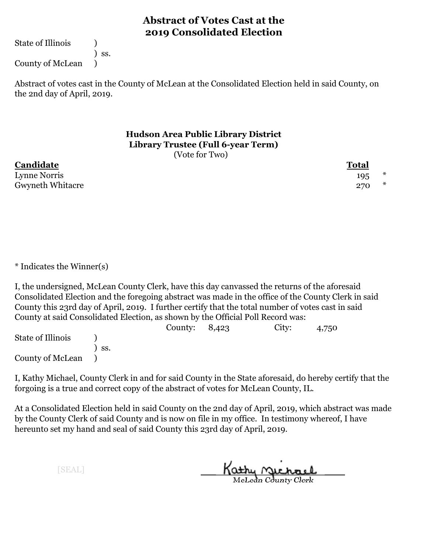State of Illinois (1)

) ss.

County of McLean )

Abstract of votes cast in the County of McLean at the Consolidated Election held in said County, on the 2nd day of April, 2019.

> **Hudson Area Public Library District Library Trustee (Full 6-year Term)** (Vote for Two)

**Candidate Total** Lynne Norris 195 Gwyneth Whitacre 270  $*$ 

\* Indicates the Winner(s)

I, the undersigned, McLean County Clerk, have this day canvassed the returns of the aforesaid Consolidated Election and the foregoing abstract was made in the office of the County Clerk in said County this 23rd day of April, 2019. I further certify that the total number of votes cast in said County at said Consolidated Election, as shown by the Official Poll Record was:

County: 8,423 City: 4,750 State of Illinois (a) ) ss. County of McLean )

I, Kathy Michael, County Clerk in and for said County in the State aforesaid, do hereby certify that the forgoing is a true and correct copy of the abstract of votes for McLean County, IL.

At a Consolidated Election held in said County on the 2nd day of April, 2019, which abstract was made by the County Clerk of said County and is now on file in my office. In testimony whereof, I have hereunto set my hand and seal of said County this 23rd day of April, 2019.

Kathy Michael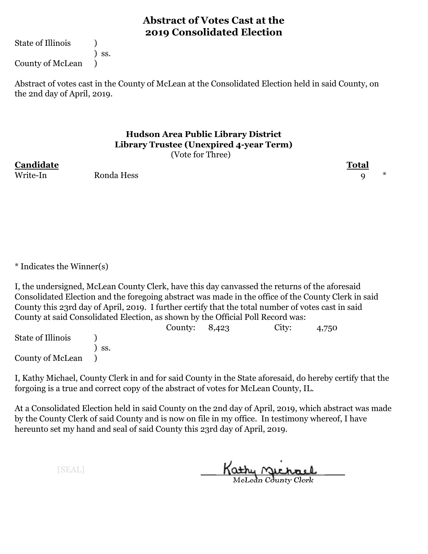State of Illinois (1)

) ss. County of McLean )

Abstract of votes cast in the County of McLean at the Consolidated Election held in said County, on the 2nd day of April, 2019.

#### **Hudson Area Public Library District Library Trustee (Unexpired 4-year Term)** (Vote for Three)

**Candidate Total**

Write-In Ronda Hess 9 \*

\* Indicates the Winner(s)

I, the undersigned, McLean County Clerk, have this day canvassed the returns of the aforesaid Consolidated Election and the foregoing abstract was made in the office of the County Clerk in said County this 23rd day of April, 2019. I further certify that the total number of votes cast in said County at said Consolidated Election, as shown by the Official Poll Record was:

County: 8,423 City: 4,750 State of Illinois (a) ) ss. County of McLean )

I, Kathy Michael, County Clerk in and for said County in the State aforesaid, do hereby certify that the forgoing is a true and correct copy of the abstract of votes for McLean County, IL.

At a Consolidated Election held in said County on the 2nd day of April, 2019, which abstract was made by the County Clerk of said County and is now on file in my office. In testimony whereof, I have hereunto set my hand and seal of said County this 23rd day of April, 2019.

Kathy Michael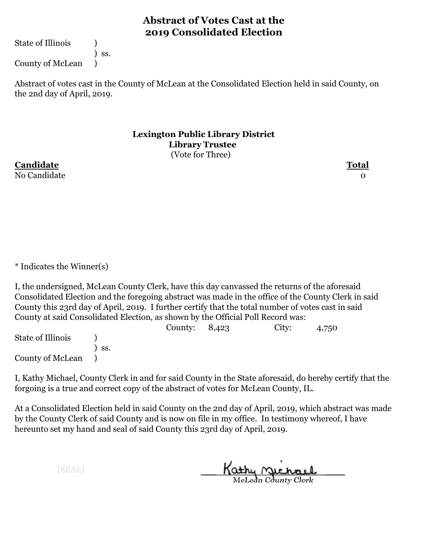State of Illinois (1)

) ss.

County of McLean )

Abstract of votes cast in the County of McLean at the Consolidated Election held in said County, on the 2nd day of April, 2019.

> **Lexington Public Library District Library Trustee** (Vote for Three)

**Candidate Total** No Candidate and the contract of the contract of the contract of the contract of the contract of the contract o

\* Indicates the Winner(s)

I, the undersigned, McLean County Clerk, have this day canvassed the returns of the aforesaid Consolidated Election and the foregoing abstract was made in the office of the County Clerk in said County this 23rd day of April, 2019. I further certify that the total number of votes cast in said County at said Consolidated Election, as shown by the Official Poll Record was:

County: 8,423 City: 4,750 State of Illinois (a) ) ss. County of McLean )

I, Kathy Michael, County Clerk in and for said County in the State aforesaid, do hereby certify that the forgoing is a true and correct copy of the abstract of votes for McLean County, IL.

At a Consolidated Election held in said County on the 2nd day of April, 2019, which abstract was made by the County Clerk of said County and is now on file in my office. In testimony whereof, I have hereunto set my hand and seal of said County this 23rd day of April, 2019.

Kathy Michael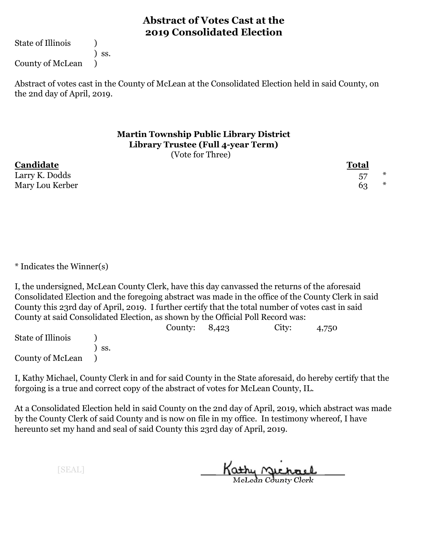State of Illinois (1)

) ss.

County of McLean )

Abstract of votes cast in the County of McLean at the Consolidated Election held in said County, on the 2nd day of April, 2019.

### **Martin Township Public Library District Library Trustee (Full 4-year Term)** (Vote for Three)

**Candidate Total** Larry K. Dodds 57 \* Mary Lou Kerber 63 \*

\* Indicates the Winner(s)

I, the undersigned, McLean County Clerk, have this day canvassed the returns of the aforesaid Consolidated Election and the foregoing abstract was made in the office of the County Clerk in said County this 23rd day of April, 2019. I further certify that the total number of votes cast in said County at said Consolidated Election, as shown by the Official Poll Record was:

|                   |     | County: $8,423$ | City: | 4,750 |
|-------------------|-----|-----------------|-------|-------|
| State of Illinois |     |                 |       |       |
|                   | SS. |                 |       |       |
| County of McLean  |     |                 |       |       |

I, Kathy Michael, County Clerk in and for said County in the State aforesaid, do hereby certify that the forgoing is a true and correct copy of the abstract of votes for McLean County, IL.

At a Consolidated Election held in said County on the 2nd day of April, 2019, which abstract was made by the County Clerk of said County and is now on file in my office. In testimony whereof, I have hereunto set my hand and seal of said County this 23rd day of April, 2019.

Kathy <u>Michael</u>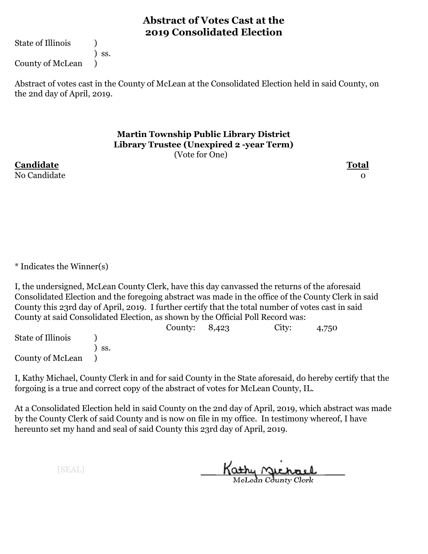State of Illinois (1)

) ss. County of McLean )

Abstract of votes cast in the County of McLean at the Consolidated Election held in said County, on the 2nd day of April, 2019.

> **Martin Township Public Library District Library Trustee (Unexpired 2 -year Term)** (Vote for One)

**Candidate Total** No Candidate and the contract of the contract of the contract of the contract of the contract of the contract o

\* Indicates the Winner(s)

I, the undersigned, McLean County Clerk, have this day canvassed the returns of the aforesaid Consolidated Election and the foregoing abstract was made in the office of the County Clerk in said County this 23rd day of April, 2019. I further certify that the total number of votes cast in said County at said Consolidated Election, as shown by the Official Poll Record was:

County: 8,423 City: 4,750 State of Illinois (a) ) ss. County of McLean )

I, Kathy Michael, County Clerk in and for said County in the State aforesaid, do hereby certify that the forgoing is a true and correct copy of the abstract of votes for McLean County, IL.

At a Consolidated Election held in said County on the 2nd day of April, 2019, which abstract was made by the County Clerk of said County and is now on file in my office. In testimony whereof, I have hereunto set my hand and seal of said County this 23rd day of April, 2019.

Kathy Michael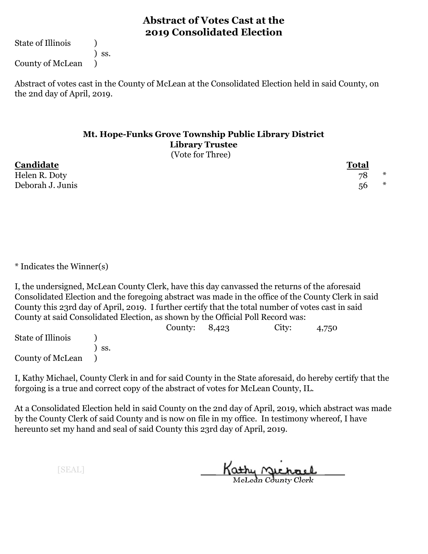State of Illinois (1)

) ss.

County of McLean )

Abstract of votes cast in the County of McLean at the Consolidated Election held in said County, on the 2nd day of April, 2019.

## **Mt. Hope-Funks Grove Township Public Library District Library Trustee** (Vote for Three)

| Candidate        | <b>Total</b> |              |  |
|------------------|--------------|--------------|--|
| Helen R. Doty    | 78           | $\mathbf{x}$ |  |
| Deborah J. Junis | 56           | $\mathbf{x}$ |  |

\* Indicates the Winner(s)

I, the undersigned, McLean County Clerk, have this day canvassed the returns of the aforesaid Consolidated Election and the foregoing abstract was made in the office of the County Clerk in said County this 23rd day of April, 2019. I further certify that the total number of votes cast in said County at said Consolidated Election, as shown by the Official Poll Record was:

|                   |     | County: $8,423$ | City: | 4,750 |  |
|-------------------|-----|-----------------|-------|-------|--|
| State of Illinois |     |                 |       |       |  |
|                   | SS. |                 |       |       |  |
| County of McLean  |     |                 |       |       |  |

I, Kathy Michael, County Clerk in and for said County in the State aforesaid, do hereby certify that the forgoing is a true and correct copy of the abstract of votes for McLean County, IL.

At a Consolidated Election held in said County on the 2nd day of April, 2019, which abstract was made by the County Clerk of said County and is now on file in my office. In testimony whereof, I have hereunto set my hand and seal of said County this 23rd day of April, 2019.

Kathy Michael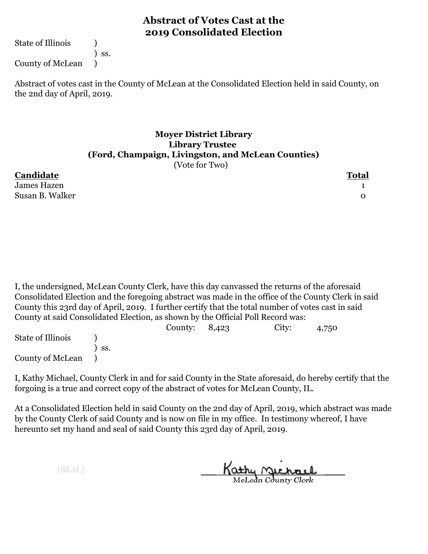State of Illinois (1)

) ss.

County of McLean )

Abstract of votes cast in the County of McLean at the Consolidated Election held in said County, on the 2nd day of April, 2019.

## **Moyer District Library Library Trustee (Ford, Champaign, Livingston, and McLean Counties)** (Vote for Two)

**Candidate Total** James Hazen 1 Susan B. Walker 0

I, the undersigned, McLean County Clerk, have this day canvassed the returns of the aforesaid Consolidated Election and the foregoing abstract was made in the office of the County Clerk in said County this 23rd day of April, 2019. I further certify that the total number of votes cast in said County at said Consolidated Election, as shown by the Official Poll Record was:

|                   |                  | County: $8,423$ | City: | 4,750 |  |
|-------------------|------------------|-----------------|-------|-------|--|
| State of Illinois |                  |                 |       |       |  |
|                   | $\mathsf{S}$ SS. |                 |       |       |  |
| County of McLean  |                  |                 |       |       |  |

I, Kathy Michael, County Clerk in and for said County in the State aforesaid, do hereby certify that the forgoing is a true and correct copy of the abstract of votes for McLean County, IL.

At a Consolidated Election held in said County on the 2nd day of April, 2019, which abstract was made by the County Clerk of said County and is now on file in my office. In testimony whereof, I have hereunto set my hand and seal of said County this 23rd day of April, 2019.

Kathy Michael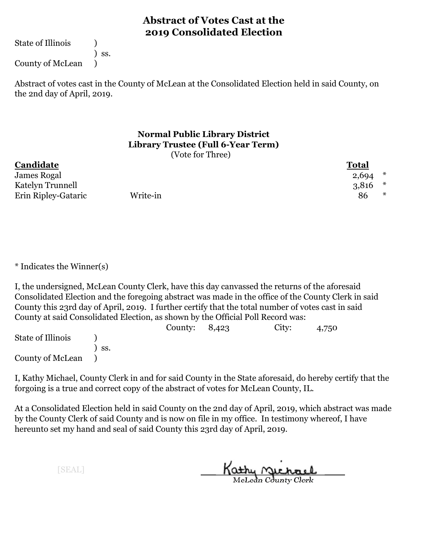State of Illinois (1)

) ss.

County of McLean )

Abstract of votes cast in the County of McLean at the Consolidated Election held in said County, on the 2nd day of April, 2019.

## **Normal Public Library District Library Trustee (Full 6-Year Term)** (Vote for Three)

| Candidate           |          | <b>Total</b> |
|---------------------|----------|--------------|
| James Rogal         |          | 2,694        |
| Katelyn Trunnell    |          | $3,816$ *    |
| Erin Ripley-Gataric | Write-in | $\ast$<br>86 |

\* Indicates the Winner(s)

I, the undersigned, McLean County Clerk, have this day canvassed the returns of the aforesaid Consolidated Election and the foregoing abstract was made in the office of the County Clerk in said County this 23rd day of April, 2019. I further certify that the total number of votes cast in said County at said Consolidated Election, as shown by the Official Poll Record was:

|                   |     | County: $8,423$ | City: | 4,750 |  |
|-------------------|-----|-----------------|-------|-------|--|
| State of Illinois |     |                 |       |       |  |
|                   | SS. |                 |       |       |  |
| County of McLean  |     |                 |       |       |  |

I, Kathy Michael, County Clerk in and for said County in the State aforesaid, do hereby certify that the forgoing is a true and correct copy of the abstract of votes for McLean County, IL.

At a Consolidated Election held in said County on the 2nd day of April, 2019, which abstract was made by the County Clerk of said County and is now on file in my office. In testimony whereof, I have hereunto set my hand and seal of said County this 23rd day of April, 2019.

Kathy <u>Michael</u>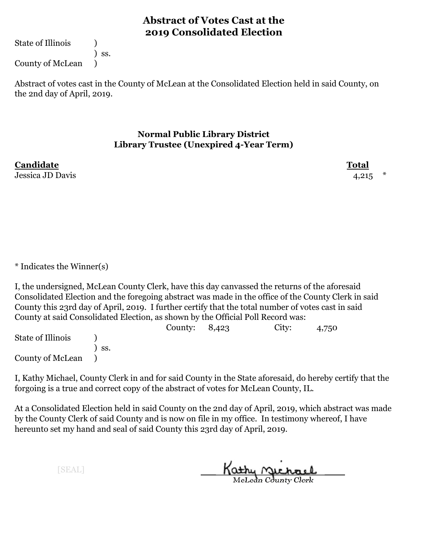State of Illinois (1)

) ss. County of McLean )

Abstract of votes cast in the County of McLean at the Consolidated Election held in said County, on the 2nd day of April, 2019.

## **Normal Public Library District Library Trustee (Unexpired 4-Year Term)**

Jessica JD Davis 4,215 \*

**Candidate Total**

\* Indicates the Winner(s)

I, the undersigned, McLean County Clerk, have this day canvassed the returns of the aforesaid Consolidated Election and the foregoing abstract was made in the office of the County Clerk in said County this 23rd day of April, 2019. I further certify that the total number of votes cast in said County at said Consolidated Election, as shown by the Official Poll Record was:

County: 8,423 City: 4,750 State of Illinois (a) ) ss. County of McLean )

I, Kathy Michael, County Clerk in and for said County in the State aforesaid, do hereby certify that the forgoing is a true and correct copy of the abstract of votes for McLean County, IL.

At a Consolidated Election held in said County on the 2nd day of April, 2019, which abstract was made by the County Clerk of said County and is now on file in my office. In testimony whereof, I have hereunto set my hand and seal of said County this 23rd day of April, 2019.

Kathy Michael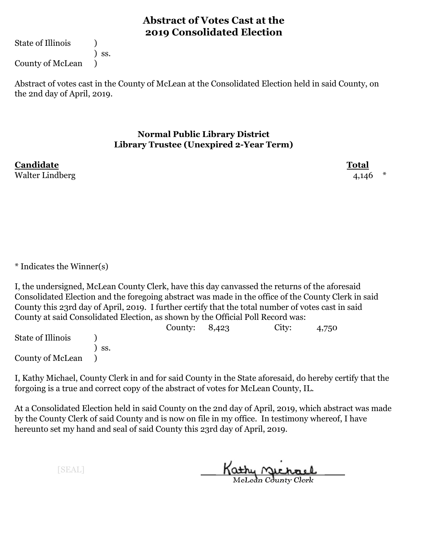State of Illinois (1)

) ss. County of McLean )

Abstract of votes cast in the County of McLean at the Consolidated Election held in said County, on the 2nd day of April, 2019.

## **Normal Public Library District Library Trustee (Unexpired 2-Year Term)**

**Candidate Total** Walter Lindberg  $4,146$  \*

\* Indicates the Winner(s)

I, the undersigned, McLean County Clerk, have this day canvassed the returns of the aforesaid Consolidated Election and the foregoing abstract was made in the office of the County Clerk in said County this 23rd day of April, 2019. I further certify that the total number of votes cast in said County at said Consolidated Election, as shown by the Official Poll Record was:

County: 8,423 City: 4,750 State of Illinois (a) ) ss. County of McLean )

I, Kathy Michael, County Clerk in and for said County in the State aforesaid, do hereby certify that the forgoing is a true and correct copy of the abstract of votes for McLean County, IL.

At a Consolidated Election held in said County on the 2nd day of April, 2019, which abstract was made by the County Clerk of said County and is now on file in my office. In testimony whereof, I have hereunto set my hand and seal of said County this 23rd day of April, 2019.

Kathy Michael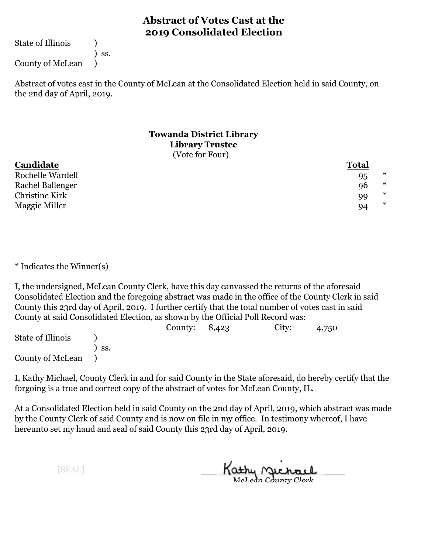State of Illinois (1)

) ss.

County of McLean )

Abstract of votes cast in the County of McLean at the Consolidated Election held in said County, on the 2nd day of April, 2019.

#### **Towanda District Library Library Trustee** (Vote for Four)

| Candidate               | <b>Total</b> |        |
|-------------------------|--------------|--------|
| <b>Rochelle Wardell</b> | 95           | ∗      |
| Rachel Ballenger        | 96           | $\ast$ |
| Christine Kirk          | 99           | ∗      |
| Maggie Miller           | 94           | $\ast$ |

\* Indicates the Winner(s)

I, the undersigned, McLean County Clerk, have this day canvassed the returns of the aforesaid Consolidated Election and the foregoing abstract was made in the office of the County Clerk in said County this 23rd day of April, 2019. I further certify that the total number of votes cast in said County at said Consolidated Election, as shown by the Official Poll Record was:

|                   |     | County: $8,423$ | City: | 4,750 |  |
|-------------------|-----|-----------------|-------|-------|--|
| State of Illinois |     |                 |       |       |  |
|                   | SS. |                 |       |       |  |
| County of McLean  |     |                 |       |       |  |

I, Kathy Michael, County Clerk in and for said County in the State aforesaid, do hereby certify that the forgoing is a true and correct copy of the abstract of votes for McLean County, IL.

At a Consolidated Election held in said County on the 2nd day of April, 2019, which abstract was made by the County Clerk of said County and is now on file in my office. In testimony whereof, I have hereunto set my hand and seal of said County this 23rd day of April, 2019.

Kathy Michael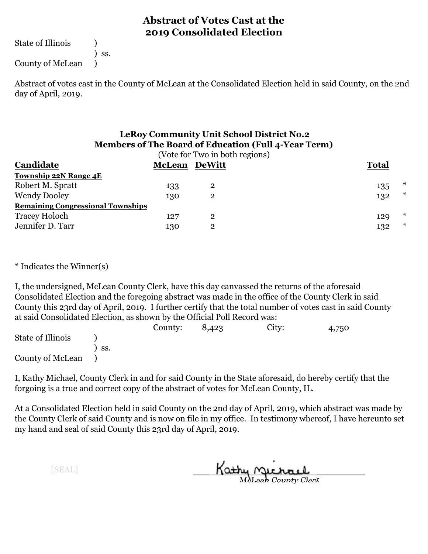State of Illinois (1)

) ss.

County of McLean )

Abstract of votes cast in the County of McLean at the Consolidated Election held in said County, on the 2nd day of April, 2019.

# **LeRoy Community Unit School District No.2 Members of The Board of Education (Full 4-Year Term)**

|                                          |              | (Vote for Two in both regions) |     |                |
|------------------------------------------|--------------|--------------------------------|-----|----------------|
| Candidate                                | <b>Total</b> |                                |     |                |
| <b>Township 22N Range 4E</b>             |              |                                |     |                |
| Robert M. Spratt                         | 133          | $\bf{2}$                       | 135 | $\pmb{\times}$ |
| <b>Wendy Dooley</b>                      | 130          | $\bf{2}$                       | 132 | $\star$        |
| <b>Remaining Congressional Townships</b> |              |                                |     |                |
| Tracey Holoch                            | 127          | $\overline{2}$                 | 129 | $\ast$         |
| Jennifer D. Tarr                         | 130          | $\overline{2}$                 | 132 | $\ast$         |
|                                          |              |                                |     |                |

\* Indicates the Winner(s)

I, the undersigned, McLean County Clerk, have this day canvassed the returns of the aforesaid Consolidated Election and the foregoing abstract was made in the office of the County Clerk in said County this 23rd day of April, 2019. I further certify that the total number of votes cast in said County at said Consolidated Election, as shown by the Official Poll Record was:

|                   |     | County: | 8,423 | City: | 4,750 |
|-------------------|-----|---------|-------|-------|-------|
| State of Illinois |     |         |       |       |       |
|                   | SS. |         |       |       |       |
| County of McLean  |     |         |       |       |       |

I, Kathy Michael, County Clerk in and for said County in the State aforesaid, do hereby certify that the forgoing is a true and correct copy of the abstract of votes for McLean County, IL.

At a Consolidated Election held in said County on the 2nd day of April, 2019, which abstract was made by the County Clerk of said County and is now on file in my office. In testimony whereof, I have hereunto set my hand and seal of said County this 23rd day of April, 2019.

Kathy Michael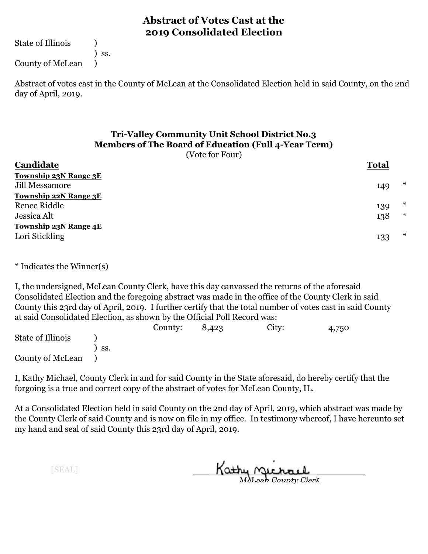State of Illinois (1)

) ss.

County of McLean )

Abstract of votes cast in the County of McLean at the Consolidated Election held in said County, on the 2nd day of April, 2019.

# **Tri-Valley Community Unit School District No.3 Members of The Board of Education (Full 4-Year Term)**

(Vote for Four)

| Candidate                    | <b>Total</b> |        |
|------------------------------|--------------|--------|
| Township 23N Range 3E        |              |        |
| Jill Messamore               | 149          | $\ast$ |
| <b>Township 22N Range 3E</b> |              |        |
| Renee Riddle                 | 139          | $\ast$ |
| Jessica Alt                  | 138          | $\ast$ |
| <b>Township 23N Range 4E</b> |              |        |
| Lori Stickling               | 133          | $\ast$ |

\* Indicates the Winner(s)

I, the undersigned, McLean County Clerk, have this day canvassed the returns of the aforesaid Consolidated Election and the foregoing abstract was made in the office of the County Clerk in said County this 23rd day of April, 2019. I further certify that the total number of votes cast in said County at said Consolidated Election, as shown by the Official Poll Record was:

|                   |     | County: | 8,423 | City: | 4,750 |
|-------------------|-----|---------|-------|-------|-------|
| State of Illinois |     |         |       |       |       |
|                   | SS. |         |       |       |       |
| County of McLean  |     |         |       |       |       |

I, Kathy Michael, County Clerk in and for said County in the State aforesaid, do hereby certify that the forgoing is a true and correct copy of the abstract of votes for McLean County, IL.

At a Consolidated Election held in said County on the 2nd day of April, 2019, which abstract was made by the County Clerk of said County and is now on file in my office. In testimony whereof, I have hereunto set my hand and seal of said County this 23rd day of April, 2019.

Kathy Michael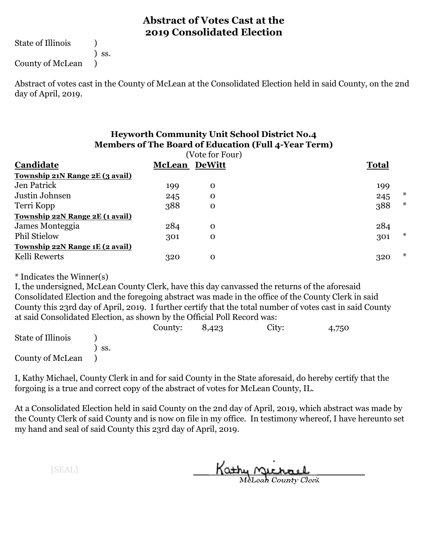State of Illinois (1)

) ss.

County of McLean )

Abstract of votes cast in the County of McLean at the Consolidated Election held in said County, on the 2nd day of April, 2019.

#### **Heyworth Community Unit School District No.4 Members of The Board of Education (Full 4-Year Term)**

| Candidate                       | <b>McLean DeWitt</b> |             | <b>Total</b>  |  |
|---------------------------------|----------------------|-------------|---------------|--|
| Township 21N Range 2E (3 avail) |                      |             |               |  |
| Jen Patrick                     | 199                  | $\mathbf 0$ | 199           |  |
| Justin Johnsen                  | 245                  | $\mathbf 0$ | ж<br>245      |  |
| Terri Kopp                      | 388                  | $\mathbf 0$ | $\ast$<br>388 |  |
| Township 22N Range 2E (1 avail) |                      |             |               |  |
| James Monteggia                 | 284                  | $\mathbf 0$ | 284           |  |
| <b>Phil Stielow</b>             | 301                  | $\mathbf 0$ | $\ast$<br>301 |  |
| Township 22N Range 1E (2 avail) |                      |             |               |  |
| Kelli Rewerts                   | 320                  | $\mathbf 0$ | $\ast$<br>320 |  |

\* Indicates the Winner(s)

I, the undersigned, McLean County Clerk, have this day canvassed the returns of the aforesaid Consolidated Election and the foregoing abstract was made in the office of the County Clerk in said County this 23rd day of April, 2019. I further certify that the total number of votes cast in said County at said Consolidated Election, as shown by the Official Poll Record was:

|                   |     | County: | 8,423 | City: | 4,750 |
|-------------------|-----|---------|-------|-------|-------|
| State of Illinois |     |         |       |       |       |
|                   | SS. |         |       |       |       |
| County of McLean  |     |         |       |       |       |

I, Kathy Michael, County Clerk in and for said County in the State aforesaid, do hereby certify that the forgoing is a true and correct copy of the abstract of votes for McLean County, IL.

At a Consolidated Election held in said County on the 2nd day of April, 2019, which abstract was made by the County Clerk of said County and is now on file in my office. In testimony whereof, I have hereunto set my hand and seal of said County this 23rd day of April, 2019.

Kathy Michael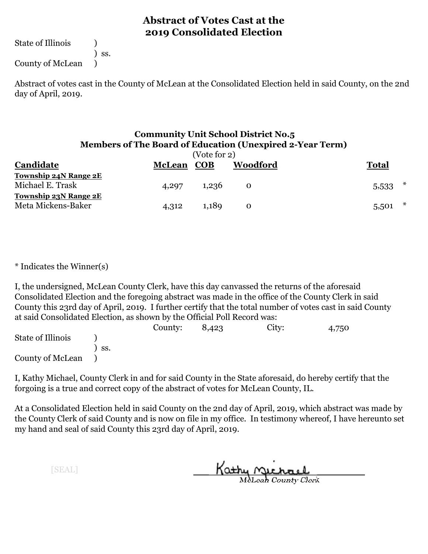State of Illinois (1)

) ss.

County of McLean )

Abstract of votes cast in the County of McLean at the Consolidated Election held in said County, on the 2nd day of April, 2019.

#### **Community Unit School District No.5 Members of The Board of Education (Unexpired 2-Year Term)**

| (Vote for 2)                 |               |            |              |              |  |  |  |
|------------------------------|---------------|------------|--------------|--------------|--|--|--|
| Candidate                    | <b>McLean</b> | <b>COB</b> | Woodford     | <b>Total</b> |  |  |  |
| Township 24N Range 2E        |               |            |              |              |  |  |  |
| Michael E. Trask             | 4,297         | 1,236      | $\mathbf{O}$ | ∗<br>5,533   |  |  |  |
| <b>Township 23N Range 2E</b> |               |            |              |              |  |  |  |
| Meta Mickens-Baker           | 4,312         | 1,189      | $\mathbf{O}$ | ∗<br>5,501   |  |  |  |

\* Indicates the Winner(s)

I, the undersigned, McLean County Clerk, have this day canvassed the returns of the aforesaid Consolidated Election and the foregoing abstract was made in the office of the County Clerk in said County this 23rd day of April, 2019. I further certify that the total number of votes cast in said County at said Consolidated Election, as shown by the Official Poll Record was:

|                   |     | County: | 8,423 | City: | 4,750 |
|-------------------|-----|---------|-------|-------|-------|
| State of Illinois |     |         |       |       |       |
|                   | SS. |         |       |       |       |
| County of McLean  |     |         |       |       |       |

I, Kathy Michael, County Clerk in and for said County in the State aforesaid, do hereby certify that the forgoing is a true and correct copy of the abstract of votes for McLean County, IL.

At a Consolidated Election held in said County on the 2nd day of April, 2019, which abstract was made by the County Clerk of said County and is now on file in my office. In testimony whereof, I have hereunto set my hand and seal of said County this 23rd day of April, 2019.

Kathy Michael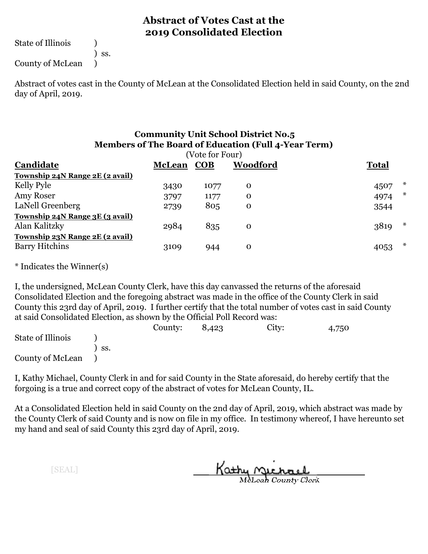State of Illinois (1)

) ss.

County of McLean )

Abstract of votes cast in the County of McLean at the Consolidated Election held in said County, on the 2nd day of April, 2019.

#### **Community Unit School District No.5 Members of The Board of Education (Full 4-Year Term)**

| (Vote for Four)                 |               |            |             |                |  |  |
|---------------------------------|---------------|------------|-------------|----------------|--|--|
| Candidate                       | <b>McLean</b> | <b>COB</b> | Woodford    | <b>Total</b>   |  |  |
| Township 24N Range 2E (2 avail) |               |            |             |                |  |  |
| Kelly Pyle                      | 3430          | 1077       | $\Omega$    | ж<br>4507      |  |  |
| Amy Roser                       | 3797          | 1177       | O           | $\ast$<br>4974 |  |  |
| LaNell Greenberg                | 2739          | 805        | O           | 3544           |  |  |
| Township 24N Range 3E (3 avail) |               |            |             |                |  |  |
| Alan Kalitzky                   | 2984          | 835        | $\mathbf 0$ | $\ast$<br>3819 |  |  |
| Township 23N Range 2E (2 avail) |               |            |             |                |  |  |
| <b>Barry Hitchins</b>           | 3109          | 944        | $\Omega$    | ж<br>4053      |  |  |

\* Indicates the Winner(s)

I, the undersigned, McLean County Clerk, have this day canvassed the returns of the aforesaid Consolidated Election and the foregoing abstract was made in the office of the County Clerk in said County this 23rd day of April, 2019. I further certify that the total number of votes cast in said County at said Consolidated Election, as shown by the Official Poll Record was:

|                   |      | County: | 8,423 | City: | 4,750 |
|-------------------|------|---------|-------|-------|-------|
| State of Illinois |      |         |       |       |       |
|                   | `SS. |         |       |       |       |
| County of McLean  |      |         |       |       |       |

I, Kathy Michael, County Clerk in and for said County in the State aforesaid, do hereby certify that the forgoing is a true and correct copy of the abstract of votes for McLean County, IL.

At a Consolidated Election held in said County on the 2nd day of April, 2019, which abstract was made by the County Clerk of said County and is now on file in my office. In testimony whereof, I have hereunto set my hand and seal of said County this 23rd day of April, 2019.

Kathy Michael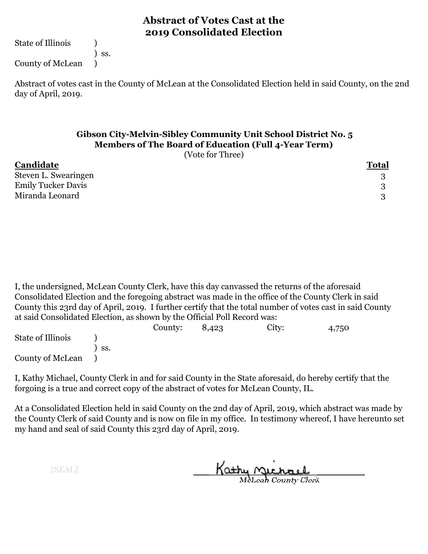State of Illinois (1)

) ss.

County of McLean )

Abstract of votes cast in the County of McLean at the Consolidated Election held in said County, on the 2nd day of April, 2019.

#### **Gibson City-Melvin-Sibley Community Unit School District No. 5 Members of The Board of Education (Full 4-Year Term)**

(Vote for Three)

| Candidate                 | <b>Total</b> |
|---------------------------|--------------|
| Steven L. Swearingen      |              |
| <b>Emily Tucker Davis</b> | Q            |
| Miranda Leonard           |              |

I, the undersigned, McLean County Clerk, have this day canvassed the returns of the aforesaid Consolidated Election and the foregoing abstract was made in the office of the County Clerk in said County this 23rd day of April, 2019. I further certify that the total number of votes cast in said County at said Consolidated Election, as shown by the Official Poll Record was:

|                   |     | County: | 8,423 | City: | 4,750 |
|-------------------|-----|---------|-------|-------|-------|
| State of Illinois |     |         |       |       |       |
|                   | SS. |         |       |       |       |
| County of McLean  |     |         |       |       |       |

I, Kathy Michael, County Clerk in and for said County in the State aforesaid, do hereby certify that the forgoing is a true and correct copy of the abstract of votes for McLean County, IL.

At a Consolidated Election held in said County on the 2nd day of April, 2019, which abstract was made by the County Clerk of said County and is now on file in my office. In testimony whereof, I have hereunto set my hand and seal of said County this 23rd day of April, 2019.

Kathy Michael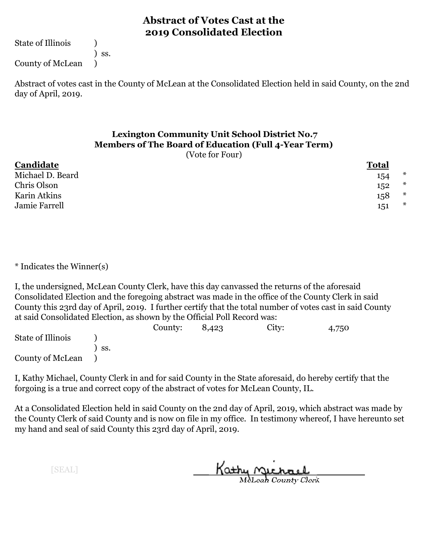State of Illinois (1)

) ss.

County of McLean )

Abstract of votes cast in the County of McLean at the Consolidated Election held in said County, on the 2nd day of April, 2019.

# **Lexington Community Unit School District No.7 Members of The Board of Education (Full 4-Year Term)**

(Vote for Four)

| Candidate        | Total         |
|------------------|---------------|
| Michael D. Beard | $\ast$<br>154 |
| Chris Olson      | $\ast$<br>152 |
| Karin Atkins     | $\ast$<br>158 |
| Jamie Farrell    | $\ast$<br>151 |
|                  |               |

\* Indicates the Winner(s)

I, the undersigned, McLean County Clerk, have this day canvassed the returns of the aforesaid Consolidated Election and the foregoing abstract was made in the office of the County Clerk in said County this 23rd day of April, 2019. I further certify that the total number of votes cast in said County at said Consolidated Election, as shown by the Official Poll Record was:

|                   |     | County: | 8,423 | City: | 4,750 |
|-------------------|-----|---------|-------|-------|-------|
| State of Illinois |     |         |       |       |       |
|                   | SS. |         |       |       |       |
| County of McLean  |     |         |       |       |       |

I, Kathy Michael, County Clerk in and for said County in the State aforesaid, do hereby certify that the forgoing is a true and correct copy of the abstract of votes for McLean County, IL.

At a Consolidated Election held in said County on the 2nd day of April, 2019, which abstract was made by the County Clerk of said County and is now on file in my office. In testimony whereof, I have hereunto set my hand and seal of said County this 23rd day of April, 2019.

Kathy Michael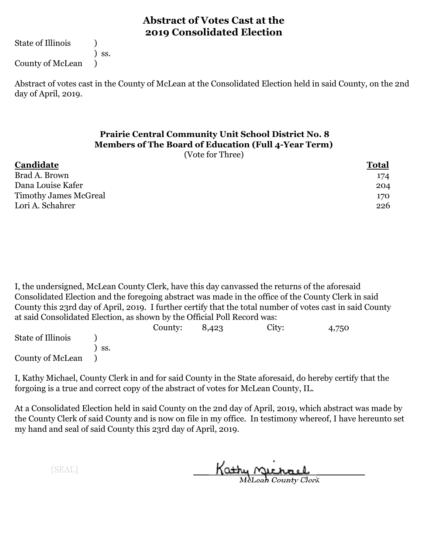State of Illinois (1)

) ss.

County of McLean )

Abstract of votes cast in the County of McLean at the Consolidated Election held in said County, on the 2nd day of April, 2019.

# **Prairie Central Community Unit School District No. 8 Members of The Board of Education (Full 4-Year Term)**

(Vote for Three)

| Candidate                    | <b>Total</b> |
|------------------------------|--------------|
| Brad A. Brown                | 174          |
| Dana Louise Kafer            | 204          |
| <b>Timothy James McGreal</b> | 170          |
| Lori A. Schahrer             | 226          |

I, the undersigned, McLean County Clerk, have this day canvassed the returns of the aforesaid Consolidated Election and the foregoing abstract was made in the office of the County Clerk in said County this 23rd day of April, 2019. I further certify that the total number of votes cast in said County at said Consolidated Election, as shown by the Official Poll Record was:

|                   |     | County: | 8,423 | City: | 4,750 |
|-------------------|-----|---------|-------|-------|-------|
| State of Illinois |     |         |       |       |       |
|                   | SS. |         |       |       |       |
| County of McLean  |     |         |       |       |       |

I, Kathy Michael, County Clerk in and for said County in the State aforesaid, do hereby certify that the forgoing is a true and correct copy of the abstract of votes for McLean County, IL.

At a Consolidated Election held in said County on the 2nd day of April, 2019, which abstract was made by the County Clerk of said County and is now on file in my office. In testimony whereof, I have hereunto set my hand and seal of said County this 23rd day of April, 2019.

Kathy Michael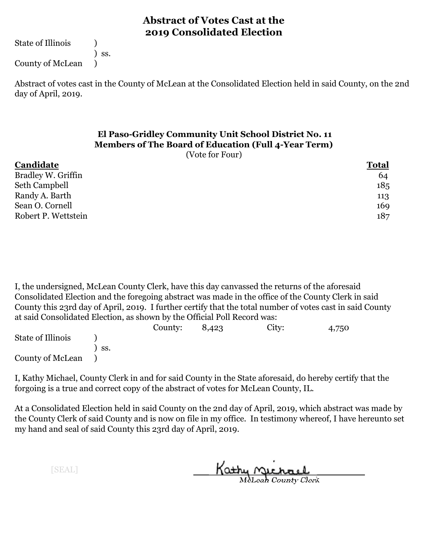State of Illinois (1)

) ss.

County of McLean )

Abstract of votes cast in the County of McLean at the Consolidated Election held in said County, on the 2nd day of April, 2019.

# **El Paso-Gridley Community Unit School District No. 11 Members of The Board of Education (Full 4-Year Term)**

(Vote for Four)

#### **Candidate Total** Bradley W. Griffin 64 Seth Campbell 185 Randy A. Barth 113 Sean O. Cornell 169 Robert P. Wettstein 187

I, the undersigned, McLean County Clerk, have this day canvassed the returns of the aforesaid Consolidated Election and the foregoing abstract was made in the office of the County Clerk in said County this 23rd day of April, 2019. I further certify that the total number of votes cast in said County at said Consolidated Election, as shown by the Official Poll Record was:

|                   |     | County: | 8,423 | City: | 4,750 |
|-------------------|-----|---------|-------|-------|-------|
| State of Illinois |     |         |       |       |       |
|                   | SS. |         |       |       |       |
| County of McLean  |     |         |       |       |       |

I, Kathy Michael, County Clerk in and for said County in the State aforesaid, do hereby certify that the forgoing is a true and correct copy of the abstract of votes for McLean County, IL.

At a Consolidated Election held in said County on the 2nd day of April, 2019, which abstract was made by the County Clerk of said County and is now on file in my office. In testimony whereof, I have hereunto set my hand and seal of said County this 23rd day of April, 2019.

Kathy Michael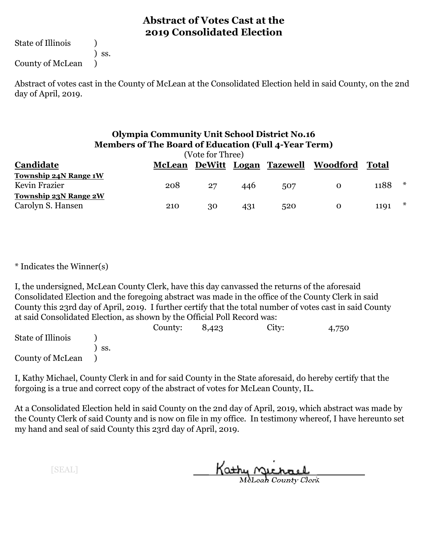State of Illinois (1)

) ss.

County of McLean )

Abstract of votes cast in the County of McLean at the Consolidated Election held in said County, on the 2nd day of April, 2019.

#### **Olympia Community Unit School District No.16 Members of The Board of Education (Full 4-Year Term)**

| (Vote for Three)             |               |    |     |     |                                |       |        |
|------------------------------|---------------|----|-----|-----|--------------------------------|-------|--------|
| Candidate                    | <b>McLean</b> |    |     |     | DeWitt Logan Tazewell Woodford | Total |        |
| Township 24N Range 1W        |               |    |     |     |                                |       |        |
| Kevin Frazier                | 208           | 27 | 446 | 507 | $\mathbf{O}$                   | 1188  | $\ast$ |
| <b>Township 23N Range 2W</b> |               |    |     |     |                                |       |        |
| Carolyn S. Hansen            | 210           | 30 | 431 | 520 | 0                              | 1191  | $\ast$ |

\* Indicates the Winner(s)

I, the undersigned, McLean County Clerk, have this day canvassed the returns of the aforesaid Consolidated Election and the foregoing abstract was made in the office of the County Clerk in said County this 23rd day of April, 2019. I further certify that the total number of votes cast in said County at said Consolidated Election, as shown by the Official Poll Record was:

|                   |     | County: | 8,423 | City: | 4,750 |
|-------------------|-----|---------|-------|-------|-------|
| State of Illinois |     |         |       |       |       |
|                   | SS. |         |       |       |       |
| County of McLean  |     |         |       |       |       |

I, Kathy Michael, County Clerk in and for said County in the State aforesaid, do hereby certify that the forgoing is a true and correct copy of the abstract of votes for McLean County, IL.

At a Consolidated Election held in said County on the 2nd day of April, 2019, which abstract was made by the County Clerk of said County and is now on file in my office. In testimony whereof, I have hereunto set my hand and seal of said County this 23rd day of April, 2019.

Kathy Michael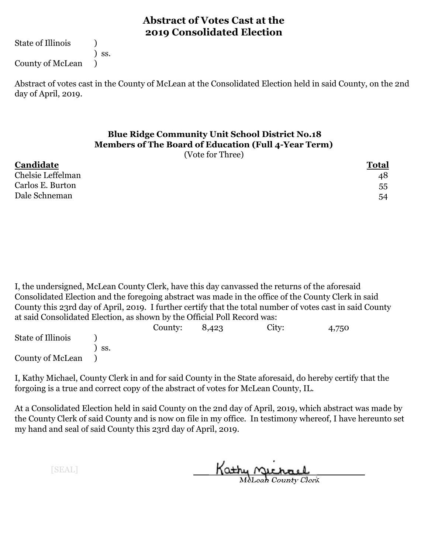State of Illinois (1)

) ss.

County of McLean )

Abstract of votes cast in the County of McLean at the Consolidated Election held in said County, on the 2nd day of April, 2019.

# **Blue Ridge Community Unit School District No.18 Members of The Board of Education (Full 4-Year Term)**

(Vote for Three)

| Candidate         | <b>Total</b> |
|-------------------|--------------|
| Chelsie Leffelman | 48           |
| Carlos E. Burton  | 55           |
| Dale Schneman     | 54           |

I, the undersigned, McLean County Clerk, have this day canvassed the returns of the aforesaid Consolidated Election and the foregoing abstract was made in the office of the County Clerk in said County this 23rd day of April, 2019. I further certify that the total number of votes cast in said County at said Consolidated Election, as shown by the Official Poll Record was:

|                   |     | County: | 8,423 | City: | 4,750 |
|-------------------|-----|---------|-------|-------|-------|
| State of Illinois |     |         |       |       |       |
|                   | SS. |         |       |       |       |
| County of McLean  |     |         |       |       |       |

I, Kathy Michael, County Clerk in and for said County in the State aforesaid, do hereby certify that the forgoing is a true and correct copy of the abstract of votes for McLean County, IL.

At a Consolidated Election held in said County on the 2nd day of April, 2019, which abstract was made by the County Clerk of said County and is now on file in my office. In testimony whereof, I have hereunto set my hand and seal of said County this 23rd day of April, 2019.

Kathy Michael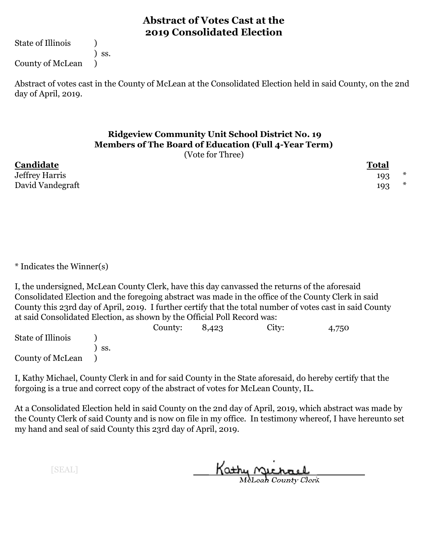State of Illinois (1)

) ss.

County of McLean )

Abstract of votes cast in the County of McLean at the Consolidated Election held in said County, on the 2nd day of April, 2019.

# **Ridgeview Community Unit School District No. 19 Members of The Board of Education (Full 4-Year Term)**

(Vote for Three)

**Candidate Total** Jeffrey Harris David Vandegraft

| 1 Utal |   |
|--------|---|
| 193    | ډ |
| 193    | ډ |

\* Indicates the Winner(s)

I, the undersigned, McLean County Clerk, have this day canvassed the returns of the aforesaid Consolidated Election and the foregoing abstract was made in the office of the County Clerk in said County this 23rd day of April, 2019. I further certify that the total number of votes cast in said County at said Consolidated Election, as shown by the Official Poll Record was:

|                   |     | County: | 8,423 | City: | 4,750 |
|-------------------|-----|---------|-------|-------|-------|
| State of Illinois |     |         |       |       |       |
|                   | SS. |         |       |       |       |
| County of McLean  |     |         |       |       |       |

I, Kathy Michael, County Clerk in and for said County in the State aforesaid, do hereby certify that the forgoing is a true and correct copy of the abstract of votes for McLean County, IL.

At a Consolidated Election held in said County on the 2nd day of April, 2019, which abstract was made by the County Clerk of said County and is now on file in my office. In testimony whereof, I have hereunto set my hand and seal of said County this 23rd day of April, 2019.

Kathy Michael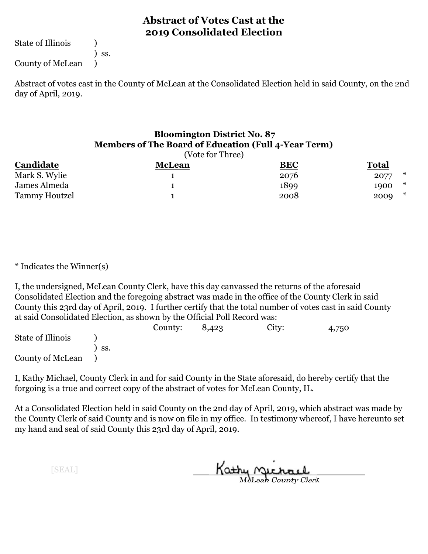State of Illinois (1)

) ss.

County of McLean )

Abstract of votes cast in the County of McLean at the Consolidated Election held in said County, on the 2nd day of April, 2019.

#### **Bloomington District No. 87 Members of The Board of Education (Full 4-Year Term)**

|               | (Vote for Three) |            |                |
|---------------|------------------|------------|----------------|
| Candidate     | <b>McLean</b>    | <b>BEC</b> | <b>Total</b>   |
| Mark S. Wylie |                  | 2076       | $\ast$<br>2077 |
| James Almeda  |                  | 1899       | *<br>1900      |
| Tammy Houtzel |                  | 2008       | $\ast$<br>2009 |

\* Indicates the Winner(s)

I, the undersigned, McLean County Clerk, have this day canvassed the returns of the aforesaid Consolidated Election and the foregoing abstract was made in the office of the County Clerk in said County this 23rd day of April, 2019. I further certify that the total number of votes cast in said County at said Consolidated Election, as shown by the Official Poll Record was:

|                   |     | County: | 8,423 | City: | 4,750 |
|-------------------|-----|---------|-------|-------|-------|
| State of Illinois |     |         |       |       |       |
|                   | SS. |         |       |       |       |
| County of McLean  |     |         |       |       |       |

I, Kathy Michael, County Clerk in and for said County in the State aforesaid, do hereby certify that the forgoing is a true and correct copy of the abstract of votes for McLean County, IL.

At a Consolidated Election held in said County on the 2nd day of April, 2019, which abstract was made by the County Clerk of said County and is now on file in my office. In testimony whereof, I have hereunto set my hand and seal of said County this 23rd day of April, 2019.

Kathy Michael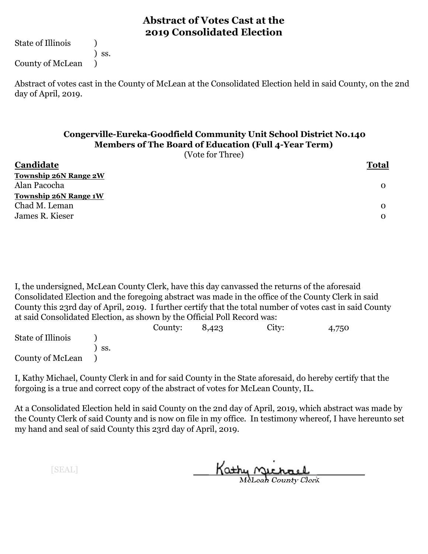State of Illinois (1)

) ss.

County of McLean )

Abstract of votes cast in the County of McLean at the Consolidated Election held in said County, on the 2nd day of April, 2019.

#### **Congerville-Eureka-Goodfield Community Unit School District No.140 Members of The Board of Education (Full 4-Year Term)**

(Vote for Three)

| Candidate                    | <b>Total</b> |  |
|------------------------------|--------------|--|
| <b>Township 26N Range 2W</b> |              |  |
| Alan Pacocha                 | 0            |  |
| <b>Township 26N Range 1W</b> |              |  |
| Chad M. Leman                | $\Omega$     |  |
| James R. Kieser              | $\mathbf{O}$ |  |
|                              |              |  |

I, the undersigned, McLean County Clerk, have this day canvassed the returns of the aforesaid Consolidated Election and the foregoing abstract was made in the office of the County Clerk in said County this 23rd day of April, 2019. I further certify that the total number of votes cast in said County at said Consolidated Election, as shown by the Official Poll Record was:

|                   |     | County: | 8,423 | City: | 4,750 |
|-------------------|-----|---------|-------|-------|-------|
| State of Illinois |     |         |       |       |       |
|                   | SS. |         |       |       |       |
| County of McLean  |     |         |       |       |       |

I, Kathy Michael, County Clerk in and for said County in the State aforesaid, do hereby certify that the forgoing is a true and correct copy of the abstract of votes for McLean County, IL.

At a Consolidated Election held in said County on the 2nd day of April, 2019, which abstract was made by the County Clerk of said County and is now on file in my office. In testimony whereof, I have hereunto set my hand and seal of said County this 23rd day of April, 2019.

Kathy Michael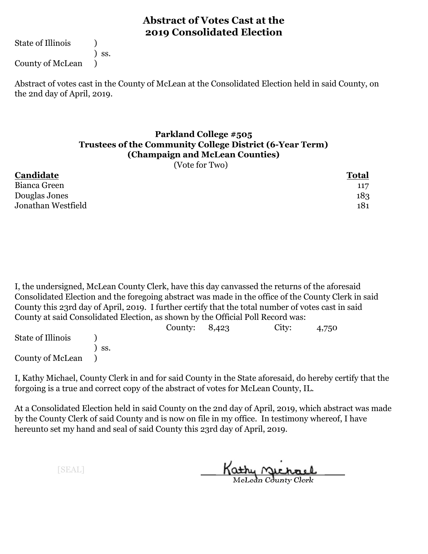State of Illinois (1)

) ss.

County of McLean )

Abstract of votes cast in the County of McLean at the Consolidated Election held in said County, on the 2nd day of April, 2019.

#### **Parkland College #505 Trustees of the Community College District (6-Year Term) (Champaign and McLean Counties)**

(Vote for Two)

| Candidate          | <b>Total</b> |  |
|--------------------|--------------|--|
| Bianca Green       | 117          |  |
| Douglas Jones      | 183          |  |
| Jonathan Westfield | 181          |  |
|                    |              |  |

I, the undersigned, McLean County Clerk, have this day canvassed the returns of the aforesaid Consolidated Election and the foregoing abstract was made in the office of the County Clerk in said County this 23rd day of April, 2019. I further certify that the total number of votes cast in said County at said Consolidated Election, as shown by the Official Poll Record was:

|                   |     | County: $8,423$ | City: | 4,750 |
|-------------------|-----|-----------------|-------|-------|
| State of Illinois |     |                 |       |       |
|                   | SS. |                 |       |       |
| County of McLean  |     |                 |       |       |

I, Kathy Michael, County Clerk in and for said County in the State aforesaid, do hereby certify that the forgoing is a true and correct copy of the abstract of votes for McLean County, IL.

At a Consolidated Election held in said County on the 2nd day of April, 2019, which abstract was made by the County Clerk of said County and is now on file in my office. In testimony whereof, I have hereunto set my hand and seal of said County this 23rd day of April, 2019.

Kathy <u>Michael</u>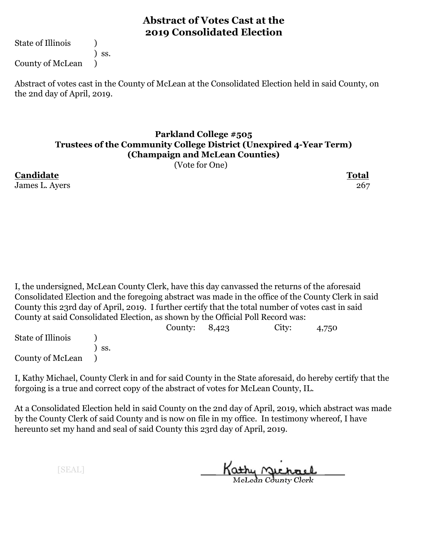State of Illinois (1)

) ss.

County of McLean )

Abstract of votes cast in the County of McLean at the Consolidated Election held in said County, on the 2nd day of April, 2019.

#### **Parkland College #505 Trustees of the Community College District (Unexpired 4-Year Term) (Champaign and McLean Counties)**

(Vote for One)

**Candidate Total** James L. Ayers 267

I, the undersigned, McLean County Clerk, have this day canvassed the returns of the aforesaid Consolidated Election and the foregoing abstract was made in the office of the County Clerk in said County this 23rd day of April, 2019. I further certify that the total number of votes cast in said County at said Consolidated Election, as shown by the Official Poll Record was:

|                   |                  | County: $8,423$ | City: | 4,750 |  |
|-------------------|------------------|-----------------|-------|-------|--|
| State of Illinois |                  |                 |       |       |  |
|                   | $\mathsf{S}$ SS. |                 |       |       |  |
| County of McLean  |                  |                 |       |       |  |

I, Kathy Michael, County Clerk in and for said County in the State aforesaid, do hereby certify that the forgoing is a true and correct copy of the abstract of votes for McLean County, IL.

At a Consolidated Election held in said County on the 2nd day of April, 2019, which abstract was made by the County Clerk of said County and is now on file in my office. In testimony whereof, I have hereunto set my hand and seal of said County this 23rd day of April, 2019.

Kathy <u>Michael</u>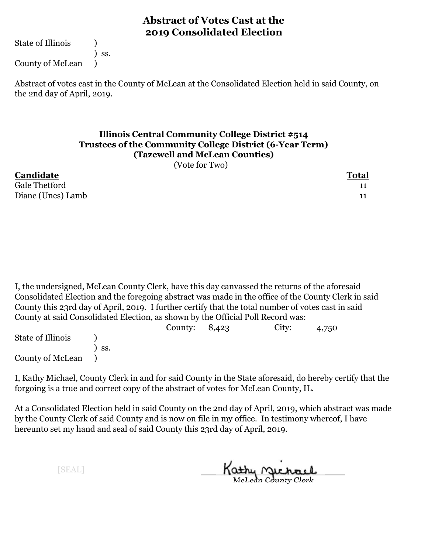State of Illinois (1)

) ss.

County of McLean )

Abstract of votes cast in the County of McLean at the Consolidated Election held in said County, on the 2nd day of April, 2019.

#### **Illinois Central Community College District #514 Trustees of the Community College District (6-Year Term) (Tazewell and McLean Counties)**

(Vote for Two)

| Candidate         | <b>Total</b> |
|-------------------|--------------|
| Gale Thetford     |              |
| Diane (Unes) Lamb |              |

I, the undersigned, McLean County Clerk, have this day canvassed the returns of the aforesaid Consolidated Election and the foregoing abstract was made in the office of the County Clerk in said County this 23rd day of April, 2019. I further certify that the total number of votes cast in said County at said Consolidated Election, as shown by the Official Poll Record was:

|                   |                  | County: $8,423$ | City: | 4,750 |  |
|-------------------|------------------|-----------------|-------|-------|--|
| State of Illinois |                  |                 |       |       |  |
|                   | $\mathsf{S}$ SS. |                 |       |       |  |
| County of McLean  |                  |                 |       |       |  |

I, Kathy Michael, County Clerk in and for said County in the State aforesaid, do hereby certify that the forgoing is a true and correct copy of the abstract of votes for McLean County, IL.

At a Consolidated Election held in said County on the 2nd day of April, 2019, which abstract was made by the County Clerk of said County and is now on file in my office. In testimony whereof, I have hereunto set my hand and seal of said County this 23rd day of April, 2019.

Kathy Michael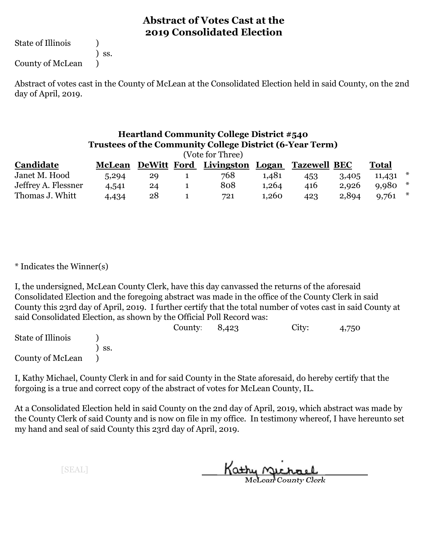State of Illinois (1)

County of McLean )

) ss.

Abstract of votes cast in the County of McLean at the Consolidated Election held in said County, on the 2nd day of April, 2019.

## **Heartland Community College District #540 Trustees of the Community College District (6-Year Term)**

| (Vote for Three)    |               |    |  |                              |       |                     |       |        |        |  |
|---------------------|---------------|----|--|------------------------------|-------|---------------------|-------|--------|--------|--|
| Candidate           | <b>McLean</b> |    |  | DeWitt Ford Livingston Logan |       | <b>Tazewell BEC</b> |       | Total  |        |  |
| Janet M. Hood       | 5,294         | 29 |  | 768                          | 1,481 | 453                 | 3,405 | 11,431 | $\ast$ |  |
| Jeffrey A. Flessner | 4,541         | 24 |  | 808                          | 1,264 | 416                 | 2,926 | 9,980  | *      |  |
| Thomas J. Whitt     | 4,434         | 28 |  | 721                          | 1,260 | 423                 | 2,894 | 9,761  | *      |  |

\* Indicates the Winner(s)

I, the undersigned, McLean County Clerk, have this day canvassed the returns of the aforesaid Consolidated Election and the foregoing abstract was made in the office of the County Clerk in said County this 23rd day of April, 2019. I further certify that the total number of votes cast in said County at said Consolidated Election, as shown by the Official Poll Record was:

|                   |                  | County: | 8,423 | City: | 4,750 |
|-------------------|------------------|---------|-------|-------|-------|
| State of Illinois |                  |         |       |       |       |
|                   | $\mathbf{S}$ SS. |         |       |       |       |
| County of McLean  |                  |         |       |       |       |

I, Kathy Michael, County Clerk in and for said County in the State aforesaid, do hereby certify that the forgoing is a true and correct copy of the abstract of votes for McLean County, IL.

At a Consolidated Election held in said County on the 2nd day of April, 2019, which abstract was made by the County Clerk of said County and is now on file in my office. In testimony whereof, I have hereunto set my hand and seal of said County this 23rd day of April, 2019.

Kathy Michael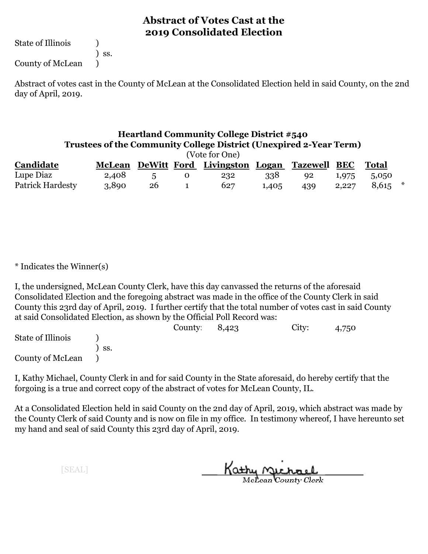State of Illinois (1)

) ss. County of McLean )

Abstract of votes cast in the County of McLean at the Consolidated Election held in said County, on the 2nd day of April, 2019.

#### **Heartland Community College District #540 Trustees of the Community College District (Unexpired 2-Year Term)**

| <b>Heartland Community College District #540</b><br><b>Trustees of the Community College District (Unexpired 2-Year Term)</b><br>(Vote for One) |               |    |   |                              |       |                 |            |              |         |
|-------------------------------------------------------------------------------------------------------------------------------------------------|---------------|----|---|------------------------------|-------|-----------------|------------|--------------|---------|
| Candidate                                                                                                                                       | <b>McLean</b> |    |   | DeWitt Ford Livingston Logan |       | <b>Tazewell</b> | <b>BEC</b> | <b>Total</b> |         |
| Lupe Diaz                                                                                                                                       | 2,408         | 5  | 0 | 232                          | 338   | 92              | 1,975      | 5,050        |         |
| <b>Patrick Hardesty</b>                                                                                                                         | 3,890         | 26 |   | 627                          | 1,405 | 439             | 2,227      | 8,615        | $\star$ |

\* Indicates the Winner(s)

I, the undersigned, McLean County Clerk, have this day canvassed the returns of the aforesaid Consolidated Election and the foregoing abstract was made in the office of the County Clerk in said County this 23rd day of April, 2019. I further certify that the total number of votes cast in said County at said Consolidated Election, as shown by the Official Poll Record was:

|                   |     | County: $8,423$ | City: | 4,750 |  |
|-------------------|-----|-----------------|-------|-------|--|
| State of Illinois |     |                 |       |       |  |
|                   | SS. |                 |       |       |  |
| County of McLean  |     |                 |       |       |  |

I, Kathy Michael, County Clerk in and for said County in the State aforesaid, do hereby certify that the forgoing is a true and correct copy of the abstract of votes for McLean County, IL.

At a Consolidated Election held in said County on the 2nd day of April, 2019, which abstract was made by the County Clerk of said County and is now on file in my office. In testimony whereof, I have hereunto set my hand and seal of said County this 23rd day of April, 2019.

Kathy Michael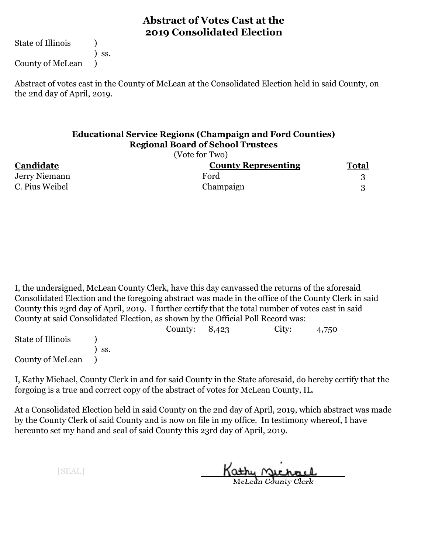State of Illinois (1)

) ss.

County of McLean )

Abstract of votes cast in the County of McLean at the Consolidated Election held in said County, on the 2nd day of April, 2019.

#### **Educational Service Regions (Champaign and Ford Counties) Regional Board of School Trustees**

|                | (Vote for Two)             |              |
|----------------|----------------------------|--------------|
| Candidate      | <b>County Representing</b> | <b>Total</b> |
| Jerry Niemann  | Ford                       |              |
| C. Pius Weibel | Champaign                  |              |

I, the undersigned, McLean County Clerk, have this day canvassed the returns of the aforesaid Consolidated Election and the foregoing abstract was made in the office of the County Clerk in said County this 23rd day of April, 2019. I further certify that the total number of votes cast in said County at said Consolidated Election, as shown by the Official Poll Record was:

|                      |                  | County: $8,423$ | City: | 4,750 |
|----------------------|------------------|-----------------|-------|-------|
| State of Illinois    |                  |                 |       |       |
|                      | $\mathsf{S}$ SS. |                 |       |       |
| County of McLean (1) |                  |                 |       |       |

I, Kathy Michael, County Clerk in and for said County in the State aforesaid, do hereby certify that the forgoing is a true and correct copy of the abstract of votes for McLean County, IL.

At a Consolidated Election held in said County on the 2nd day of April, 2019, which abstract was made by the County Clerk of said County and is now on file in my office. In testimony whereof, I have hereunto set my hand and seal of said County this 23rd day of April, 2019.

Kathy Michael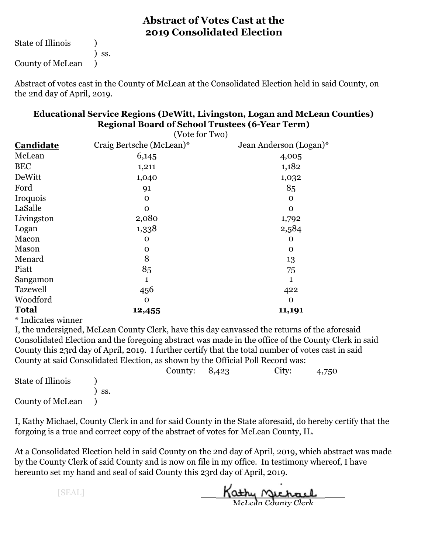State of Illinois (1) ) ss. County of McLean )

Abstract of votes cast in the County of McLean at the Consolidated Election held in said County, on the 2nd day of April, 2019.

| <b>Educational Service Regions (DeWitt, Livingston, Logan and McLean Counties)</b> |  |
|------------------------------------------------------------------------------------|--|
| <b>Regional Board of School Trustees (6-Year Term)</b>                             |  |
| $(1)$ $(1)$                                                                        |  |

| (VOTE TOP TWO)           |                        |
|--------------------------|------------------------|
| Craig Bertsche (McLean)* | Jean Anderson (Logan)* |
| 6,145                    | 4,005                  |
| 1,211                    | 1,182                  |
| 1,040                    | 1,032                  |
| 91                       | 85                     |
| $\mathbf 0$              | $\mathbf 0$            |
| $\Omega$                 | $\Omega$               |
| 2,080                    | 1,792                  |
| 1,338                    | 2,584                  |
| $\mathbf 0$              | $\mathbf 0$            |
| $\mathbf 0$              | $\mathbf 0$            |
| 8                        | 13                     |
| 85                       | 75                     |
| 1                        | 1                      |
| 456                      | 422                    |
| $\mathbf 0$              | $\Omega$               |
| 12,455                   | 11,191                 |
|                          |                        |

\* Indicates winner

I, the undersigned, McLean County Clerk, have this day canvassed the returns of the aforesaid Consolidated Election and the foregoing abstract was made in the office of the County Clerk in said County this 23rd day of April, 2019. I further certify that the total number of votes cast in said County at said Consolidated Election, as shown by the Official Poll Record was:

|                   |     | County: $8,423$ | City: | 4,750 |
|-------------------|-----|-----------------|-------|-------|
| State of Illinois |     |                 |       |       |
|                   | SS. |                 |       |       |
| County of McLean  |     |                 |       |       |

I, Kathy Michael, County Clerk in and for said County in the State aforesaid, do hereby certify that the forgoing is a true and correct copy of the abstract of votes for McLean County, IL.

At a Consolidated Election held in said County on the 2nd day of April, 2019, which abstract was made by the County Clerk of said County and is now on file in my office. In testimony whereof, I have hereunto set my hand and seal of said County this 23rd day of April, 2019.

Kathy Michael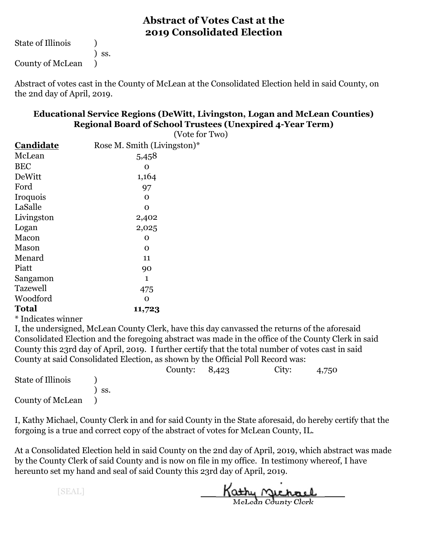State of Illinois (1) ) ss. County of McLean )

Abstract of votes cast in the County of McLean at the Consolidated Election held in said County, on the 2nd day of April, 2019.

#### **Educational Service Regions (DeWitt, Livingston, Logan and McLean Counties) Regional Board of School Trustees (Unexpired 4-Year Term)**

|                                               | ິ<br>(Vote for Two)         |
|-----------------------------------------------|-----------------------------|
| Candidate                                     | Rose M. Smith (Livingston)* |
| McLean                                        | 5,458                       |
| <b>BEC</b>                                    | O                           |
| DeWitt                                        | 1,164                       |
| Ford                                          | 97                          |
| Iroquois                                      | O                           |
| LaSalle                                       | O                           |
| Livingston                                    | 2,402                       |
| Logan                                         | 2,025                       |
| Macon                                         | O                           |
| Mason                                         | O                           |
| Menard                                        | 11                          |
| Piatt                                         | 90                          |
| Sangamon                                      | $\mathbf{1}$                |
| <b>Tazewell</b>                               | 475                         |
| Woodford                                      | O                           |
| <b>Total</b>                                  | 11,723                      |
| $v = 1$<br>$\sim$ $\sim$ $\sim$ $\sim$ $\sim$ |                             |

\* Indicates winner

I, the undersigned, McLean County Clerk, have this day canvassed the returns of the aforesaid Consolidated Election and the foregoing abstract was made in the office of the County Clerk in said County this 23rd day of April, 2019. I further certify that the total number of votes cast in said County at said Consolidated Election, as shown by the Official Poll Record was:

|                   |     | County: $8,423$ | City: | 4,750 |
|-------------------|-----|-----------------|-------|-------|
| State of Illinois |     |                 |       |       |
|                   | SS. |                 |       |       |
| County of McLean  |     |                 |       |       |

I, Kathy Michael, County Clerk in and for said County in the State aforesaid, do hereby certify that the forgoing is a true and correct copy of the abstract of votes for McLean County, IL.

At a Consolidated Election held in said County on the 2nd day of April, 2019, which abstract was made by the County Clerk of said County and is now on file in my office. In testimony whereof, I have hereunto set my hand and seal of said County this 23rd day of April, 2019.

Kathy Michael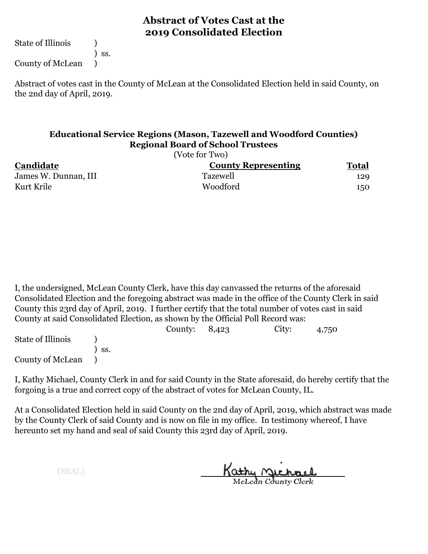State of Illinois (1)

) ss.

County of McLean )

Abstract of votes cast in the County of McLean at the Consolidated Election held in said County, on the 2nd day of April, 2019.

#### **Educational Service Regions (Mason, Tazewell and Woodford Counties) Regional Board of School Trustees**

|                      | (Vote for Two)             |              |  |
|----------------------|----------------------------|--------------|--|
| Candidate            | <b>County Representing</b> | <b>Total</b> |  |
| James W. Dunnan, III | <b>Tazewell</b>            | 129          |  |
| Kurt Krile           | Woodford                   | 150          |  |
|                      |                            |              |  |

I, the undersigned, McLean County Clerk, have this day canvassed the returns of the aforesaid Consolidated Election and the foregoing abstract was made in the office of the County Clerk in said County this 23rd day of April, 2019. I further certify that the total number of votes cast in said County at said Consolidated Election, as shown by the Official Poll Record was:

|                   |     | County: $8,423$ | City: | 4,750 |
|-------------------|-----|-----------------|-------|-------|
| State of Illinois |     |                 |       |       |
|                   | SS. |                 |       |       |
| County of McLean  |     |                 |       |       |

I, Kathy Michael, County Clerk in and for said County in the State aforesaid, do hereby certify that the forgoing is a true and correct copy of the abstract of votes for McLean County, IL.

At a Consolidated Election held in said County on the 2nd day of April, 2019, which abstract was made by the County Clerk of said County and is now on file in my office. In testimony whereof, I have hereunto set my hand and seal of said County this 23rd day of April, 2019.

Kathy Michael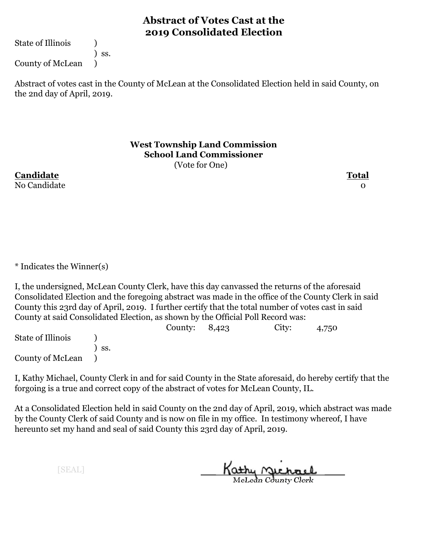State of Illinois (1)

) ss.

County of McLean )

Abstract of votes cast in the County of McLean at the Consolidated Election held in said County, on the 2nd day of April, 2019.

> **West Township Land Commission School Land Commissioner**

(Vote for One)

**Candidate Total** No Candidate and the contract of the contract of the contract of the contract of the contract of the contract of the contract of the contract of the contract of the contract of the contract of the contract of the contract

\* Indicates the Winner(s)

I, the undersigned, McLean County Clerk, have this day canvassed the returns of the aforesaid Consolidated Election and the foregoing abstract was made in the office of the County Clerk in said County this 23rd day of April, 2019. I further certify that the total number of votes cast in said County at said Consolidated Election, as shown by the Official Poll Record was:

County: 8,423 City: 4,750 State of Illinois (a) ) ss. County of McLean )

I, Kathy Michael, County Clerk in and for said County in the State aforesaid, do hereby certify that the forgoing is a true and correct copy of the abstract of votes for McLean County, IL.

At a Consolidated Election held in said County on the 2nd day of April, 2019, which abstract was made by the County Clerk of said County and is now on file in my office. In testimony whereof, I have hereunto set my hand and seal of said County this 23rd day of April, 2019.

Kathy Michael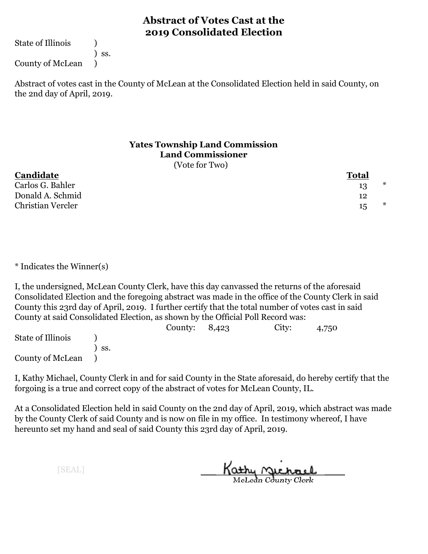State of Illinois (1)

) ss.

County of McLean )

Abstract of votes cast in the County of McLean at the Consolidated Election held in said County, on the 2nd day of April, 2019.

# **Yates Township Land Commission Land Commissioner**

(Vote for Two)

| Candidate         | <b>Total</b> |   |
|-------------------|--------------|---|
| Carlos G. Bahler  | 13           | * |
| Donald A. Schmid  | 12           |   |
| Christian Vercler | 15           | ∗ |

\* Indicates the Winner(s)

I, the undersigned, McLean County Clerk, have this day canvassed the returns of the aforesaid Consolidated Election and the foregoing abstract was made in the office of the County Clerk in said County this 23rd day of April, 2019. I further certify that the total number of votes cast in said County at said Consolidated Election, as shown by the Official Poll Record was:

|                   |             | County: $8,423$ | City: | 4,750 |
|-------------------|-------------|-----------------|-------|-------|
| State of Illinois |             |                 |       |       |
|                   | $\cdot$ SS. |                 |       |       |
| County of McLean  |             |                 |       |       |

I, Kathy Michael, County Clerk in and for said County in the State aforesaid, do hereby certify that the forgoing is a true and correct copy of the abstract of votes for McLean County, IL.

At a Consolidated Election held in said County on the 2nd day of April, 2019, which abstract was made by the County Clerk of said County and is now on file in my office. In testimony whereof, I have hereunto set my hand and seal of said County this 23rd day of April, 2019.

Kathy Michael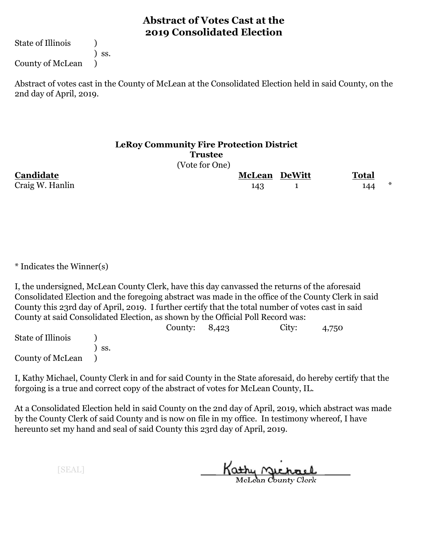State of Illinois (1)

) ss.

County of McLean )

Abstract of votes cast in the County of McLean at the Consolidated Election held in said County, on the 2nd day of April, 2019.

# **LeRoy Community Fire Protection District Trustee**

(Vote for One)

**Candidate McLean DeWitt Total** Craig W. Hanlin  $143$  1  $144$   $*$ 

\* Indicates the Winner(s)

I, the undersigned, McLean County Clerk, have this day canvassed the returns of the aforesaid Consolidated Election and the foregoing abstract was made in the office of the County Clerk in said County this 23rd day of April, 2019. I further certify that the total number of votes cast in said County at said Consolidated Election, as shown by the Official Poll Record was:

|                   |     | County: $8,423$ | City: | 4,750 |  |
|-------------------|-----|-----------------|-------|-------|--|
| State of Illinois |     |                 |       |       |  |
|                   | SS. |                 |       |       |  |
| County of McLean  |     |                 |       |       |  |

I, Kathy Michael, County Clerk in and for said County in the State aforesaid, do hereby certify that the forgoing is a true and correct copy of the abstract of votes for McLean County, IL.

At a Consolidated Election held in said County on the 2nd day of April, 2019, which abstract was made by the County Clerk of said County and is now on file in my office. In testimony whereof, I have hereunto set my hand and seal of said County this 23rd day of April, 2019.

Kathy <u>Michael</u>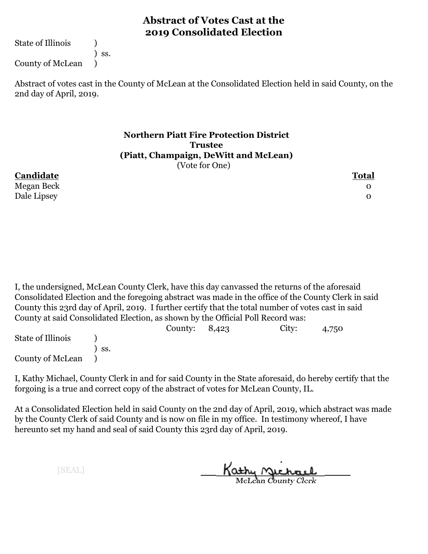State of Illinois (1)

) ss.

County of McLean )

Abstract of votes cast in the County of McLean at the Consolidated Election held in said County, on the 2nd day of April, 2019.

#### **Northern Piatt Fire Protection District Trustee (Piatt, Champaign, DeWitt and McLean)** (Vote for One)

**Candidate Total** Megan Beck 0 Dale Lipsey 0

I, the undersigned, McLean County Clerk, have this day canvassed the returns of the aforesaid Consolidated Election and the foregoing abstract was made in the office of the County Clerk in said County this 23rd day of April, 2019. I further certify that the total number of votes cast in said County at said Consolidated Election, as shown by the Official Poll Record was:

|                   |                  | County: $8,423$ | City: | 4,750 |  |
|-------------------|------------------|-----------------|-------|-------|--|
| State of Illinois |                  |                 |       |       |  |
|                   | $\mathsf{S}$ SS. |                 |       |       |  |
| County of McLean  |                  |                 |       |       |  |

I, Kathy Michael, County Clerk in and for said County in the State aforesaid, do hereby certify that the forgoing is a true and correct copy of the abstract of votes for McLean County, IL.

At a Consolidated Election held in said County on the 2nd day of April, 2019, which abstract was made by the County Clerk of said County and is now on file in my office. In testimony whereof, I have hereunto set my hand and seal of said County this 23rd day of April, 2019.

Kathy <u>Michael</u>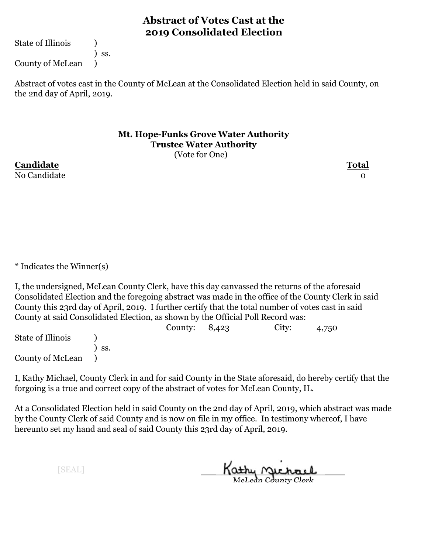State of Illinois (1)

) ss.

County of McLean )

Abstract of votes cast in the County of McLean at the Consolidated Election held in said County, on the 2nd day of April, 2019.

#### **Mt. Hope-Funks Grove Water Authority Trustee Water Authority** (Vote for One)

**Candidate Total** No Candidate and the contract of the contract of the contract of the contract of the contract of the contract o

\* Indicates the Winner(s)

I, the undersigned, McLean County Clerk, have this day canvassed the returns of the aforesaid Consolidated Election and the foregoing abstract was made in the office of the County Clerk in said County this 23rd day of April, 2019. I further certify that the total number of votes cast in said County at said Consolidated Election, as shown by the Official Poll Record was:

County: 8,423 City: 4,750 State of Illinois (a) ) ss. County of McLean )

I, Kathy Michael, County Clerk in and for said County in the State aforesaid, do hereby certify that the forgoing is a true and correct copy of the abstract of votes for McLean County, IL.

At a Consolidated Election held in said County on the 2nd day of April, 2019, which abstract was made by the County Clerk of said County and is now on file in my office. In testimony whereof, I have hereunto set my hand and seal of said County this 23rd day of April, 2019.

Kathy Michael